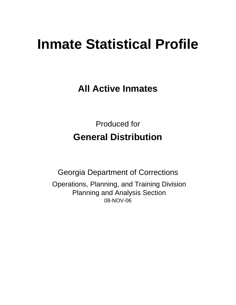# **Inmate Statistical Profile**

**All Active Inmates**

Produced for **General Distribution**

08-NOV-06 Georgia Department of Corrections Operations, Planning, and Training Division Planning and Analysis Section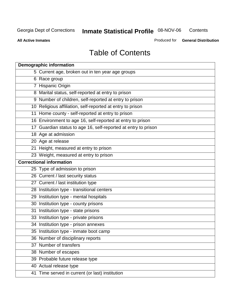**Contents** 

**All Active Inmates**

Produced for **General Distribution**

# Table of Contents

|    | <b>Demographic information</b>                                 |
|----|----------------------------------------------------------------|
|    | 5 Current age, broken out in ten year age groups               |
|    | 6 Race group                                                   |
|    | 7 Hispanic Origin                                              |
|    | 8 Marital status, self-reported at entry to prison             |
|    | 9 Number of children, self-reported at entry to prison         |
|    | 10 Religious affiliation, self-reported at entry to prison     |
|    | 11 Home county - self-reported at entry to prison              |
|    | 16 Environment to age 16, self-reported at entry to prison     |
|    | 17 Guardian status to age 16, self-reported at entry to prison |
|    | 18 Age at admission                                            |
|    | 20 Age at release                                              |
|    | 21 Height, measured at entry to prison                         |
|    | 23 Weight, measured at entry to prison                         |
|    | <b>Correctional information</b>                                |
|    | 25 Type of admission to prison                                 |
|    | 26 Current / last security status                              |
|    | 27 Current / last institution type                             |
|    | 28 Institution type - transitional centers                     |
|    | 29 Institution type - mental hospitals                         |
|    | 30 Institution type - county prisons                           |
| 31 | Institution type - state prisons                               |
|    | 33 Institution type - private prisons                          |
|    | 34 Institution type - prison annexes                           |
|    | 35 Institution type - inmate boot camp                         |
|    | 36 Number of disciplinary reports                              |
|    | 37 Number of transfers                                         |
|    | 38 Number of escapes                                           |
|    | 39 Probable future release type                                |
|    | 40 Actual release type                                         |
|    | 41 Time served in current (or last) institution                |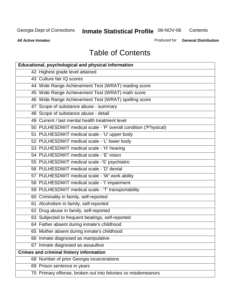**Contents** 

**All Active Inmates**

Produced for **General Distribution**

# Table of Contents

| <b>Educational, psychological and physical information</b>       |
|------------------------------------------------------------------|
| 42 Highest grade level attained                                  |
| 43 Culture fair IQ scores                                        |
| 44 Wide Range Achievement Test (WRAT) reading score              |
| 45 Wide Range Achievement Test (WRAT) math score                 |
| 46 Wide Range Achievement Test (WRAT) spelling score             |
| 47 Scope of substance abuse - summary                            |
| 48 Scope of substance abuse - detail                             |
| 49 Current / last mental health treatment level                  |
| 50 PULHESDWIT medical scale - 'P' overall condition ('P'hysical) |
| 51 PULHESDWIT medical scale - 'U' upper body                     |
| 52 PULHESDWIT medical scale - 'L' lower body                     |
| 53 PULHESDWIT medical scale - 'H' hearing                        |
| 54 PULHESDWIT medical scale - 'E' vision                         |
| 55 PULHESDWIT medical scale -'S' psychiatric                     |
| 56 PULHESDWIT medical scale - 'D' dental                         |
| 57 PULHESDWIT medical scale - 'W' work ability                   |
| 58 PULHESDWIT medical scale - 'I' impairment                     |
| 59 PULHESDWIT medical scale - 'T' transportability               |
| 60 Criminality in family, self-reported                          |
| 61 Alcoholism in family, self-reported                           |
| 62 Drug abuse in family, self-reported                           |
| 63 Subjected to frequent beatings, self-reported                 |
| 64 Father absent during inmate's childhood                       |
| 65 Mother absent during inmate's childhood                       |
| 66 Inmate diagnosed as manipulative                              |
| 67 Inmate diagnosed as assaultive                                |
| <b>Crimes and criminal history information</b>                   |
| 68 Number of prior Georgia incarcerations                        |
| 69 Prison sentence in years                                      |
| 70 Primary offense, broken out into felonies vs misdemeanors     |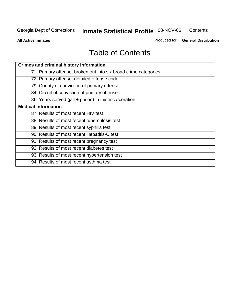**Contents** 

**All Active Inmates**

Produced for **General Distribution**

# Table of Contents

| <b>Crimes and criminal history information</b>                 |
|----------------------------------------------------------------|
| 71 Primary offense, broken out into six broad crime categories |
| 72 Primary offense, detailed offense code                      |
| 79 County of conviction of primary offense                     |
| 84 Circuit of conviction of primary offense                    |
| 86 Years served (jail + prison) in this incarceration          |
| <b>Medical information</b>                                     |
| 87 Results of most recent HIV test                             |
| 88 Results of most recent tuberculosis test                    |
| 89 Results of most recent syphilis test                        |
| 90 Results of most recent Hepatitis-C test                     |
| 91 Results of most recent pregnancy test                       |
| 92 Results of most recent diabetes test                        |
| 93 Results of most recent hypertension test                    |
| 94 Results of most recent asthma test                          |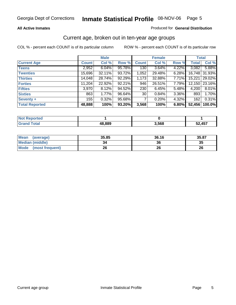#### **All Active Inmates**

#### Produced for **General Distribution**

### Current age, broken out in ten-year age groups

|                       |              | <b>Male</b> |        |                  | <b>Female</b> |          | <b>Total</b> |                 |
|-----------------------|--------------|-------------|--------|------------------|---------------|----------|--------------|-----------------|
| <b>Current Age</b>    | <b>Count</b> | Col %       | Row %  | <b>Count</b>     | Col %         | Row %    | <b>Total</b> | Col %           |
| <b>Teens</b>          | 2,952        | 6.04%       | 95.78% | 130 <sub>1</sub> | 3.64%         | 4.22%    | 3,082        | 5.88%           |
| <b>Twenties</b>       | 15,696       | 32.11%      | 93.72% | 1,052            | 29.48%        | $6.28\%$ |              | 16,748 31.93%   |
| <b>Thirties</b>       | 14,048       | 28.74%      | 92.29% | 1,173            | 32.88%        | 7.71%    | 15,221       | 29.02%          |
| <b>Forties</b>        | 11,204       | 22.92%      | 92.21% | 946              | 26.51%        | 7.79%    |              | 12,150   23.16% |
| <b>Fifties</b>        | 3,970        | 8.12%       | 94.52% | 230              | 6.45%         | 5.48%    | 4,200        | 8.01%           |
| <b>Sixties</b>        | 863          | 1.77%       | 96.64% | 30 <sub>1</sub>  | 0.84%         | 3.36%    | 893          | 1.70%           |
| Seventy +             | 155          | 0.32%       | 95.68% | 7                | 0.20%         | 4.32%    | 162          | 0.31%           |
| <b>Total Reported</b> | 48,888       | 100%        | 93.20% | 3,568            | 100%          | 6.80%    | 52,456       | 100.0%          |

| <b>Not Renor</b><br><b>Construction and</b><br><u>rreo </u> |        |       |        |
|-------------------------------------------------------------|--------|-------|--------|
| <b>Fotal</b>                                                | 18,889 | 3,568 | 2,457ء |

| <b>Mean</b><br>(average) | 35.85 | 36.16 | 35.87 |
|--------------------------|-------|-------|-------|
| <b>Median (middle)</b>   | 34    | 36    | 35    |
| Mode<br>(most frequent)  | 26    | 26    | 26    |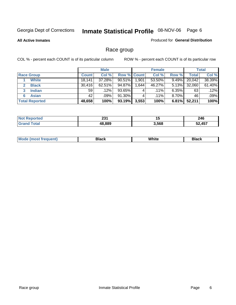**All Active Inmates**

#### Produced for **General Distribution**

### Race group

|                       |              | <b>Male</b> |                    |       | <b>Female</b> |          |              | <b>Total</b> |
|-----------------------|--------------|-------------|--------------------|-------|---------------|----------|--------------|--------------|
| <b>Race Group</b>     | <b>Count</b> | Col %       | <b>Row % Count</b> |       | Col %         | Row %    | <b>Total</b> | Col %        |
| <b>White</b>          | 18,141       | 37.28%      | $90.51\%$          | 1,901 | 53.50%        | 9.49%    | 20,042       | 38.39%       |
| <b>Black</b>          | 30,416       | 62.51%      | 94.87%             | .644  | 46.27%        | 5.13%    | 32,060       | 61.40%       |
| <b>Indian</b><br>3    | 59           | $.12\%$     | 93.65%             | 4     | $.11\%$       | $6.35\%$ | 63           | .12%         |
| <b>Asian</b>          | 42           | .09%        | 91.30%             |       | $.11\%$       | $8.70\%$ | 46           | .09%         |
| <b>Total Reported</b> | 48,658       | 100%        | 93.19%             | 3,553 | 100%          | 6.81%    | 52,211       | 100%         |

| nn.    | . .   | 246    |
|--------|-------|--------|
| ZJ I   | יי    | $\sim$ |
| 48.889 | 3,568 |        |

|  | $Mc$ | Black | White<br>$ -$ | 21904<br>DIACK |
|--|------|-------|---------------|----------------|
|--|------|-------|---------------|----------------|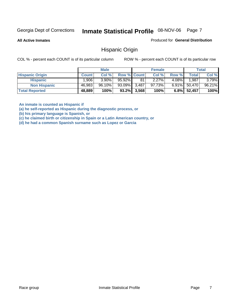**All Active Inmates**

Produced for **General Distribution**

### Hispanic Origin

COL % - percent each COUNT is of its particular column ROW % - percent each COUNT is of its particular row

|                        |              | <b>Male</b> |                    |                | <b>Female</b> |          |        | <b>Total</b> |
|------------------------|--------------|-------------|--------------------|----------------|---------------|----------|--------|--------------|
| <b>Hispanic Origin</b> | <b>Count</b> | Col %       | <b>Row % Count</b> |                | Col %         | Row %    | Total  | Col %        |
| <b>Hispanic</b>        | .906         | $3.90\%$    | 95.92%             | 81             | $2.27\%$      | $4.08\%$ | 1,987  | $3.79\%$     |
| <b>Non Hispanic</b>    | 46,983       | 96.10%      | 93.09%             | 3.487          | 97.73%        | $6.91\%$ | 50,470 | 96.21%       |
| <b>Total Reported</b>  | 48,889       | 100%        |                    | $93.2\%$ 3,568 | 100%          | $6.8\%$  | 52,457 | 100%         |

**An inmate is counted as Hispanic if** 

**(a) he self-reported as Hispanic during the diagnostic process, or** 

**(b) his primary language is Spanish, or** 

**(c) he claimed birth or citizenship in Spain or a Latin American country, or** 

**(d) he had a common Spanish surname such as Lopez or Garcia**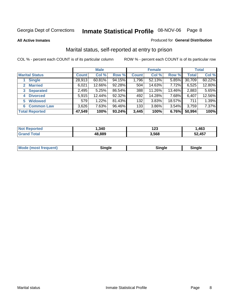**All Active Inmates**

#### Produced for **General Distribution**

### Marital status, self-reported at entry to prison

|                        |              | <b>Male</b> |        |              | <b>Female</b> |          |              | <b>Total</b> |
|------------------------|--------------|-------------|--------|--------------|---------------|----------|--------------|--------------|
| <b>Marital Status</b>  | <b>Count</b> | Col %       | Row %  | <b>Count</b> | Col %         | Row %    | <b>Total</b> | Col %        |
| <b>Single</b>          | 28,913       | $60.81\%$   | 94.15% | 1,796        | 52.13%        | $5.85\%$ | 30,709       | 60.22%       |
| <b>Married</b><br>2.   | 6,021        | 12.66%      | 92.28% | 504          | 14.63%        | 7.72%    | 6,525        | 12.80%       |
| <b>Separated</b><br>3  | 2,495        | 5.25%       | 86.54% | 388          | 11.26%        | 13.46%   | 2,883        | 5.65%        |
| <b>Divorced</b><br>4   | 5,915        | 12.44%      | 92.32% | 492          | 14.28%        | 7.68%    | 6,407        | 12.56%       |
| <b>Widowed</b><br>5    | 579          | 1.22%       | 81.43% | 132          | 3.83%         | 18.57%   | 711          | 1.39%        |
| <b>Common Law</b><br>6 | 3,626        | 7.63%       | 96.46% | 133          | 3.86%         | 3.54%    | 3,759        | 7.37%        |
| <b>Total Reported</b>  | 47,549       | 100%        | 93.24% | 3,445        | 100%          | 6.76%    | 50,994       | 100%         |

| , 340 | 123   | .463  |
|-------|-------|-------|
| 8889  | 3.568 | .,457 |

|  | Mode (most f<br>freauent) | `ınale |  | `inale |
|--|---------------------------|--------|--|--------|
|--|---------------------------|--------|--|--------|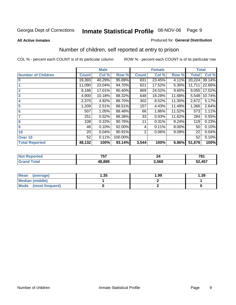#### **All Active Inmates**

#### Produced for **General Distribution**

### Number of children, self reported at entry to prison

|                           |              | <b>Male</b> |         |              | <b>Female</b> |          | <b>Total</b> |        |
|---------------------------|--------------|-------------|---------|--------------|---------------|----------|--------------|--------|
| <b>Number of Children</b> | <b>Count</b> | Col %       | Row %   | <b>Count</b> | Col %         | Row %    | <b>Total</b> | Col %  |
| $\bf{0}$                  | 19,393       | 40.29%      | 95.89%  | 831          | 23.45%        | 4.11%    | 20,224       | 39.14% |
|                           | 11,090       | 23.04%      | 94.70%  | 621          | 17.52%        | 5.30%    | 11,711       | 22.66% |
| $\overline{2}$            | 8,186        | 17.01%      | 90.40%  | 869          | 24.52%        | $9.60\%$ | 9,055        | 17.52% |
| 3                         | 4,900        | 10.18%      | 88.32%  | 648          | 18.28%        | 11.68%   | 5,548        | 10.74% |
| 4                         | 2,370        | 4.92%       | 88.70%  | 302          | 8.52%         | 11.30%   | 2,672        | 5.17%  |
| 5                         | 1,209        | 2.51%       | 88.51%  | 157          | 4.43%         | 11.49%   | 1,366        | 2.64%  |
| $6\phantom{a}$            | 507          | 1.05%       | 88.48%  | 66           | 1.86%         | 11.52%   | 573          | 1.11%  |
| 7                         | 251          | 0.52%       | 88.38%  | 33           | 0.93%         | 11.62%   | 284          | 0.55%  |
| 8                         | 108          | 0.22%       | 90.76%  | 11           | 0.31%         | 9.24%    | 119          | 0.23%  |
| 9                         | 46           | 0.10%       | 92.00%  | 4            | 0.11%         | $8.00\%$ | 50           | 0.10%  |
| 10                        | 20           | 0.04%       | 90.91%  | 2            | 0.06%         | 9.09%    | 22           | 0.04%  |
| Over 10                   | 52           | 0.11%       | 100.00% |              |               |          | 52           | 0.10%  |
| <b>Total Reported</b>     | 48,132       | 100%        | 93.14%  | 3,544        | 100%          | 6.86%    | 51,676       | 100%   |

| ---             | - -  | 704 |
|-----------------|------|-----|
| , , ,           |      | $-$ |
| 10 00N<br>ററ്റാ | .568 |     |

| Mean<br>(average)              | .35 | 1.99 | 39. ا |
|--------------------------------|-----|------|-------|
| <b>Median (middle)</b>         |     |      |       |
| <b>Mode</b><br>(most frequent) |     |      |       |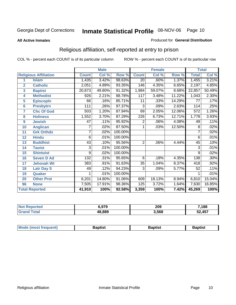#### **All Active Inmates**

#### Produced for **General Distribution**

### Religious affiliation, self-reported at entry to prison

|                  |                              |              | <b>Male</b> |         |                 | <b>Female</b>             |        |              | <b>Total</b> |
|------------------|------------------------------|--------------|-------------|---------|-----------------|---------------------------|--------|--------------|--------------|
|                  | <b>Religious Affiliation</b> | <b>Count</b> | Col %       | Row %   | <b>Count</b>    | $\overline{\text{Col}}$ % | Row %  | <b>Total</b> | Col %        |
| 1                | <b>Islam</b>                 | 1,435        | 3.42%       | 98.63%  | $\overline{20}$ | .60%                      | 1.37%  | 1,455        | 3.21%        |
| $\overline{2}$   | <b>Catholic</b>              | 2,051        | 4.89%       | 93.35%  | 146             | 4.35%                     | 6.65%  | 2,197        | 4.85%        |
| 3                | <b>Baptist</b>               | 20,873       | 49.80%      | 91.32%  | 1,984           | 59.07%                    | 8.68%  | 22,857       | 50.49%       |
| 4                | <b>Methodist</b>             | 926          | 2.21%       | 88.78%  | 117             | 3.48%                     | 11.22% | 1,043        | 2.30%        |
| 5                | <b>EpiscopIn</b>             | 66           | .16%        | 85.71%  | 11              | .33%                      | 14.29% | 77           | .17%         |
| 6                | <b>Presbytrn</b>             | 111          | .26%        | 97.37%  | 3               | .09%                      | 2.63%  | 114          | .25%         |
| 7                | <b>Chc Of God</b>            | 503          | 1.20%       | 87.94%  | 69              | 2.05%                     | 12.06% | 572          | 1.26%        |
| 8                | <b>Holiness</b>              | 1,552        | 3.70%       | 87.29%  | 226             | 6.73%                     | 12.71% | 1,778        | 3.93%        |
| $\boldsymbol{9}$ | <b>Jewish</b>                | 47           | .11%        | 95.92%  | 2               | .06%                      | 4.08%  | 49           | .11%         |
| 10               | <b>Anglican</b>              | 7            | .02%        | 87.50%  | 1               | .03%                      | 12.50% | 8            | .02%         |
| 11               | <b>Grk Orthdx</b>            | 7            | .02%        | 100.00% |                 |                           |        | 7            | .02%         |
| 12               | <b>Hindu</b>                 | 6            | .01%        | 100.00% |                 |                           |        | 6            | .01%         |
| 13               | <b>Buddhist</b>              | 43           | .10%        | 95.56%  | $\overline{2}$  | .06%                      | 4.44%  | 45           | .10%         |
| 14               | <b>Taoist</b>                | 3            | .01%        | 100.00% |                 |                           |        | 3            | .01%         |
| 15               | <b>Shintoist</b>             | 9            | .02%        | 100.00% |                 |                           |        | 9            | .02%         |
| 16               | <b>Seven D Ad</b>            | 132          | .31%        | 95.65%  | 6               | .18%                      | 4.35%  | 138          | .30%         |
| 17               | <b>Jehovah Wt</b>            | 383          | .91%        | 91.63%  | 35              | 1.04%                     | 8.37%  | 418          | .92%         |
| 18               | <b>Latr Day S</b>            | 49           | .12%        | 94.23%  | $\overline{3}$  | .09%                      | 5.77%  | 52           | .11%         |
| 19               | Quaker                       |              | .01%        | 100.00% |                 |                           |        |              | .01%         |
| 20               | <b>Other Prot</b>            | 6,201        | 14.80%      | 91.06%  | 609             | 18.13%                    | 8.94%  | 6,810        | 15.04%       |
| 96               | <b>None</b>                  | 7,505        | 17.91%      | 98.36%  | 125             | 3.72%                     | 1.64%  | 7,630        | 16.85%       |
|                  | <b>Total Reported</b>        | 41,910       | 100%        | 92.58%  | 3,359           | 100%                      | 7.42%  | 45,269       | 100%         |

| orted       | <b>070</b><br><b>J.JIJ</b> | 209   | 7,188  |
|-------------|----------------------------|-------|--------|
| $5 - 4 - 1$ | 48,889                     | 3,568 | 52,457 |

| $  -$ | Mode (most frequent)<br>Baptist<br>3aptist<br>Baptist |
|-------|-------------------------------------------------------|
|-------|-------------------------------------------------------|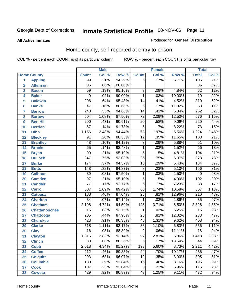**All Active Inmates**

#### Produced for **General Distribution**

### Home county, self-reported at entry to prison

|                  |                      | <b>Male</b>      |       | <b>Female</b> |                  | <b>Total</b> |        |                  |       |
|------------------|----------------------|------------------|-------|---------------|------------------|--------------|--------|------------------|-------|
|                  | <b>Home County</b>   | <b>Count</b>     | Col % | Row %         | <b>Count</b>     | Col %        | Row %  | <b>Total</b>     | Col % |
| 1                | <b>Appling</b>       | 99               | .21%  | 94.29%        | $\overline{6}$   | .17%         | 5.71%  | 105              | .21%  |
| $\overline{2}$   | <b>Atkinson</b>      | $\overline{35}$  | .08%  | 100.00%       |                  |              |        | $\overline{35}$  | .07%  |
| 3                | <b>Bacon</b>         | $\overline{59}$  | .13%  | 95.16%        | $\overline{3}$   | .09%         | 4.84%  | $\overline{62}$  | .12%  |
| 4                | <b>Baker</b>         | $\overline{9}$   | .02%  | 90.00%        | $\overline{1}$   | .03%         | 10.00% | $\overline{10}$  | .02%  |
| 5                | <b>Baldwin</b>       | 296              | .64%  | 95.48%        | $\overline{14}$  | .41%         | 4.52%  | $\overline{310}$ | .62%  |
| $6\phantom{a}$   | <b>Banks</b>         | $\overline{47}$  | .10%  | 88.68%        | $\overline{6}$   | .17%         | 11.32% | $\overline{53}$  | .11%  |
| $\overline{7}$   | <b>Barrow</b>        | 248              | .53%  | 94.66%        | $\overline{14}$  | .41%         | 5.34%  | $\overline{262}$ | .52%  |
| 8                | <b>Bartow</b>        | 504              | 1.08% | 87.50%        | $\overline{72}$  | 2.09%        | 12.50% | 576              | 1.15% |
| $\boldsymbol{9}$ | <b>Ben Hill</b>      | $\overline{200}$ | .43%  | 90.91%        | $\overline{20}$  | .58%         | 9.09%  | $\overline{220}$ | .44%  |
| 10               | <b>Berrien</b>       | 67               | .14%  | 91.78%        | $\overline{6}$   | .17%         | 8.22%  | $\overline{73}$  | .15%  |
| 11               | <b>Bibb</b>          | 1,156            | 2.48% | 94.44%        | 68               | 1.97%        | 5.56%  | 1,224            | 2.45% |
| 12               | <b>Bleckley</b>      | $\overline{91}$  | .20%  | 88.35%        | $\overline{12}$  | .35%         | 11.65% | 103              | .21%  |
| $\overline{13}$  | <b>Brantley</b>      | 48               | .10%  | 94.12%        | $\overline{3}$   | .09%         | 5.88%  | $\overline{51}$  | .10%  |
| 14               | <b>Brooks</b>        | $\overline{65}$  | .14%  | 98.48%        | $\overline{1}$   | .03%         | 1.52%  | $\overline{66}$  | .13%  |
| 15               | <b>Bryan</b>         | $\overline{99}$  | .21%  | 95.19%        | $\overline{5}$   | .15%         | 4.81%  | 104              | .21%  |
| 16               | <b>Bulloch</b>       | $\overline{347}$ | .75%  | 93.03%        | $\overline{26}$  | .75%         | 6.97%  | $\overline{373}$ | .75%  |
| 17               | <b>Burke</b>         | $\overline{174}$ | .37%  | 94.57%        | $\overline{10}$  | .29%         | 5.43%  | 184              | .37%  |
| 18               | <b>Butts</b>         | $\overline{148}$ | .32%  | 94.87%        | $\overline{8}$   | .23%         | 5.13%  | 156              | .31%  |
| 19               | <b>Calhoun</b>       | $\overline{39}$  | .08%  | 97.50%        | $\overline{1}$   | .03%         | 2.50%  | $\overline{40}$  | .08%  |
| 20               | <b>Camden</b>        | $\overline{97}$  | .21%  | 95.10%        | $\overline{5}$   | .15%         | 4.90%  | 102              | .20%  |
| $\overline{21}$  | <b>Candler</b>       | $\overline{77}$  | .17%  | 92.77%        | $\overline{6}$   | .17%         | 7.23%  | $\overline{83}$  | .17%  |
| 22               | <b>Carroll</b>       | $\overline{507}$ | 1.09% | 89.42%        | $\overline{60}$  | 1.74%        | 10.58% | 567              | 1.13% |
| 23               | <b>Catoosa</b>       | 188              | .40%  | 87.04%        | $\overline{28}$  | .81%         | 12.96% | $\overline{216}$ | .43%  |
| 24               | <b>Charlton</b>      | $\overline{34}$  | .07%  | 97.14%        | 1                | .03%         | 2.86%  | $\overline{35}$  | .07%  |
| 25               | <b>Chatham</b>       | 2,198            | 4.72% | 94.50%        | $\overline{128}$ | 3.71%        | 5.50%  | 2,326            | 4.65% |
| 26               | <b>Chattahoochee</b> | $\overline{15}$  | .03%  | 93.75%        | 1                | .03%         | 6.25%  | 16               | .03%  |
| 27               | Chattooga            | $\overline{205}$ | .44%  | 87.98%        | $\overline{28}$  | .81%         | 12.02% | 233              | .47%  |
| 28               | <b>Cherokee</b>      | $\overline{423}$ | .91%  | 90.38%        | $\overline{45}$  | 1.31%        | 9.62%  | 468              | .94%  |
| 29               | <b>Clarke</b>        | $\overline{518}$ | 1.11% | 93.17%        | $\overline{38}$  | 1.10%        | 6.83%  | 556              | 1.11% |
| 30               | <b>Clay</b>          | $\overline{16}$  | .03%  | 88.89%        | $\overline{2}$   | .06%         | 11.11% | $\overline{18}$  | .04%  |
| 31               | <b>Clayton</b>       | 1,316            | 2.83% | 93.14%        | $\overline{97}$  | 2.81%        | 6.86%  | 1,413            | 2.83% |
| 32               | <b>Clinch</b>        | 38               | .08%  | 86.36%        | 6                | .17%         | 13.64% | 44               | .09%  |
| 33               | <b>Cobb</b>          | 2,018            | 4.34% | 91.27%        | 193              | 5.60%        | 8.73%  | 2,211            | 4.42% |
| 34               | <b>Coffee</b>        | $\overline{212}$ | .46%  | 89.83%        | 24               | .70%         | 10.17% | 236              | .47%  |
| 35               | <b>Colquitt</b>      | 293              | .63%  | 96.07%        | $\overline{12}$  | .35%         | 3.93%  | 305              | .61%  |
| 36               | <b>Columbia</b>      | 180              | .39%  | 91.84%        | 16               | .46%         | 8.16%  | 196              | .39%  |
| 37               | <b>Cook</b>          | 107              | .23%  | 93.04%        | 8                | .23%         | 6.96%  | 115              | .23%  |
| 38               | <b>Coweta</b>        | 429              | .92%  | 90.89%        | 43               | 1.25%        | 9.11%  | 472              | .94%  |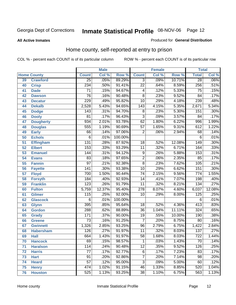#### **All Active Inmates**

#### Produced for **General Distribution**

### Home county, self-reported at entry to prison

|    |                    |                  | <b>Male</b> |         |                  | <b>Female</b> |        | <b>Total</b>      |         |
|----|--------------------|------------------|-------------|---------|------------------|---------------|--------|-------------------|---------|
|    | <b>Home County</b> | <b>Count</b>     | Col %       | Row %   | <b>Count</b>     | Col %         | Row %  | <b>Total</b>      | Col %   |
| 39 | <b>Crawford</b>    | $\overline{25}$  | .05%        | 89.29%  | $\overline{3}$   | $.09\%$       | 10.71% | $\overline{28}$   | .06%    |
| 40 | <b>Crisp</b>       | 234              | .50%        | 91.41%  | $\overline{22}$  | .64%          | 8.59%  | 256               | .51%    |
| 41 | <b>Dade</b>        | $\overline{71}$  | .15%        | 94.67%  | 4                | .12%          | 5.33%  | 75                | .15%    |
| 42 | <b>Dawson</b>      | $\overline{76}$  | .16%        | 90.48%  | $\overline{8}$   | .23%          | 9.52%  | 84                | .17%    |
| 43 | <b>Decatur</b>     | $\overline{229}$ | .49%        | 95.82%  | $\overline{10}$  | .29%          | 4.18%  | 239               | .48%    |
| 44 | <b>Dekalb</b>      | 2,528            | 5.43%       | 94.65%  | 143              | 4.15%         | 5.35%  | 2,671             | 5.34%   |
| 45 | <b>Dodge</b>       | 143              | .31%        | 94.70%  | $\overline{8}$   | .23%          | 5.30%  | 151               | .30%    |
| 46 | <b>Dooly</b>       | 81               | .17%        | 96.43%  | $\overline{3}$   | .09%          | 3.57%  | 84                | .17%    |
| 47 | <b>Dougherty</b>   | 934              | 2.01%       | 93.78%  | 62               | 1.80%         | 6.22%  | 996               | 1.99%   |
| 48 | <b>Douglas</b>     | 555              | 1.19%       | 90.69%  | $\overline{57}$  | 1.65%         | 9.31%  | 612               | 1.22%   |
| 49 | <b>Early</b>       | 66               | .14%        | 97.06%  | $\overline{2}$   | .06%          | 2.94%  | 68                | .14%    |
| 50 | <b>Echols</b>      | 6                | .01%        | 100.00% |                  |               |        | 6                 | .01%    |
| 51 | <b>Effingham</b>   | $\overline{131}$ | .28%        | 87.92%  | $\overline{18}$  | .52%          | 12.08% | 149               | .30%    |
| 52 | <b>Elbert</b>      | 153              | .33%        | 93.29%  | $\overline{11}$  | .32%          | 6.71%  | 164               | .33%    |
| 53 | <b>Emanuel</b>     | 144              | .31%        | 94.12%  | $\overline{9}$   | .26%          | 5.88%  | 153               | .31%    |
| 54 | <b>Evans</b>       | 83               | .18%        | 97.65%  | $\overline{2}$   | .06%          | 2.35%  | 85                | .17%    |
| 55 | <b>Fannin</b>      | $\overline{97}$  | .21%        | 92.38%  | $\overline{8}$   | .23%          | 7.62%  | $\frac{105}{105}$ | .21%    |
| 56 | <b>Fayette</b>     | $\overline{141}$ | .30%        | 93.38%  | $\overline{10}$  | .29%          | 6.62%  | 151               | .30%    |
| 57 | <b>Floyd</b>       | 700              | 1.50%       | 90.44%  | $\overline{74}$  | 2.15%         | 9.56%  | 774               | 1.55%   |
| 58 | <b>Forsyth</b>     | 184              | .40%        | 92.93%  | 14               | .41%          | 7.07%  | 198               | .40%    |
| 59 | <b>Franklin</b>    | 123              | .26%        | 91.79%  | $\overline{11}$  | .32%          | 8.21%  | 134               | .27%    |
| 60 | <b>Fulton</b>      | 5,759            | 12.37%      | 95.40%  | $\overline{278}$ | 8.07%         | 4.60%  | 6,037             | 12.08%  |
| 61 | <b>Gilmer</b>      | 115              | .25%        | 92.00%  | $\overline{10}$  | .29%          | 8.00%  | 125               | .25%    |
| 62 | <b>Glascock</b>    | 6                | .01%        | 100.00% |                  |               |        | 6                 | .01%    |
| 63 | <b>Glynn</b>       | 395              | .85%        | 95.64%  | $\overline{18}$  | .52%          | 4.36%  | $\overline{413}$  | .83%    |
| 64 | <b>Gordon</b>      | 288              | .62%        | 88.89%  | $\overline{36}$  | 1.04%         | 11.11% | 324               | .65%    |
| 65 | <b>Grady</b>       | 171              | .37%        | 90.00%  | $\overline{19}$  | .55%          | 10.00% | 190               | .38%    |
| 66 | <b>Greene</b>      | $\overline{73}$  | .16%        | 91.25%  | 7                | .20%          | 8.75%  | 80                | .16%    |
| 67 | <b>Gwinnett</b>    | 1,326            | 2.85%       | 93.25%  | $\overline{96}$  | 2.79%         | 6.75%  | 1,422             | 2.84%   |
| 68 | <b>Habersham</b>   | 126              | .27%        | 91.97%  | 11               | .32%          | 8.03%  | 137               | .27%    |
| 69 | <b>Hall</b>        | 664              | 1.43%       | 91.97%  | $\overline{58}$  | 1.68%         | 8.03%  | 722               | 1.44%   |
| 70 | <b>Hancock</b>     | 69               | .15%        | 98.57%  | 1                | .03%          | 1.43%  | 70                | $.14\%$ |
| 71 | <b>Haralson</b>    | 114              | .24%        | 90.48%  | $\overline{12}$  | .35%          | 9.52%  | 126               | .25%    |
| 72 | <b>Harris</b>      | 77               | .17%        | 92.77%  | 6                | .17%          | 7.23%  | 83                | .17%    |
| 73 | <b>Hart</b>        | $\overline{91}$  | .20%        | 92.86%  | 7                | .20%          | 7.14%  | $\overline{98}$   | .20%    |
| 74 | <b>Heard</b>       | 57               | .12%        | 95.00%  | $\overline{3}$   | .09%          | 5.00%  | 60                | .12%    |
| 75 | <b>Henry</b>       | 474              | 1.02%       | 91.15%  | 46               | 1.33%         | 8.85%  | 520               | 1.04%   |
| 76 | <b>Houston</b>     | 525              | 1.13%       | 93.25%  | $\overline{38}$  | 1.10%         | 6.75%  | 563               | 1.13%   |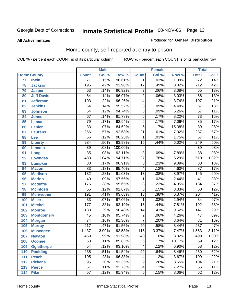#### **All Active Inmates**

#### Produced for **General Distribution**

### Home county, self-reported at entry to prison

|     |                    |                  | <b>Male</b> |         |                  | <b>Female</b> |        | <b>Total</b>     |       |
|-----|--------------------|------------------|-------------|---------|------------------|---------------|--------|------------------|-------|
|     | <b>Home County</b> | <b>Count</b>     | Col %       | Row %   | <b>Count</b>     | Col %         | Row %  | <b>Total</b>     | Col % |
| 77  | <b>Irwin</b>       | $\overline{71}$  | .15%        | 98.61%  | 1                | .03%          | 1.39%  | $\overline{72}$  | .14%  |
| 78  | <b>Jackson</b>     | 195              | .42%        | 91.98%  | $\overline{17}$  | .49%          | 8.02%  | $\overline{212}$ | .42%  |
| 79  | <b>Jasper</b>      | 63               | .14%        | 96.92%  | $\overline{2}$   | .06%          | 3.08%  | 65               | .13%  |
| 80  | <b>Jeff Davis</b>  | 64               | .14%        | 96.97%  | $\overline{2}$   | .06%          | 3.03%  | 66               | .13%  |
| 81  | <b>Jefferson</b>   | $\overline{103}$ | .22%        | 96.26%  | $\overline{4}$   | .12%          | 3.74%  | 107              | .21%  |
| 82  | <b>Jenkins</b>     | 64               | .14%        | 95.52%  | $\overline{3}$   | .09%          | 4.48%  | 67               | .13%  |
| 83  | <b>Johnson</b>     | $\overline{54}$  | .12%        | 94.74%  | $\overline{3}$   | .09%          | 5.26%  | $\overline{57}$  | .11%  |
| 84  | <b>Jones</b>       | $\overline{67}$  | .14%        | 91.78%  | $\overline{6}$   | .17%          | 8.22%  | $\overline{73}$  | .15%  |
| 85  | <b>Lamar</b>       | $\overline{79}$  | .17%        | 92.94%  | $\overline{6}$   | .17%          | 7.06%  | 85               | .17%  |
| 86  | Lanier             | $\overline{33}$  | .07%        | 84.62%  | $\overline{6}$   | .17%          | 15.38% | $\overline{39}$  | .08%  |
| 87  | <b>Laurens</b>     | 266              | .57%        | 92.68%  | $\overline{21}$  | .61%          | 7.32%  | 287              | .57%  |
| 88  | Lee                | $\overline{56}$  | .12%        | 98.25%  | 1                | .03%          | 1.75%  | $\overline{57}$  | .11%  |
| 89  | <b>Liberty</b>     | 234              | .50%        | 93.98%  | $\overline{15}$  | .44%          | 6.02%  | $\overline{249}$ | .50%  |
| 90  | <b>Lincoln</b>     | $\overline{39}$  | .08%        | 100.00% |                  |               |        | 39               | .08%  |
| 91  | Long               | $\overline{35}$  | .08%        | 92.11%  | $\overline{3}$   | .09%          | 7.89%  | $\overline{38}$  | .08%  |
| 92  | <b>Lowndes</b>     | 483              | 1.04%       | 94.71%  | $\overline{27}$  | .78%          | 5.29%  | 510              | 1.02% |
| 93  | <b>Lumpkin</b>     | $\overline{80}$  | .17%        | 90.91%  | $\overline{8}$   | .23%          | 9.09%  | $\overline{88}$  | .18%  |
| 94  | <b>Macon</b>       | $\overline{83}$  | .18%        | 95.40%  | 4                | .12%          | 4.60%  | $\overline{87}$  | .17%  |
| 95  | <b>Madison</b>     | $\overline{132}$ | .28%        | 91.03%  | $\overline{13}$  | .38%          | 8.97%  | 145              | .29%  |
| 96  | <b>Marion</b>      | 40               | .09%        | 97.56%  | $\mathbf{1}$     | .03%          | 2.44%  | 41               | .08%  |
| 97  | <b>Mcduffie</b>    | 176              | .38%        | 95.65%  | $\overline{8}$   | .23%          | 4.35%  | 184              | .37%  |
| 98  | <b>Mcintosh</b>    | $\overline{55}$  | .12%        | 91.67%  | $\overline{5}$   | .15%          | 8.33%  | 60               | .12%  |
| 99  | <b>Meriwether</b>  | 191              | .41%        | 93.63%  | $\overline{13}$  | .38%          | 6.37%  | $\overline{204}$ | .41%  |
| 100 | <b>Miller</b>      | $\overline{33}$  | .07%        | 97.06%  | 1                | .03%          | 2.94%  | $\overline{34}$  | .07%  |
| 101 | <b>Mitchell</b>    | $\overline{177}$ | .38%        | 92.19%  | $\overline{15}$  | .44%          | 7.81%  | 192              | .38%  |
| 102 | <b>Monroe</b>      | $\overline{133}$ | .29%        | 90.48%  | $\overline{14}$  | .41%          | 9.52%  | 147              | .29%  |
| 103 | <b>Montgomery</b>  | $\overline{45}$  | .10%        | 95.74%  | $\overline{2}$   | .06%          | 4.26%  | $\overline{47}$  | .09%  |
| 104 | <b>Morgan</b>      | $\overline{74}$  | .16%        | 91.36%  | $\overline{7}$   | .20%          | 8.64%  | 81               | .16%  |
| 105 | <b>Murray</b>      | $\overline{217}$ | .47%        | 91.56%  | $\overline{20}$  | .58%          | 8.44%  | $\overline{237}$ | .47%  |
| 106 | <b>Muscogee</b>    | 1,437            | 3.09%       | 92.53%  | $\overline{116}$ | 3.37%         | 7.47%  | 1,553            | 3.11% |
| 107 | <b>Newton</b>      | 459              | .99%        | 91.98%  | $\overline{40}$  | 1.16%         | 8.02%  | 499              | 1.00% |
| 108 | <b>Oconee</b>      | 53               | .11%        | 89.83%  | 6                | .17%          | 10.17% | 59               | .12%  |
| 109 | <b>Oglethorpe</b>  | $\overline{54}$  | .12%        | 93.10%  | 4                | .12%          | 6.90%  | $\overline{58}$  | .12%  |
| 110 | <b>Paulding</b>    | 238              | .51%        | 91.54%  | $\overline{22}$  | .64%          | 8.46%  | 260              | .52%  |
| 111 | <b>Peach</b>       | 105              | .23%        | 96.33%  | 4                | .12%          | 3.67%  | 109              | .22%  |
| 112 | <b>Pickens</b>     | $\overline{95}$  | .20%        | 91.35%  | 9                | .26%          | 8.65%  | 104              | .21%  |
| 113 | <b>Pierce</b>      | $\overline{51}$  | .11%        | 92.73%  | 4                | .12%          | 7.27%  | 55               | .11%  |
| 114 | <b>Pike</b>        | $\overline{57}$  | .12%        | 91.94%  | $\overline{5}$   | .15%          | 8.06%  | 62               | .12%  |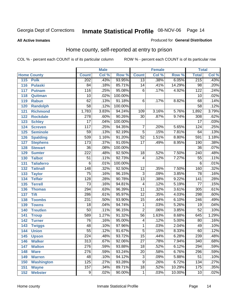#### **All Active Inmates**

#### Produced for **General Distribution**

### Home county, self-reported at entry to prison

|       |                    |                  | <b>Male</b> |         |                 | <b>Female</b> |        | <b>Total</b>     |       |
|-------|--------------------|------------------|-------------|---------|-----------------|---------------|--------|------------------|-------|
|       | <b>Home County</b> | <b>Count</b>     | Col %       | Row %   | <b>Count</b>    | Col %         | Row %  | <b>Total</b>     | Col % |
| $115$ | <b>Polk</b>        | 202              | .43%        | 93.95%  | $\overline{13}$ | .38%          | 6.05%  | 215              | .43%  |
| 116   | <b>Pulaski</b>     | 84               | .18%        | 85.71%  | 14              | .41%          | 14.29% | $\overline{98}$  | .20%  |
| 117   | <b>Putnam</b>      | 116              | .25%        | 95.08%  | $\,6$           | .17%          | 4.92%  | 122              | .24%  |
| 118   | Quitman            | 10               | .02%        | 100.00% |                 |               |        | 10               | .02%  |
| 119   | <b>Rabun</b>       | 62               | .13%        | 91.18%  | $\,6$           | .17%          | 8.82%  | 68               | .14%  |
| 120   | <b>Randolph</b>    | $\overline{58}$  | .12%        | 100.00% |                 |               |        | $\overline{58}$  | .12%  |
| 121   | <b>Richmond</b>    | 1,783            | 3.83%       | 94.24%  | 109             | 3.16%         | 5.76%  | 1,892            | 3.79% |
| 122   | <b>Rockdale</b>    | 278              | .60%        | 90.26%  | 30              | .87%          | 9.74%  | 308              | .62%  |
| 123   | <b>Schley</b>      | $\overline{17}$  | .04%        | 100.00% |                 |               |        | $\overline{17}$  | .03%  |
| 124   | <b>Screven</b>     | 117              | .25%        | 94.35%  | 7               | .20%          | 5.65%  | 124              | .25%  |
| 125   | <b>Seminole</b>    | 59               | .13%        | 92.19%  | $\overline{5}$  | .15%          | 7.81%  | 64               | .13%  |
| 126   | <b>Spalding</b>    | 539              | 1.16%       | 91.20%  | $\overline{52}$ | 1.51%         | 8.80%  | 591              | 1.18% |
| 127   | <b>Stephens</b>    | 173              | .37%        | 91.05%  | $\overline{17}$ | .49%          | 8.95%  | 190              | .38%  |
| 128   | <b>Stewart</b>     | $\overline{36}$  | .08%        | 100.00% |                 |               |        | $\overline{36}$  | .07%  |
| 129   | <b>Sumter</b>      | $\overline{222}$ | .48%        | 92.50%  | 18              | .52%          | 7.50%  | $\overline{240}$ | .48%  |
| 130   | <b>Talbot</b>      | 51               | .11%        | 92.73%  | 4               | .12%          | 7.27%  | 55               | .11%  |
| 131   | <b>Taliaferro</b>  | $\overline{6}$   | .01%        | 100.00% |                 |               |        | 6                | .01%  |
| 132   | <b>Tattnall</b>    | $\overline{148}$ | .32%        | 92.50%  | $\overline{12}$ | .35%          | 7.50%  | 160              | .32%  |
| 133   | <b>Taylor</b>      | $\overline{75}$  | .16%        | 96.15%  | $\overline{3}$  | .09%          | 3.85%  | $\overline{78}$  | .16%  |
| 134   | <b>Telfair</b>     | $\overline{128}$ | .28%        | 90.78%  | $\overline{13}$ | .38%          | 9.22%  | 141              | .28%  |
| 135   | <b>Terrell</b>     | $\overline{73}$  | .16%        | 94.81%  | 4               | .12%          | 5.19%  | $\overline{77}$  | .15%  |
| 136   | <b>Thomas</b>      | 294              | .63%        | 96.39%  | $\overline{11}$ | .32%          | 3.61%  | 305              | .61%  |
| 137   | <b>Tift</b>        | 286              | .61%        | 95.97%  | $\overline{12}$ | .35%          | 4.03%  | 298              | .60%  |
| 138   | <b>Toombs</b>      | 231              | .50%        | 93.90%  | 15              | .44%          | 6.10%  | 246              | .49%  |
| 139   | <b>Towns</b>       | $\overline{18}$  | .04%        | 94.74%  | $\mathbf 1$     | .03%          | 5.26%  | $\overline{19}$  | .04%  |
| 140   | <b>Treutlen</b>    | 50               | .11%        | 96.15%  | $\overline{2}$  | .06%          | 3.85%  | $\overline{52}$  | .10%  |
| 141   | <b>Troup</b>       | 589              | 1.27%       | 91.32%  | $\overline{56}$ | 1.63%         | 8.68%  | 645              | 1.29% |
| 142   | <b>Turner</b>      | 76               | .16%        | 95.00%  | 4               | .12%          | 5.00%  | 80               | .16%  |
| 143   | <b>Twiggs</b>      | 48               | .10%        | 97.96%  | $\mathbf{1}$    | .03%          | 2.04%  | 49               | .10%  |
| 144   | <b>Union</b>       | $\overline{55}$  | .12%        | 91.67%  | 5               | .15%          | 8.33%  | 60               | .12%  |
| 145   | <b>Upson</b>       | $\overline{224}$ | .48%        | 93.72%  | $\overline{15}$ | .44%          | 6.28%  | 239              | .48%  |
| 146   | <b>Walker</b>      | 313              | .67%        | 92.06%  | 27              | .78%          | 7.94%  | 340              | .68%  |
| 147   | <b>Walton</b>      | $\overline{276}$ | .59%        | 93.88%  | $\overline{18}$ | .52%          | 6.12%  | 294              | .59%  |
| 148   | <b>Ware</b>        | 276              | .59%        | 93.24%  | $\overline{20}$ | .58%          | 6.76%  | 296              | .59%  |
| 149   | <b>Warren</b>      | 48               | .10%        | 94.12%  | $\overline{3}$  | .09%          | 5.88%  | $\overline{51}$  | .10%  |
| 150   | <b>Washington</b>  | 125              | .27%        | 93.28%  | 9               | .26%          | 6.72%  | 134              | .27%  |
| 151   | <b>Wayne</b>       | 157              | .34%        | 89.71%  | $\overline{18}$ | .52%          | 10.29% | 175              | .35%  |
| 152   | <b>Webster</b>     | $\overline{9}$   | .02%        | 90.00%  | $\mathbf{1}$    | .03%          | 10.00% | 10               | .02%  |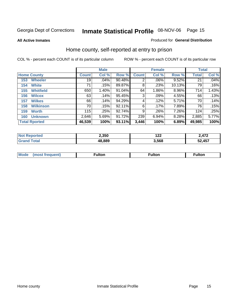**All Active Inmates**

#### Produced for **General Distribution**

### Home county, self-reported at entry to prison

|                         |              | <b>Male</b> |        |              | <b>Female</b> |        |              | <b>Total</b> |
|-------------------------|--------------|-------------|--------|--------------|---------------|--------|--------------|--------------|
| <b>Home County</b>      | <b>Count</b> | Col %       | Row %  | <b>Count</b> | Col %         | Row %  | <b>Total</b> | Col %        |
| <b>Wheeler</b><br>153   | 19           | .04%        | 90.48% | 2            | .06%          | 9.52%  | 21           | .04%         |
| <b>White</b><br>154     | 71           | .15%        | 89.87% | 8            | .23%          | 10.13% | 79           | .16%         |
| <b>Whitfield</b><br>155 | 650          | 1.40%       | 91.04% | 64           | 1.86%         | 8.96%  | 714          | 1.43%        |
| <b>Wilcox</b><br>156    | 63           | .14%        | 95.45% | 3            | .09%          | 4.55%  | 66           | .13%         |
| <b>Wilkes</b><br>157    | 66           | .14%        | 94.29% | 4            | .12%          | 5.71%  | 70           | .14%         |
| <b>Wilkinson</b><br>158 | 70           | .15%        | 92.11% | 6            | .17%          | 7.89%  | 76           | .15%         |
| <b>Worth</b><br>159     | 115          | .25%        | 92.74% | 9            | .26%          | 7.26%  | 124          | .25%         |
| <b>Unknown</b><br>160   | 2,646        | 5.69%       | 91.72% | 239          | 6.94%         | 8.28%  | 2,885        | 5.77%        |
| <b>Total Rported</b>    | 46,539       | 100%        | 93.11% | 3,446        | 100%          | 6.89%  | 49,985       | 100%         |

| 'ted  | 2,350  | 1 A A | $\Delta$ 72 |
|-------|--------|-------|-------------|
| NO1   |        | 1 Ł Ł | 11 L        |
| `otal | 48.889 | .568  | 52,457      |

| <b>Mode</b> | ---<br>.tor | <b>ulton</b> | . |
|-------------|-------------|--------------|---|
|             |             |              |   |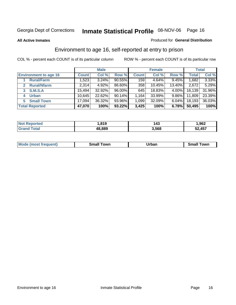#### **All Active Inmates**

#### Produced for **General Distribution**

### Environment to age 16, self-reported at entry to prison

|                                      |              | <b>Male</b> |           |              | <b>Female</b> |          |              | <b>Total</b> |
|--------------------------------------|--------------|-------------|-----------|--------------|---------------|----------|--------------|--------------|
| <b>Environment to age 16</b>         | <b>Count</b> | Col %       | Row %     | <b>Count</b> | Col %         | Row %    | <b>Total</b> | Col %        |
| <b>Rural/Farm</b>                    | 1,523        | 3.24%       | $90.55\%$ | 159          | 4.64%         | 9.45%    | ,682         | 3.33%        |
| <b>Rural/Nfarm</b><br>$\overline{2}$ | 2,314        | 4.92%       | 86.60%    | 358          | 10.45%        | 13.40%   | 2,672        | 5.29%        |
| 3 S.M.S.A                            | 15,494       | 32.92%      | $96.00\%$ | 645          | 18.83%        | $4.00\%$ | 16,139       | 31.96%       |
| <b>Urban</b><br>4                    | 10,645       | 22.62%      | 90.14%    | 1,164        | 33.99%        | $9.86\%$ | 11,809       | 23.39%       |
| <b>Small Town</b><br>5               | 17,094       | 36.32%      | 93.96%    | 1,099        | 32.09%        | $6.04\%$ | 18,193       | 36.03%       |
| <b>Total Reported</b>                | 47,070       | 100%        | 93.22%    | 3,425        | 100%          | 6.78%    | 50,495       | 100%         |

| <b>Not Reported</b> | 819, ، | 143   | ,962   |
|---------------------|--------|-------|--------|
| <b>Grand Total</b>  | 48,889 | 3,568 | 52,457 |

|  | <b>Mode</b><br>(most frequent) | <b>Owr</b><br>Small | Jrbar<br>____ | <b>LOWE</b><br>וורי |
|--|--------------------------------|---------------------|---------------|---------------------|
|--|--------------------------------|---------------------|---------------|---------------------|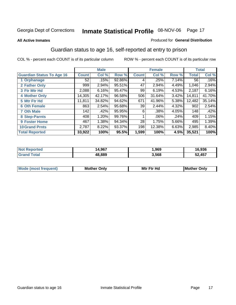#### **All Active Inmates**

#### Produced for **General Distribution**

### Guardian status to age 16, self-reported at entry to prison

|                                  |              | <b>Male</b> |        |              | <b>Female</b> |       |              | <b>Total</b> |
|----------------------------------|--------------|-------------|--------|--------------|---------------|-------|--------------|--------------|
| <b>Guardian Status To Age 16</b> | <b>Count</b> | Col %       | Row %  | <b>Count</b> | Col %         | Row % | <b>Total</b> | Col %        |
| 1 Orphanage                      | 52           | .15%        | 92.86% | 4            | .25%          | 7.14% | 56           | .16%         |
| 2 Father Only                    | 999          | 2.94%       | 95.51% | 47           | 2.94%         | 4.49% | 1,046        | 2.94%        |
| 3 Ftr Mtr Hd                     | 2,088        | 6.16%       | 95.47% | 99           | 6.19%         | 4.53% | 2,187        | 6.16%        |
| <b>4 Mother Only</b>             | 14,305       | 42.17%      | 96.58% | 506          | 31.64%        | 3.42% | 14,811       | 41.70%       |
| 5 Mtr Ftr Hd                     | 11,811       | 34.82%      | 94.62% | 671          | 41.96%        | 5.38% | 12,482       | 35.14%       |
| <b>6 Oth Female</b>              | 863          | 2.54%       | 95.68% | 39           | 2.44%         | 4.32% | 902          | 2.54%        |
| <b>7 Oth Male</b>                | 142          | .42%        | 95.95% | 6            | .38%          | 4.05% | 148          | .42%         |
| 8 Step-Parnts                    | 408          | 1.20%       | 99.76% |              | $.06\%$       | .24%  | 409          | 1.15%        |
| <b>9 Foster Home</b>             | 467          | 1.38%       | 94.34% | 28           | 1.75%         | 5.66% | 495          | 1.39%        |
| <b>10 Grand Prnts</b>            | 2,787        | 8.22%       | 93.37% | 198          | 12.38%        | 6.63% | 2,985        | 8.40%        |
| <b>Total Reported</b>            | 33,922       | 100%        | 95.5%  | 1,599        | 100%          | 4.5%  | 35,521       | 100%         |

| <b>Not</b><br>Reported | 4,967  | ,969  | 16,936 |
|------------------------|--------|-------|--------|
| <b>ota</b>             | 48,889 | 3,568 | 52,457 |

| <b>Mode (most frequent)</b> | <b>Mother Only</b> | Mtr Ftr Hd | Only<br>IMother |
|-----------------------------|--------------------|------------|-----------------|
|                             |                    |            |                 |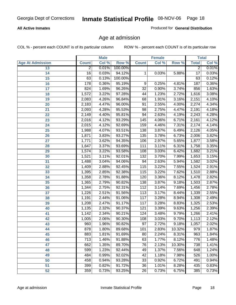#### **All Active Inmates**

Produced for **General Distribution**

### Age at admission

|                         |                 | <b>Male</b> |         |                  | <b>Female</b> |        |                 | <b>Total</b> |
|-------------------------|-----------------|-------------|---------|------------------|---------------|--------|-----------------|--------------|
| <b>Age At Admission</b> | <b>Count</b>    | Col %       | Row %   | <b>Count</b>     | Col %         | Row %  | <b>Total</b>    | Col %        |
| 13                      | $\overline{2}$  | 0.01%       | 100.00% |                  |               |        | $\overline{2}$  | 0.01%        |
| 14                      | $\overline{16}$ | 0.03%       | 94.12%  | 1                | 0.03%         | 5.88%  | $\overline{17}$ | 0.03%        |
| $\overline{15}$         | 63              | 0.13%       | 100.00% |                  |               |        | 63              | 0.12%        |
| 16                      | 178             | 0.36%       | 95.19%  | 9                | 0.25%         | 4.81%  | 187             | 0.36%        |
| $\overline{17}$         | 824             | 1.69%       | 96.26%  | $\overline{32}$  | 0.90%         | 3.74%  | 856             | 1.63%        |
| 18                      | 1,572           | 3.22%       | 97.28%  | 44               | 1.23%         | 2.72%  | 1,616           | 3.08%        |
| 19                      | 2,083           | 4.26%       | 96.84%  | 68               | 1.91%         | 3.16%  | 2,151           | 4.10%        |
| 20                      | 2,183           | 4.47%       | 96.00%  | 91               | 2.55%         | 4.00%  | 2,274           | 4.34%        |
| 21                      | 2,093           | 4.28%       | 95.53%  | 98               | 2.75%         | 4.47%  | 2,191           | 4.18%        |
| 22                      | 2,149           | 4.40%       | 95.81%  | 94               | 2.63%         | 4.19%  | 2,243           | 4.28%        |
| 23                      | 2,016           | 4.12%       | 93.29%  | 145              | 4.06%         | 6.71%  | 2,161           | 4.12%        |
| 24                      | 2,015           | 4.12%       | 92.69%  | 159              | 4.46%         | 7.31%  | 2,174           | 4.14%        |
| $\overline{25}$         | 1,988           | 4.07%       | 93.51%  | 138              | 3.87%         | 6.49%  | 2,126           | 4.05%        |
| 26                      | 1,871           | 3.83%       | 93.27%  | $\overline{135}$ | 3.78%         | 6.73%  | 2,006           | 3.82%        |
| 27                      | 1,771           | 3.62%       | 94.35%  | 106              | 2.97%         | 5.65%  | 1,877           | 3.58%        |
| 28                      | 1,647           | 3.37%       | 93.69%  | 111              | 3.11%         | 6.31%  | 1,758           | 3.35%        |
| 29                      | 1,574           | 3.22%       | 93.58%  | 108              | 3.03%         | 6.42%  | 1,682           | 3.21%        |
| 30                      | 1,521           | 3.11%       | 92.01%  | 132              | 3.70%         | 7.99%  | 1,653           | 3.15%        |
| 31                      | 1,488           | 3.04%       | 94.06%  | 94               | 2.63%         | 5.94%  | 1,582           | 3.02%        |
| 32                      | 1,409           | 2.88%       | 92.45%  | 115              | 3.22%         | 7.55%  | 1,524           | 2.91%        |
| 33                      | 1,395           | 2.85%       | 92.38%  | 115              | 3.22%         | 7.62%  | 1,510           | 2.88%        |
| 34                      | 1,358           | 2.78%       | 91.88%  | 120              | 3.36%         | 8.12%  | 1,478           | 2.82%        |
| 35                      | 1,365           | 2.79%       | 90.82%  | 138              | 3.87%         | 9.18%  | 1,503           | 2.87%        |
| 36                      | 1,344           | 2.75%       | 92.31%  | 112              | 3.14%         | 7.69%  | 1,456           | 2.78%        |
| 37                      | 1,226           | 2.51%       | 91.56%  | 113              | 3.17%         | 8.44%  | 1,339           | 2.55%        |
| 38                      | 1,191           | 2.44%       | 91.06%  | 117              | 3.28%         | 8.94%  | 1,308           | 2.49%        |
| 39                      | 1,208           | 2.47%       | 91.17%  | 117              | 3.28%         | 8.83%  | 1,325           | 2.53%        |
| 40                      | 1,135           | 2.32%       | 90.37%  | 121              | 3.39%         | 9.63%  | 1,256           | 2.39%        |
| 41                      | 1,142           | 2.34%       | 90.21%  | 124              | 3.48%         | 9.79%  | 1,266           | 2.41%        |
| 42                      | 1,005           | 2.06%       | 90.30%  | 108              | 3.03%         | 9.70%  | 1,113           | 2.12%        |
| 43                      | 960             | 1.96%       | 90.82%  | $\overline{97}$  | 2.72%         | 9.18%  | 1,057           | 2.02%        |
| 44                      | 878             | 1.80%       | 89.68%  | 101              | 2.83%         | 10.32% | 979             | 1.87%        |
| 45                      | 883             | 1.81%       | 91.69%  | 80               | 2.24%         | 8.31%  | 963             | 1.84%        |
| 46                      | 713             | 1.46%       | 91.88%  | 63               | 1.77%         | 8.12%  | 776             | 1.48%        |
| 47                      | 662             | 1.35%       | 89.70%  | 76               | 2.13%         | 10.30% | 738             | 1.41%        |
| 48                      | 599             | 1.23%       | 92.44%  | 49               | 1.37%         | 7.56%  | 648             | 1.24%        |
| 49                      | 484             | 0.99%       | 92.02%  | 42               | 1.18%         | 7.98%  | 526             | 1.00%        |
| 50                      | 458             | 0.94%       | 93.28%  | 33               | 0.92%         | 6.72%  | 491             | 0.94%        |
| 51                      | 399             | 0.82%       | 91.72%  | $\overline{36}$  | 1.01%         | 8.28%  | 435             | 0.83%        |
| 52                      | 359             | 0.73%       | 93.25%  | 26               | 0.73%         | 6.75%  | 385             | 0.73%        |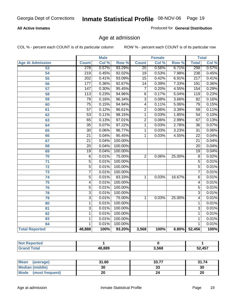#### **All Active Inmates**

Produced for **General Distribution**

### Age at admission

|                         |                           | <b>Male</b> |         |                 | <b>Female</b> |                  |                  | <b>Total</b> |
|-------------------------|---------------------------|-------------|---------|-----------------|---------------|------------------|------------------|--------------|
| <b>Age At Admission</b> | <b>Count</b>              | Col %       | Row %   | <b>Count</b>    | Col %         | Row <sup>%</sup> | <b>Total</b>     | Col %        |
| 53                      | 278                       | 0.57%       | 93.29%  | $\overline{20}$ | 0.56%         | 6.71%            | 298              | 0.57%        |
| $\overline{54}$         | $\overline{219}$          | 0.45%       | 92.02%  | $\overline{19}$ | 0.53%         | 7.98%            | 238              | 0.45%        |
| $\overline{55}$         | 202                       | 0.41%       | 93.09%  | $\overline{15}$ | 0.42%         | 6.91%            | $\overline{217}$ | 0.41%        |
| $\overline{56}$         | $\overline{177}$          | 0.36%       | 92.67%  | $\overline{14}$ | 0.39%         | 7.33%            | 191              | 0.36%        |
| $\overline{57}$         | $\overline{147}$          | 0.30%       | 95.45%  | 7               | 0.20%         | 4.55%            | 154              | 0.29%        |
| 58                      | $\overline{113}$          | 0.23%       | 94.96%  | $\overline{6}$  | 0.17%         | 5.04%            | $\overline{119}$ | 0.23%        |
| 59                      | 79                        | 0.16%       | 96.34%  | $\overline{3}$  | 0.08%         | 3.66%            | $\overline{82}$  | 0.16%        |
| 60                      | $\overline{75}$           | 0.15%       | 94.94%  | $\overline{4}$  | 0.11%         | 5.06%            | $\overline{79}$  | 0.15%        |
| 61                      | $\overline{57}$           | 0.12%       | 96.61%  | $\overline{2}$  | 0.06%         | 3.39%            | $\overline{59}$  | 0.11%        |
| 62                      | $\overline{53}$           | 0.11%       | 98.15%  | 1               | 0.03%         | 1.85%            | $\overline{54}$  | 0.10%        |
| 63                      | 65                        | 0.13%       | 97.01%  | $\overline{2}$  | 0.06%         | 2.99%            | 67               | 0.13%        |
| 64                      | $\overline{35}$           | 0.07%       | 97.22%  | $\overline{1}$  | 0.03%         | 2.78%            | $\overline{36}$  | 0.07%        |
| 65                      | $\overline{30}$           | 0.06%       | 96.77%  | $\overline{1}$  | 0.03%         | 3.23%            | $\overline{31}$  | 0.06%        |
| 66                      | $\overline{21}$           | 0.04%       | 95.45%  | 1               | 0.03%         | 4.55%            | $\overline{22}$  | 0.04%        |
| 67                      | $\overline{21}$           | 0.04%       | 100.00% |                 |               |                  | $\overline{21}$  | 0.04%        |
| 68                      | $\overline{20}$           | 0.04%       | 100.00% |                 |               |                  | $\overline{20}$  | 0.04%        |
| 69                      | $\overline{19}$           | 0.04%       | 100.00% |                 |               |                  | $\overline{19}$  | 0.04%        |
| 70                      | $\overline{6}$            | 0.01%       | 75.00%  | $\overline{2}$  | 0.06%         | 25.00%           | $\overline{8}$   | 0.02%        |
| $\overline{71}$         | $\overline{5}$            | 0.01%       | 100.00% |                 |               |                  | $\overline{5}$   | 0.01%        |
| $\overline{72}$         | $\overline{5}$            | 0.01%       | 100.00% |                 |               |                  | $\overline{5}$   | 0.01%        |
| $\overline{73}$         | $\overline{7}$            | 0.01%       | 100.00% |                 |               |                  | $\overline{7}$   | 0.01%        |
| $\overline{74}$         | $\overline{5}$            | 0.01%       | 83.33%  | 1               | 0.03%         | 16.67%           | $\overline{6}$   | 0.01%        |
| $\overline{75}$         | 4                         | 0.01%       | 100.00% |                 |               |                  | 4                | 0.01%        |
| $\overline{76}$         | $\overline{5}$            | 0.01%       | 100.00% |                 |               |                  | $\overline{5}$   | 0.01%        |
| 78                      | $\overline{\overline{3}}$ | 0.01%       | 100.00% |                 |               |                  | $\overline{3}$   | 0.01%        |
| 79                      | $\overline{\overline{3}}$ | 0.01%       | 75.00%  | 1               | 0.03%         | 25.00%           | 4                | 0.01%        |
| 80                      | $\overline{1}$            | 0.01%       | 100.00% |                 |               |                  | $\mathbf{1}$     | 0.01%        |
| $\overline{81}$         | $\overline{3}$            | 0.01%       | 100.00% |                 |               |                  | $\overline{3}$   | 0.01%        |
| $\overline{82}$         | $\overline{1}$            | 0.01%       | 100.00% |                 |               |                  | $\overline{1}$   | 0.01%        |
| 83                      | $\mathbf{1}$              | 0.01%       | 100.00% |                 |               |                  | 1                | 0.01%        |
| 84                      | 1                         | 0.01%       | 100.00% |                 |               |                  | 1                | 0.01%        |
| <b>Total Reported</b>   | 48,888                    | 100%        | 93.20%  | 3,568           | 100%          | 6.80%            | 52,456           | 100%         |

| 48.889 | 3,568 | .457 |
|--------|-------|------|

| <b>Mean</b><br>(average)       | 31.60 | 33.77    | 31.74 |
|--------------------------------|-------|----------|-------|
| <b>Median (middle)</b>         | 30    | ^^<br>vu | 30    |
| <b>Mode</b><br>(most frequent) | ۷J    |          | 20    |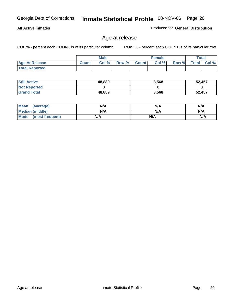#### **All Active Inmates**

Produced for **General Distribution**

### Age at release

|                       |              | <b>Male</b> |       |              | <b>Female</b> |       | <b>Total</b> |       |
|-----------------------|--------------|-------------|-------|--------------|---------------|-------|--------------|-------|
| <b>Age At Release</b> | <b>Count</b> | Col%        | Row % | <b>Count</b> | Col %         | Row % | <b>Total</b> | Col % |
| <b>Total Reported</b> |              |             |       |              |               |       |              |       |

| <b>Still Active</b> | 48,889 | 3,568 | 52,457 |
|---------------------|--------|-------|--------|
| <b>Not Reported</b> |        |       |        |
| <b>Grand Total</b>  | 48,889 | 3,568 | 52,457 |

| Mean (average)       | N/A | N/A | N/A |
|----------------------|-----|-----|-----|
| Median (middle)      | N/A | N/A | N/A |
| Mode (most frequent) | N/A | N/A | N/A |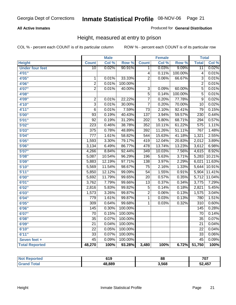#### **All Active Inmates**

Produced for **General Distribution**

### Height, measured at entry to prison

|                        |                  | <b>Male</b> |                  |                  | <b>Female</b> |         | <b>Total</b>     |        |
|------------------------|------------------|-------------|------------------|------------------|---------------|---------|------------------|--------|
| <b>Height</b>          | <b>Count</b>     | Col %       | Row <sup>%</sup> | <b>Count</b>     | Col %         | Row %   | <b>Total</b>     | Col %  |
| <b>Under four feet</b> | $\overline{10}$  | 0.02%       | 90.91%           | 1                | 0.03%         | 9.09%   | $\overline{11}$  | 0.02%  |
| 4'01''                 |                  |             |                  | $\overline{4}$   | 0.11%         | 100.00% | $\overline{4}$   | 0.01%  |
| 4'05"                  | $\mathbf{1}$     | 0.01%       | 33.33%           | $\overline{2}$   | 0.06%         | 66.67%  | $\overline{3}$   | 0.01%  |
| 4'06"                  | $\overline{2}$   | 0.01%       | 100.00%          |                  |               |         | $\overline{2}$   | 0.01%  |
| 4'07"                  | $\overline{2}$   | 0.01%       | 40.00%           | $\overline{3}$   | 0.09%         | 60.00%  | $\overline{5}$   | 0.01%  |
| 4'08"                  |                  |             |                  | $\overline{5}$   | 0.14%         | 100.00% | $\overline{5}$   | 0.01%  |
| 4'09"                  | $\overline{2}$   | 0.01%       | 22.22%           | $\overline{7}$   | 0.20%         | 77.78%  | $\overline{9}$   | 0.02%  |
| 4'10''                 | $\overline{3}$   | 0.01%       | 30.00%           | $\overline{7}$   | 0.20%         | 70.00%  | 10               | 0.02%  |
| 4'11''                 | 6                | 0.01%       | 7.59%            | $\overline{73}$  | 2.10%         | 92.41%  | 79               | 0.15%  |
| 5'00''                 | 93               | 0.19%       | 40.43%           | 137              | 3.94%         | 59.57%  | 230              | 0.44%  |
| 5'01''                 | $\overline{92}$  | 0.19%       | 31.29%           | $\overline{202}$ | 5.80%         | 68.71%  | 294              | 0.57%  |
| 5'02''                 | $\overline{223}$ | 0.46%       | 38.78%           | 352              | 10.11%        | 61.22%  | 575              | 1.11%  |
| 5'03''                 | $\overline{375}$ | 0.78%       | 48.89%           | 392              | 11.26%        | 51.11%  | 767              | 1.48%  |
| 5'04"                  | $\overline{777}$ | 1.61%       | 58.82%           | 544              | 15.63%        | 41.18%  | 1,321            | 2.55%  |
| 5'05''                 | 1,593            | 3.30%       | 79.17%           | 419              | 12.04%        | 20.83%  | 2,012            | 3.89%  |
| 5'06''                 | 3,134            | 6.49%       | 86.77%           | 478              | 13.74%        | 13.23%  | 3,612            | 6.98%  |
| 5'07''                 | 4,266            | 8.84%       | 92.44%           | 349              | 10.03%        | 7.56%   | 4,615            | 8.92%  |
| 5'08''                 | 5,087            | 10.54%      | 96.29%           | 196              | 5.63%         | 3.71%   | 5,283            | 10.21% |
| 5'09''                 | 5,883            | 12.19%      | 97.71%           | 138              | 3.97%         | 2.29%   | 6,021            | 11.63% |
| 5'10''                 | 5,569            | 11.54%      | 98.67%           | $\overline{75}$  | 2.16%         | 1.33%   | 5,644            | 10.91% |
| 5'11''                 | 5,850            | 12.12%      | 99.09%           | $\overline{54}$  | 1.55%         | 0.91%   | 5,904            | 11.41% |
| 6'00''                 | 5,692            | 11.79%      | 99.65%           | $\overline{20}$  | 0.57%         | 0.35%   | 5,712            | 11.04% |
| 6'01''                 | 3,762            | 7.79%       | 99.66%           | $\overline{13}$  | 0.37%         | 0.34%   | 3,775            | 7.29%  |
| 6'02''                 | 2,816            | 5.83%       | 99.82%           | $\overline{5}$   | 0.14%         | 0.18%   | 2,821            | 5.45%  |
| 6'03''                 | 1,573            | 3.26%       | 99.87%           | $\overline{2}$   | 0.06%         | 0.13%   | 1,575            | 3.04%  |
| 6'04''                 | 779              | 1.61%       | 99.87%           | $\mathbf 1$      | 0.03%         | 0.13%   | 780              | 1.51%  |
| 6'05''                 | 309              | 0.64%       | 99.68%           | 1                | 0.03%         | 0.32%   | $\overline{310}$ | 0.60%  |
| 6'06''                 | 145              | 0.30%       | 100.00%          |                  |               |         | 145              | 0.28%  |
| 6'07''                 | $\overline{70}$  | 0.15%       | 100.00%          |                  |               |         | 70               | 0.14%  |
| 6'08''                 | $\overline{35}$  | 0.07%       | 100.00%          |                  |               |         | $\overline{35}$  | 0.07%  |
| 6'09''                 | $\overline{21}$  | 0.04%       | 100.00%          |                  |               |         | $\overline{21}$  | 0.04%  |
| 6'10''                 | $\overline{22}$  | 0.05%       | 100.00%          |                  |               |         | $\overline{22}$  | 0.04%  |
| 6'11''                 | $\overline{33}$  | 0.07%       | 100.00%          |                  |               |         | $\overline{33}$  | 0.06%  |
| Seven feet +           | $\overline{45}$  | 0.09%       | 100.00%          |                  |               |         | $\overline{45}$  | 0.09%  |
| <b>Total Reported</b>  | 48,270           | 100%        | 93.28%           | 3,480            | 100%          | 6.72%   | 51,750           | 100%   |

| rtec'  | 619    | 88    | 707<br>ו טו |
|--------|--------|-------|-------------|
| $\sim$ | 48,889 | 3.568 | 52,457      |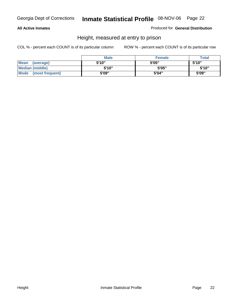#### **All Active Inmates**

Produced for **General Distribution**

### Height, measured at entry to prison

|                        | <b>Male</b> | <b>Female</b> | <b>Total</b> |
|------------------------|-------------|---------------|--------------|
| Mean (average)         | 5'10"       | 5'05"         | 5'10''       |
| <b>Median (middle)</b> | 5'10''      | 5'05"         | 5'10''       |
| Mode (most frequent)   | 5'09"       | 5'04"         | 5'09"        |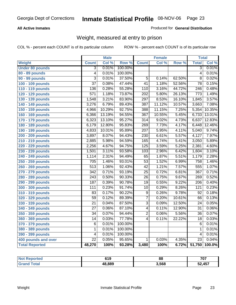#### **All Active Inmates**

#### Produced for **General Distribution**

### Weight, measured at entry to prison

|                        |                  | <b>Male</b> |         |                  | <b>Female</b> |        | <b>Total</b>     |        |
|------------------------|------------------|-------------|---------|------------------|---------------|--------|------------------|--------|
| Weight                 | <b>Count</b>     | Col %       | Row %   | <b>Count</b>     | Col %         | Row %  | <b>Total</b>     | Col %  |
| <b>Under 80 pounds</b> | $\overline{3}$   | 0.01%       | 100.00% |                  |               |        | $\overline{3}$   | 0.01%  |
| 80 - 89 pounds         | $\overline{4}$   | 0.01%       | 100.00% |                  |               |        | $\overline{4}$   | 0.01%  |
| 90 - 99 pounds         | $\overline{3}$   | 0.01%       | 37.50%  | $\overline{5}$   | 0.14%         | 62.50% | $\overline{8}$   | 0.02%  |
| 100 - 109 pounds       | $\overline{37}$  | 0.08%       | 47.44%  | $\overline{41}$  | 1.18%         | 52.56% | $\overline{78}$  | 0.15%  |
| 110 - 119 pounds       | 136              | 0.28%       | 55.28%  | 110              | 3.16%         | 44.72% | $\overline{246}$ | 0.48%  |
| 120 - 129 pounds       | $\overline{571}$ | 1.18%       | 73.87%  | $\overline{202}$ | 5.80%         | 26.13% | $\overline{773}$ | 1.49%  |
| 130 - 139 pounds       | 1,548            | 3.21%       | 83.90%  | 297              | 8.53%         | 16.10% | 1,845            | 3.57%  |
| 140 - 149 pounds       | 3,276            | 6.79%       | 89.43%  | 387              | 11.12%        | 10.57% | 3,663            | 7.08%  |
| 150 - 159 pounds       | 4,966            | 10.29%      | 92.75%  | 388              | 11.15%        | 7.25%  | 5,354            | 10.35% |
| 160 - 169 pounds       | 6,366            | 13.19%      | 94.55%  | $\overline{367}$ | 10.55%        | 5.45%  | 6,733            | 13.01% |
| 170 - 179 pounds       | 6,323            | 13.10%      | 95.27%  | $\overline{314}$ | 9.02%         | 4.73%  | 6,637            | 12.83% |
| 180 - 189 pounds       | 6,179            | 12.80%      | 95.83%  | 269              | 7.73%         | 4.17%  | 6,448            | 12.46% |
| 190 - 199 pounds       | 4,833            | 10.01%      | 95.89%  | $\overline{207}$ | 5.95%         | 4.11%  | 5,040            | 9.74%  |
| 200 - 209 pounds       | 3,897            | 8.07%       | 94.43%  | 230              | 6.61%         | 5.57%  | 4,127            | 7.97%  |
| 210 - 219 pounds       | 2,885            | 5.98%       | 94.59%  | 165              | 4.74%         | 5.41%  | 3,050            | 5.89%  |
| 220 - 229 pounds       | 2,256            | 4.67%       | 94.75%  | 125              | 3.59%         | 5.25%  | 2,381            | 4.60%  |
| 230 - 239 pounds       | 1,501            | 3.11%       | 93.58%  | 103              | 2.96%         | 6.42%  | 1,604            | 3.10%  |
| 240 - 249 pounds       | 1,114            | 2.31%       | 94.49%  | 65               | 1.87%         | 5.51%  | 1,179            | 2.28%  |
| 250 - 259 pounds       | $\overline{705}$ | 1.46%       | 93.01%  | $\overline{53}$  | 1.52%         | 6.99%  | 758              | 1.46%  |
| 260 - 269 pounds       | $\overline{513}$ | 1.06%       | 92.43%  | $\overline{42}$  | 1.21%         | 7.57%  | 555              | 1.07%  |
| 270 - 279 pounds       | $\overline{342}$ | 0.71%       | 93.19%  | $\overline{25}$  | 0.72%         | 6.81%  | 367              | 0.71%  |
| 280 - 289 pounds       | $\overline{243}$ | 0.50%       | 90.33%  | $\overline{26}$  | 0.75%         | 9.67%  | 269              | 0.52%  |
| 290 - 299 pounds       | 187              | 0.39%       | 90.78%  | $\overline{19}$  | 0.55%         | 9.22%  | $\overline{206}$ | 0.40%  |
| 300 - 309 pounds       | 111              | 0.23%       | 91.74%  | $\overline{10}$  | 0.29%         | 8.26%  | 121              | 0.23%  |
| 310 - 319 pounds       | 83               | 0.17%       | 90.22%  | $\overline{9}$   | 0.26%         | 9.78%  | $\overline{92}$  | 0.18%  |
| 320 - 329 pounds       | $\overline{59}$  | 0.12%       | 89.39%  | $\overline{7}$   | 0.20%         | 10.61% | 66               | 0.13%  |
| 330 - 339 pounds       | $\overline{21}$  | 0.04%       | 87.50%  | $\overline{3}$   | 0.09%         | 12.50% | $\overline{24}$  | 0.05%  |
| 340 - 349 pounds       | $\overline{27}$  | 0.06%       | 87.10%  | $\overline{4}$   | 0.11%         | 12.90% | $\overline{31}$  | 0.06%  |
| 350 - 359 pounds       | $\overline{34}$  | 0.07%       | 94.44%  | $\overline{2}$   | 0.06%         | 5.56%  | $\overline{36}$  | 0.07%  |
| 360 - 369 pounds       | 14               | 0.03%       | 77.78%  | $\overline{4}$   | 0.11%         | 22.22% | 18               | 0.03%  |
| 370 - 379 pounds       | 6                | 0.01%       | 100.00% |                  |               |        | 6                | 0.01%  |
| 380 - 389 pounds       | 1                | 0.01%       | 100.00% |                  |               |        | 1                | 0.01%  |
| 390 - 399 pounds       | $\overline{4}$   | 0.01%       | 100.00% |                  |               |        | 4                | 0.01%  |
| 400 pounds and over    | $\overline{22}$  | 0.05%       | 95.65%  | 1                | 0.03%         | 4.35%  | $\overline{23}$  | 0.04%  |
| <b>Total Reported</b>  | 48,270           | 100%        | 93.28%  | 3,480            | 100%          | 6.72%  | 51,750           | 100.0% |

| <b>Reported</b><br>NO. | 619    | 88    | 707<br>. v. |
|------------------------|--------|-------|-------------|
| ota.                   | 48.889 | 3,568 | 52,457      |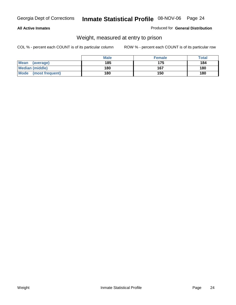#### **All Active Inmates**

#### Produced for **General Distribution**

### Weight, measured at entry to prison

|                          | <b>Male</b> | <b>Female</b> | <b>Total</b> |
|--------------------------|-------------|---------------|--------------|
| <b>Mean</b><br>(average) | 185         | 175           | 184          |
| <b>Median (middle)</b>   | 180         | 167           | 180          |
| Mode<br>(most frequent)  | 180         | 150           | 180          |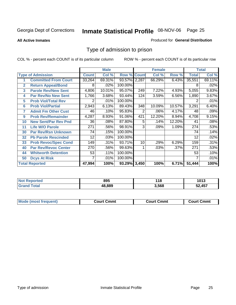**All Active Inmates**

#### Produced for **General Distribution**

### Type of admission to prison

|                       |                             |              | <b>Male</b> |                    |                | <b>Female</b> |        |              | <b>Total</b> |
|-----------------------|-----------------------------|--------------|-------------|--------------------|----------------|---------------|--------|--------------|--------------|
|                       | <b>Type of Admission</b>    | <b>Count</b> | Col %       | <b>Row % Count</b> |                | Col %         | Row %  | <b>Total</b> | Col %        |
| 1                     | <b>Committed From Court</b> | 33,264       | 69.31%      | 93.57% 2,287       |                | 66.29%        | 6.43%  | 35,551       | 69.11%       |
| $\mathbf{2}$          | <b>Return Appeal/Bond</b>   | 8            | .02%        | 100.00%            |                |               |        | 8            | .02%         |
| 3                     | <b>Parole Rev/New Sent</b>  | 4,806        | 10.01%      | 95.07%             | 249            | 7.22%         | 4.93%  | 5,055        | 9.83%        |
| 4                     | <b>Par Rev/No New Sent</b>  | 1,766        | 3.68%       | 93.44%             | 124            | 3.59%         | 6.56%  | 1,890        | 3.67%        |
| 5                     | <b>Prob Viol/Total Rev</b>  | 2            | .01%        | 100.00%            |                |               |        |              | .01%         |
| 6                     | <b>Prob Viol/Partial</b>    | 2,943        | 6.13%       | 89.43%             | 348            | 10.09%        | 10.57% | 3,291        | 6.40%        |
| 7                     | <b>Admit Fm Other Cust</b>  | 46           | .10%        | 95.83%             | $\overline{2}$ | .06%          | 4.17%  | 48           | .09%         |
| 9                     | <b>Prob Rev/Remainder</b>   | 4,287        | 8.93%       | 91.06%             | 421            | 12.20%        | 8.94%  | 4,708        | 9.15%        |
| 10                    | <b>New Sent/Par Rev Pnd</b> | 36           | .08%        | 87.80%             | 5              | .14%          | 12.20% | 41           | .08%         |
| 11                    | <b>Life W/O Parole</b>      | 271          | .56%        | 98.91%             | 3              | .09%          | 1.09%  | 274          | .53%         |
| 30                    | <b>Par Rev/Rsn Unknown</b>  | 74           | .15%        | 100.00%            |                |               |        | 74           | .14%         |
| 32                    | <b>Pb Parole Rescinded</b>  | 12           | .03%        | 100.00%            |                |               |        | 12           | .02%         |
| 33                    | <b>Prob Revoc/Spec Cond</b> | 149          | .31%        | 93.71%             | 10             | .29%          | 6.29%  | 159          | .31%         |
| 40                    | <b>Par Rev/Revoc Center</b> | 270          | .56%        | 99.63%             |                | .03%          | .37%   | 271          | .53%         |
| 44                    | <b>Whitworth Detention</b>  | 53           | .11%        | 100.00%            |                |               |        | 53           | .10%         |
| 50                    | <b>Dcys At Risk</b>         | 7            | .01%        | 100.00%            |                |               |        |              | .01%         |
| <b>Total Reported</b> |                             | 47,994       | 100%        | 93.29% 3,450       |                | 100%          | 6.71%  | 51,444       | 100%         |

| Reported<br><b>NOT</b> | 895   | 140<br>. IO | 1013 |
|------------------------|-------|-------------|------|
| Gr                     | 8.889 | 3.568       | .457 |

| Mou.<br>uent)<br>most trea | Court Cmmt | Cmmt<br>COULLET. | Cmm<br>∶ourt |
|----------------------------|------------|------------------|--------------|
|                            |            |                  |              |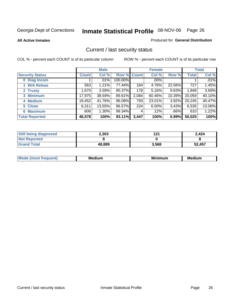**All Active Inmates**

#### Produced for **General Distribution**

### Current / last security status

|                        | <b>Male</b>  |        |                    | <b>Female</b> |          |           | <b>Total</b> |        |
|------------------------|--------------|--------|--------------------|---------------|----------|-----------|--------------|--------|
| <b>Security Status</b> | <b>Count</b> | Col %  | <b>Row % Count</b> |               | Col %    | Row %     | <b>Total</b> | Col %  |
| 0 Diag Incom           |              | .01%   | 100.00%            |               | $.00\%$  |           |              | .01%   |
| 1 Wrk Releas           | 563          | 1.21%  | 77.44%             | 164           | 4.76%    | 22.56%    | 727          | 1.45%  |
| 2 Trusty               | 1.670        | 3.59%  | 90.37%             | 178           | $5.16\%$ | 9.63%     | 1,848        | 3.69%  |
| 3 Minimum              | 17,975       | 38.59% | 89.61%             | 2,084         | 60.46%   | $10.39\%$ | 20,059       | 40.10% |
| 4 Medium               | 19,452       | 41.76% | 96.08%             | 793           | 23.01%   | 3.92%     | 20,245       | 40.47% |
| 5 Close                | 6,311        | 13.55% | 96.57%             | 224           | 6.50%    | 3.43%     | 6,535        | 13.06% |
| <b>6 Maximum</b>       | 606          | 1.30%  | 99.34%             | 4             | .12%     | .66%      | 610          | 1.22%  |
| <b>Total Reported</b>  | 46,578       | 100%   | 93.11%             | 3,447         | 100%     | 6.89%     | 50,025       | 100%   |

| <b>Still being diagnosed</b> | 2,303  | 191<br>I 4 I | 2.424  |
|------------------------------|--------|--------------|--------|
| <b>Not Reported</b>          |        |              |        |
| <b>Grand Total</b>           | 48,889 | 3,568        | 52,457 |

| $M_{\Omega}$<br>יחב | M۵<br>dium | <b>BAL.</b><br>num | Mer<br>dium |
|---------------------|------------|--------------------|-------------|
|                     |            |                    |             |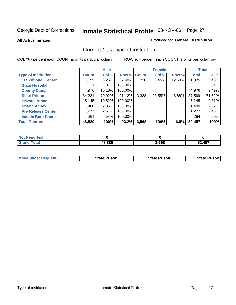**All Active Inmates**

#### Produced for **General Distribution**

### Current / last type of institution

|                            |              | <b>Male</b> |         |              | <b>Female</b> |        |              | <b>Total</b> |
|----------------------------|--------------|-------------|---------|--------------|---------------|--------|--------------|--------------|
| <b>Type of Institution</b> | <b>Count</b> | Col %       | Row %   | <b>Count</b> | Col %         | Row %  | <b>Total</b> | Col %        |
| <b>Transitional Center</b> | 1,595        | 3.26%       | 87.40%  | 230          | 6.45%         | 12.60% | 1,825        | 3.48%        |
| <b>State Hospital</b>      |              | $.01\%$     | 100.00% |              |               |        |              | .01%         |
| <b>County Camp</b>         | 4,976        | 10.18%      | 100.00% |              |               |        | 4,976        | 9.49%        |
| <b>State Prison</b>        | 34,231       | 70.02%      | 91.12%  | 3,338        | 93.55%        | 8.88%  | 37,569       | 71.62%       |
| <b>Private Prison</b>      | 5,145        | 10.52%      | 100.00% |              |               |        | 5,145        | 9.81%        |
| <b>Prison Annex</b>        | 1,400        | 2.86%       | 100.00% |              |               |        | 1,400        | 2.67%        |
| <b>Pre Release Center</b>  | 1,277        | 2.61%       | 100.00% |              |               |        | 1,277        | 2.43%        |
| <b>Inmate Boot Camp</b>    | 264          | .54%        | 100.00% |              |               |        | 264          | .50%         |
| <b>Total Rported</b>       | 48,889       | 100%        | 93.2%   | 3,568        | 100%          | 6.8%   | 52,457       | 100%         |

| <b>Reported</b><br>' Not  |        |       |        |
|---------------------------|--------|-------|--------|
| Γotal<br>Gra <sup>r</sup> | 48,889 | 3,568 | 52,457 |

| <b>Mode (most frequent)</b> | <b>State Prison</b> | <b>State Prison</b> | <b>State Prison</b> |
|-----------------------------|---------------------|---------------------|---------------------|
|                             |                     |                     |                     |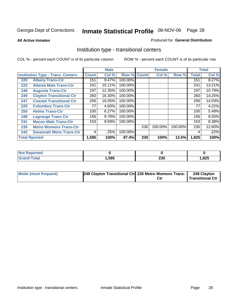**All Active Inmates**

#### Produced for **General Distribution**

### Institution type - transitional centers

|     |                                          |              | <b>Male</b> |         |              | <b>Female</b> |         |              | <b>Total</b> |
|-----|------------------------------------------|--------------|-------------|---------|--------------|---------------|---------|--------------|--------------|
|     | <b>Institution Type - Trans. Centers</b> | <b>Count</b> | Col %       | Row %   | <b>Count</b> | Col %         | Row %   | <b>Total</b> | Col %        |
| 220 | <b>Albany Trans-Ctr</b>                  | 151          | 9.47%       | 100.00% |              |               |         | 151          | 8.27%        |
| 223 | <b>Atlanta Male Trans-Ctr</b>            | 241          | 15.11%      | 100.00% |              |               |         | 241          | 13.21%       |
| 246 | <b>Augusta Trans-Ctr</b>                 | 197          | 12.35%      | 100.00% |              |               |         | 197          | 10.79%       |
| 249 | <b>Clayton Transitional Ctr</b>          | 260          | 16.30%      | 100.00% |              |               |         | 260          | 14.25%       |
| 247 | <b>Coastal Transitional Ctr</b>          | 256          | 16.05%      | 100.00% |              |               |         | 256          | 14.03%       |
| 225 | <b>Columbus Trans-Ctr</b>                | 77           | 4.83%       | 100.00% |              |               |         | 77           | 4.22%        |
| 250 | <b>Helms Trans-Ctr</b>                   | 100          | 6.27%       | 100.00% |              |               |         | 100          | 5.48%        |
| 248 | <b>Lagrange Trans Ctr</b>                | 156          | 9.78%       | 100.00% |              |               |         | 156          | 8.55%        |
| 231 | <b>Macon Male Trans-Ctr</b>              | 153          | 9.59%       | 100.00% |              |               |         | 153          | $8.38\%$     |
| 235 | <b>Metro Womens Trans-Ctr</b>            |              |             |         | 230          | 100.00%       | 100.00% | 230          | 12.60%       |
| 242 | <b>Savannah Mens Trans-Ctr</b>           | 4            | .25%        | 100.00% |              |               |         | 4            | .22%         |
|     | <b>Total Rported</b>                     | 1,595        | 100%        | 87.4%   | 230          | 100%          | 12.6%   | 1,825        | 100%         |

| <b>Reported</b><br> |       |            |      |
|---------------------|-------|------------|------|
| <b>Total</b>        | Ⅰ,595 | າາດ<br>ZJU | ,825 |

| Mode (most frequent) | [249 Clayton Transitional Ctr] 235 Metro Womens Trans- | Ctı | 249 Clayton<br>Transitional Ctr |
|----------------------|--------------------------------------------------------|-----|---------------------------------|
|                      |                                                        |     |                                 |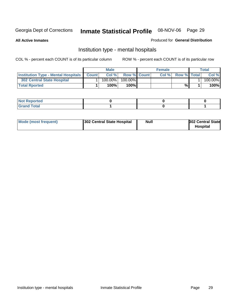**All Active Inmates**

#### Produced for **General Distribution**

### Institution type - mental hospitals

|                                                  | Male       |                    | <b>Female</b> |                    | Total   |
|--------------------------------------------------|------------|--------------------|---------------|--------------------|---------|
| <b>Institution Type - Mental Hospitals Count</b> | Col %      | <b>Row % Count</b> | Col%          | <b>Row % Total</b> | Col %   |
| 302 Central State Hospital                       | $100.00\%$ | 100.00%            |               |                    | 100.00% |
| <b>Total Rported</b>                             | 100%       | 100%I              |               | %                  | 100%    |

| Not Reported |  |  |
|--------------|--|--|
| <b>otal</b>  |  |  |

| Mode (most frequent)<br>302 Central State Hospital | Null | <b>302 Central State</b><br><b>Hospital</b> |
|----------------------------------------------------|------|---------------------------------------------|
|----------------------------------------------------|------|---------------------------------------------|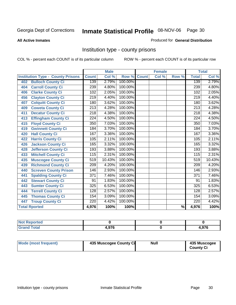#### **All Active Inmates**

#### Produced for **General Distribution**

### Institution type - county prisons

|                                          |                  | <b>Male</b> |         |              | <b>Female</b> |                          |                  | <b>Total</b>               |
|------------------------------------------|------------------|-------------|---------|--------------|---------------|--------------------------|------------------|----------------------------|
| <b>Institution Type - County Prisons</b> | <b>Count</b>     | Col %       | Row %   | <b>Count</b> | Col %         | Row %                    | <b>Total</b>     | $\overline{\text{Col }^9}$ |
| <b>Bulloch County Ci</b><br>402          | 139              | 2.79%       | 100.00% |              |               |                          | 139              | 2.79%                      |
| <b>Carroll County Ci</b><br>404          | 239              | 4.80%       | 100.00% |              |               |                          | 239              | 4.80%                      |
| <b>Clarke County Ci</b><br>406           | 102              | 2.05%       | 100.00% |              |               |                          | 102              | 2.05%                      |
| <b>Clayton County Ci</b><br>456          | 219              | 4.40%       | 100.00% |              |               |                          | 219              | 4.40%                      |
| <b>Colquitt County Ci</b><br>407         | 180              | 3.62%       | 100.00% |              |               |                          | 180              | 3.62%                      |
| <b>Coweta County Ci</b><br>409           | $\overline{213}$ | 4.28%       | 100.00% |              |               |                          | $\overline{213}$ | 4.28%                      |
| <b>Decatur County Ci</b><br>411          | 218              | 4.38%       | 100.00% |              |               |                          | 218              | 4.38%                      |
| <b>Effingham County Ci</b><br>413        | 224              | 4.50%       | 100.00% |              |               |                          | 224              | 4.50%                      |
| <b>Floyd County Ci</b><br>415            | 350              | 7.03%       | 100.00% |              |               |                          | 350              | 7.03%                      |
| <b>Gwinnett County Ci</b><br>419         | 184              | 3.70%       | 100.00% |              |               |                          | 184              | 3.70%                      |
| <b>Hall County Ci</b><br>420             | 167              | 3.36%       | 100.00% |              |               |                          | 167              | 3.36%                      |
| <b>Harris County Ci</b><br>422           | 105              | 2.11%       | 100.00% |              |               |                          | 105              | 2.11%                      |
| <b>Jackson County Ci</b><br>426          | 165              | 3.32%       | 100.00% |              |               |                          | 165              | 3.32%                      |
| <b>Jefferson County Ci</b><br>428        | 193              | 3.88%       | 100.00% |              |               |                          | 193              | 3.88%                      |
| <b>Mitchell County Ci</b><br>433         | 115              | 2.31%       | 100.00% |              |               |                          | 115              | 2.31%                      |
| <b>Muscogee County Ci</b><br>435         | 519              | 10.43%      | 100.00% |              |               |                          | 519              | 10.43%                     |
| <b>Richmond County Ci</b><br>439         | $\overline{209}$ | 4.20%       | 100.00% |              |               |                          | 209              | 4.20%                      |
| <b>Screven County Prison</b><br>440      | 146              | 2.93%       | 100.00% |              |               |                          | 146              | 2.93%                      |
| <b>Spalding County Ci</b><br>441         | $\overline{371}$ | 7.46%       | 100.00% |              |               |                          | $\overline{371}$ | 7.46%                      |
| <b>Stewart County Ci</b><br>442          | 91               | 1.83%       | 100.00% |              |               |                          | 91               | 1.83%                      |
| <b>Sumter County Ci</b><br>443           | 325              | 6.53%       | 100.00% |              |               |                          | 325              | 6.53%                      |
| <b>Terrell County Ci</b><br>444          | 128              | 2.57%       | 100.00% |              |               |                          | 128              | 2.57%                      |
| <b>Thomas County Ci</b><br>445           | 154              | 3.09%       | 100.00% |              |               |                          | 154              | 3.09%                      |
| <b>Troup County Ci</b><br>447            | 220              | 4.42%       | 100.00% |              |               |                          | 220              | 4.42%                      |
| <b>Total Rported</b>                     | 4,976            | 100%        | 100%    |              |               | $\overline{\frac{9}{6}}$ | 4,976            | 100%                       |

| æ                                            |      |               |
|----------------------------------------------|------|---------------|
| $\sim$<br>$\sim$ $\sim$ $\sim$ $\sim$ $\sim$ | 0.70 | $\sim$<br>1 U |

| Mode (most frequent) | 435 Muscogee County Ci | <b>Null</b> | 435 Muscogee     |
|----------------------|------------------------|-------------|------------------|
|                      |                        |             | <b>County Ci</b> |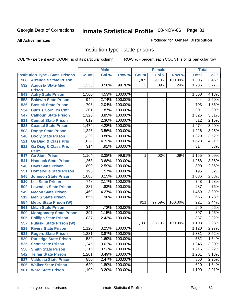#### **All Active Inmates**

#### Produced for **General Distribution**

### Institution type - state prisons

|     |                                                 |                  | <b>Male</b> |         |                | <b>Female</b> |         | <b>Total</b>     |       |
|-----|-------------------------------------------------|------------------|-------------|---------|----------------|---------------|---------|------------------|-------|
|     | <b>Institution Type - State Prisons</b>         | <b>Count</b>     | Col %       | Row %   | <b>Count</b>   | Col %         | Row %   | <b>Total</b>     | Col % |
| 508 | <b>Arrendale State Prison</b>                   |                  |             |         | 1,305          | 39.10%        | 100.00% | 1,305            | 3.46% |
|     | 532 Augusta State Med.<br><b>Prison</b>         | 1,233            | 3.58%       | 99.76%  | 3              | .09%          | .24%    | 1,236            | 3.27% |
| 543 | <b>Autry State Prison</b>                       | 1,560            | 4.53%       | 100.00% |                |               |         | 1,560            | 4.13% |
| 553 | <b>Baldwin State Prison</b>                     | 944              | 2.74%       | 100.00% |                |               |         | 944              | 2.50% |
| 536 | <b>Bostick State Prison</b>                     | 703              | 2.04%       | 100.00% |                |               |         | 703              | 1.86% |
| 534 | <b>Burrus Corr Trn Cntr</b>                     | 301              | .87%        | 100.00% |                |               |         | 301              | .80%  |
| 547 | <b>Calhoun State Prison</b>                     | 1,326            | 3.85%       | 100.00% |                |               |         | 1,326            | 3.51% |
| 531 | <b>Central State Prison</b>                     | 812              | 2.36%       | 100.00% |                |               |         | 812              | 2.15% |
| 523 | <b>Coastal State Prison</b>                     | 1,474            | 4.28%       | 100.00% |                |               |         | 1,474            | 3.90% |
| 503 | <b>Dodge State Prison</b>                       | 1,226            | 3.56%       | 100.00% |                |               |         | 1,226            | 3.25% |
| 548 | <b>Dooly State Prison</b>                       | 1,329            | 3.86%       | 100.00% |                |               |         | 1,329            | 3.52% |
| 521 | <b>Ga Diag &amp; Class Pris</b>                 | 1,628            | 4.73%       | 100.00% |                |               |         | 1,628            | 4.31% |
| 522 | <b>Ga Diag &amp; Class Pris-</b><br><b>Perm</b> | 314              | .91%        | 100.00% |                |               |         | $\overline{314}$ | .83%  |
| 517 | <b>Ga State Prison</b>                          | 1,164            | 3.38%       | 99.91%  | 1 <sup>1</sup> | .03%          | .09%    | 1,165            | 3.09% |
| 541 | <b>Hancock State Prison</b>                     | 1,268            | 3.68%       | 100.00% |                |               |         | 1,268            | 3.36% |
| 540 | <b>Hays State Prison</b>                        | 890              | 2.59%       | 100.00% |                |               |         | 890              | 2.36% |
| 551 | <b>Homerville State Prison</b>                  | 195              | .57%        | 100.00% |                |               |         | 195              | .52%  |
| 545 | <b>Johnson State Prison</b>                     | 1,086            | 3.15%       | 100.00% |                |               |         | 1,086            | 2.88% |
| 510 | <b>Lee State Prison</b>                         | 748              | 2.17%       | 100.00% |                |               |         | 748              | 1.98% |
| 502 | <b>Lowndes State Prison</b>                     | 287              | .83%        | 100.00% |                |               |         | 287              | .76%  |
| 549 | <b>Macon State Prison</b>                       | 1,469            | 4.27%       | 100.00% |                |               |         | 1,469            | 3.89% |
| 519 | <b>Men'S State Prison</b>                       | 655              | 1.90%       | 100.00% |                |               |         | 655              | 1.73% |
| 554 | <b>Metro State Prison (W)</b>                   |                  |             |         | 921            | 27.59%        | 100.00% | 921              | 2.44% |
| 561 | <b>Milan State Prison</b>                       | $\overline{249}$ | .72%        | 100.00% |                |               |         | $\overline{249}$ | .66%  |
| 509 | <b>Montgomery State Prison</b>                  | 397              | 1.15%       | 100.00% |                |               |         | 397              | 1.05% |
| 505 | <b>Phillips State Prison</b>                    | 837              | 2.43%       | 100.00% |                |               |         | 837              | 2.22% |
| 557 | <b>Pulaski State Prison (W)</b>                 |                  |             |         | 1,108          | 33.19%        | 100.00% | 1,108            | 2.93% |
| 529 | <b>Rivers State Prison</b>                      | 1,120            | 3.25%       | 100.00% |                |               |         | 1,120            | 2.97% |
| 533 | <b>Rogers State Prison</b>                      | 1,331            | 3.87%       | 100.00% |                |               |         | 1,331            | 3.52% |
| 530 | <b>Rutledge State Prison</b>                    | 582              | 1.69%       | 100.00% |                |               |         | 582              | 1.54% |
| 525 | <b>Scott State Prison</b>                       | 1,245            | 3.62%       | 100.00% |                |               |         | 1,245            | 3.30% |
| 550 | <b>Smith State Prison</b>                       | 1,215            | 3.53%       | 100.00% |                |               |         | 1,215            | 3.22% |
| 542 | <b>Telfair State Prison</b>                     | 1,201            | 3.49%       | 100.00% |                |               |         | 1,201            | 3.18% |
| 537 | <b>Valdosta State Prison</b>                    | 850              | 2.47%       | 100.00% |                |               |         | 850              | 2.25% |
| 506 | <b>Walker State Prison</b>                      | 620              | 1.80%       | 100.00% |                |               |         | 620              | 1.64% |
| 501 | <b>Ware State Prison</b>                        | 1,100            | 3.20%       | 100.00% |                |               |         | 1,100            | 2.91% |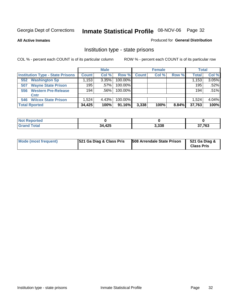**All Active Inmates**

#### Produced for **General Distribution**

### Institution type - state prisons

|                      |                                         |              | <b>Male</b> |         |              | <b>Female</b> |       | <b>Total</b> |         |
|----------------------|-----------------------------------------|--------------|-------------|---------|--------------|---------------|-------|--------------|---------|
|                      | <b>Institution Type - State Prisons</b> | <b>Count</b> | Col %       | Row %   | <b>Count</b> | Col %         | Row % | <b>Total</b> | Col %   |
| 552                  | <b>Washington Sp</b>                    | .153         | 3.35%       | 100.00% |              |               |       | 1,153        | 3.05%   |
| 507                  | <b>Wayne State Prison</b>               | 195          | $.57\%$     | 100.00% |              |               |       | 195          | $.52\%$ |
| 556                  | <b>Western Pre-Release</b>              | 194          | .56%        | 100.00% |              |               |       | 194          | .51%    |
| Cntr                 |                                         |              |             |         |              |               |       |              |         |
| 546                  | <b>Wilcox State Prison</b>              | 1,524        | 4.43%       | 100.00% |              |               |       | 1.524        | 4.04%   |
| <b>Total Rported</b> |                                         | 34,425       | 100%        | 91.16%  | 3,338        | 100%          | 8.84% | 37,763       | 100%    |

| วrtea<br>N<br>. |        |       |        |
|-----------------|--------|-------|--------|
|                 | 34,425 | 3,338 | 37,763 |

| Mode (most frequent) | <b>521 Ga Diag &amp; Class Pris</b> | 508 Arrendale State Prison | 521 Ga Diag &<br><b>Class Pris</b> |
|----------------------|-------------------------------------|----------------------------|------------------------------------|
|----------------------|-------------------------------------|----------------------------|------------------------------------|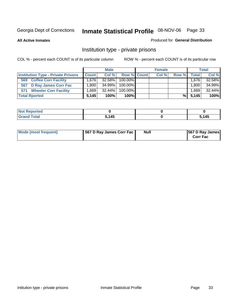**All Active Inmates**

#### Produced for **General Distribution**

### Institution type - private prisons

|                                           |              | <b>Male</b> |             | <b>Female</b> |       |              | <b>Total</b> |
|-------------------------------------------|--------------|-------------|-------------|---------------|-------|--------------|--------------|
| <b>Institution Type - Private Prisons</b> | <b>Count</b> | Col %       | Row % Count | Col %         | Row % | <b>Total</b> | Col %        |
| <b>Coffee Corr Facility</b><br>569        | 1.676        | $32.58\%$   | 100.00%     |               |       | 1,676        | 32.58%       |
| 567 D Ray James Corr Fac                  | .8001        | 34.99%      | 100.00%     |               |       | 1.800        | 34.99%       |
| <b>Wheeler Corr Facility</b><br>571       | .669         | $32.44\%$   | 100.00%     |               |       | 1,669        | 32.44%       |
| <b>Total Rported</b>                      | 5.145        | 100%        | $100\%$     |               | %∣    | 5.145        | 100%         |

| <b>Reported</b><br>' NOT |       |                |
|--------------------------|-------|----------------|
| <b>Total</b><br>---      | 5,145 | . <i>1 A F</i> |

| Mode (most frequent) | 567 D Ray James Corr Fac | <b>Null</b> | <b>567 D Ray James</b><br><b>Corr Fac</b> |
|----------------------|--------------------------|-------------|-------------------------------------------|
|----------------------|--------------------------|-------------|-------------------------------------------|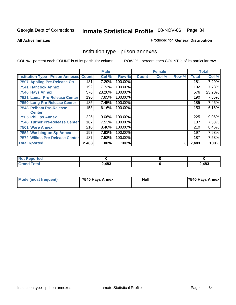#### **All Active Inmates**

#### Produced for **General Distribution**

### Institution type - prison annexes

|                                                |       | <b>Male</b> |         |              | <b>Female</b> |       |              | <b>Total</b> |
|------------------------------------------------|-------|-------------|---------|--------------|---------------|-------|--------------|--------------|
| <b>Institution Type - Prison Annexes Count</b> |       | Col %       | Row %   | <b>Count</b> | Col %         | Row % | <b>Total</b> | Col %        |
| 7507 Appling Pre-Release Ctr                   | 181   | 7.29%       | 100.00% |              |               |       | 181          | 7.29%        |
| <b>7541 Hancock Annex</b>                      | 192   | 7.73%       | 100.00% |              |               |       | 192          | 7.73%        |
| 7540 Hays Annex                                | 576   | 23.20%      | 100.00% |              |               |       | 576          | 23.20%       |
| 7521 Lamar Pre-Release Center                  | 190   | 7.65%       | 100.00% |              |               |       | 190          | 7.65%        |
| 7550 Long Pre-Release Center                   | 185   | 7.45%       | 100.00% |              |               |       | 185          | 7.45%        |
| 7543 Pelham Pre-Release                        | 153   | 6.16%       | 100.00% |              |               |       | 153          | 6.16%        |
| <b>Center</b>                                  |       |             |         |              |               |       |              |              |
| <b>7505 Phillips Annex</b>                     | 225   | 9.06%       | 100.00% |              |               |       | 225          | 9.06%        |
| <b>7546 Turner Pre-Release Center</b>          | 187   | 7.53%       | 100.00% |              |               |       | 187          | 7.53%        |
| 7501 Ware Annex                                | 210   | 8.46%       | 100.00% |              |               |       | 210          | $8.46\%$     |
| <b>7552 Washington Sp Annex</b>                | 197   | 7.93%       | 100.00% |              |               |       | 197          | 7.93%        |
| <b>7572 Wilkes Pre-Release Center</b>          | 187   | 7.53%       | 100.00% |              |               |       | 187          | 7.53%        |
| <b>Total Rported</b>                           | 2,483 | 100%        | 100%    |              |               | %     | 2,483        | 100%         |

| <b>Not Reported</b>          |       |       |
|------------------------------|-------|-------|
| <b>Total</b><br><b>Grand</b> | 2,483 | 2,483 |

| Mode (most frequent) | 7540 Hays Annex | <b>Null</b> | 7540 Hays Annex |
|----------------------|-----------------|-------------|-----------------|
|----------------------|-----------------|-------------|-----------------|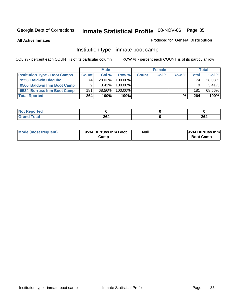**All Active Inmates**

#### Produced for **General Distribution**

### Institution type - inmate boot camp

|                                      |              | <b>Male</b> |            |              | <b>Female</b> |       |       | <b>Total</b> |
|--------------------------------------|--------------|-------------|------------|--------------|---------------|-------|-------|--------------|
| <b>Institution Type - Boot Camps</b> | <b>Count</b> | Col %       | Row %      | <b>Count</b> | Col %         | Row % | Total | Col %        |
| 9553 Baldwin Diag Ibc                | 74.          | 28.03%      | $100.00\%$ |              |               |       | 74    | 28.03%       |
| 9566 Baldwin Inm Boot Camp           |              | $3.41\%$    | 100.00%    |              |               |       |       | 3.41%        |
| 9534 Burruss Inm Boot Camp           | 181          | 68.56%      | $100.00\%$ |              |               |       | 181   | 68.56%       |
| <b>Total Rported</b>                 | 264          | 100%        | 100%       |              |               | %     | 264   | 100%         |

| NOT<br>oortea  |     |     |
|----------------|-----|-----|
| otal<br>$-1$ . | 264 | 264 |

| Mode (most frequent) | 9534 Burruss Inm Boot | <b>Null</b> | <b>9534 Burruss Inm</b><br><b>Boot Camp</b> |
|----------------------|-----------------------|-------------|---------------------------------------------|
|                      | Camp                  |             |                                             |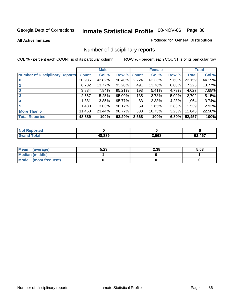#### **All Active Inmates**

#### Produced for **General Distribution**

### Number of disciplinary reports

|                                       |              | <b>Male</b> |        |              | <b>Female</b> |          |              | <b>Total</b> |
|---------------------------------------|--------------|-------------|--------|--------------|---------------|----------|--------------|--------------|
| <b>Number of Disciplinary Reports</b> | <b>Count</b> | Col %       | Row %  | <b>Count</b> | Col %         | Row %    | <b>Total</b> | Col %        |
|                                       | 20,935       | 42.82%      | 90.40% | 2,224        | $62.33\%$     | $9.60\%$ | 23,159       | 44.15%       |
|                                       | 6,732        | $13.77\%$   | 93.20% | 491          | 13.76%        | $6.80\%$ | 7,223        | 13.77%       |
| $\mathbf{2}$                          | 3,834        | 7.84%       | 95.21% | 193          | 5.41%         | 4.79%    | 4,027        | 7.68%        |
| 3                                     | 2,567        | 5.25%       | 95.00% | 135          | 3.78%         | $5.00\%$ | 2,702        | 5.15%        |
|                                       | .881         | 3.85%       | 95.77% | 83           | 2.33%         | 4.23%    | 1,964        | 3.74%        |
| 5                                     | ,480         | 3.03%       | 96.17% | 59           | 1.65%         | 3.83%    | 1,539        | 2.93%        |
| <b>More Than 5</b>                    | 11,460       | 23.44%      | 96.77% | 383          | 10.73%        | 3.23%    | 11,843       | 22.58%       |
| <b>Total Reported</b>                 | 48,889       | 100%        | 93.20% | 3,568        | 100%          | 6.80%    | 52,457       | 100%         |

| <b>Not</b><br>eported |        |       |        |
|-----------------------|--------|-------|--------|
| <b>Total</b>          | 48.889 | 3,568 | 52,457 |

| Mean (average)       | 5.23 | 2.38 | 5.03 |
|----------------------|------|------|------|
| Median (middle)      |      |      |      |
| Mode (most frequent) |      |      |      |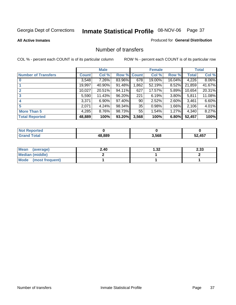### **All Active Inmates**

### Produced for **General Distribution**

## Number of transfers

|                            |         | <b>Male</b> |        |              | <b>Female</b> |          |              | <b>Total</b> |
|----------------------------|---------|-------------|--------|--------------|---------------|----------|--------------|--------------|
| <b>Number of Transfers</b> | Count l | Col %       | Row %  | <b>Count</b> | Col %         | Row %    | <b>Total</b> | Col %        |
|                            | 3,548   | $7.26\%$    | 83.96% | 678          | 19.00%        | 16.04%   | 4,226        | $8.06\%$     |
|                            | 19,997  | 40.90%      | 91.48% | ,862         | 52.19%        | $8.52\%$ | 21,859       | 41.67%       |
|                            | 10,027  | 20.51%      | 94.11% | 627          | 17.57%        | 5.89%    | 10,654       | 20.31%       |
| 3                          | 5,590   | 11.43%      | 96.20% | 221          | 6.19%         | $3.80\%$ | 5,811        | 11.08%       |
|                            | 3,371   | $6.90\%$    | 97.40% | 90           | 2.52%         | $2.60\%$ | 3.461        | 6.60%        |
| 5                          | 2,071   | 4.24%       | 98.34% | 35           | 0.98%         | 1.66%    | 2,106        | 4.01%        |
| <b>More Than 5</b>         | 4,285   | 8.76%       | 98.73% | 55           | 1.54%         | 1.27%    | 4,340        | 8.27%        |
| <b>Total Reported</b>      | 48,889  | 100%        | 93.20% | 3,568        | 100%          | 6.80%    | 52,457       | 100%         |

| $\sim$ $\sim$ | AO OOC | 3.568 | AET<br>-- |
|---------------|--------|-------|-----------|

| Mean (average)       | 2.40 | 32. ا | 2.33 |
|----------------------|------|-------|------|
| Median (middle)      |      |       |      |
| Mode (most frequent) |      |       |      |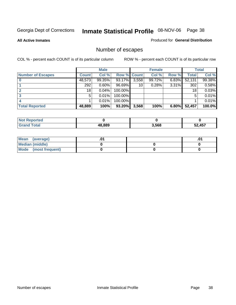**All Active Inmates**

## Produced for **General Distribution**

# Number of escapes

|                          |              | <b>Male</b> |                    |       | <b>Female</b> |       |        | <b>Total</b> |
|--------------------------|--------------|-------------|--------------------|-------|---------------|-------|--------|--------------|
| <b>Number of Escapes</b> | <b>Count</b> | Col %       | <b>Row % Count</b> |       | Col %         | Row % | Total  | Col %        |
|                          | 48,573       | 99.35%      | 93.17%             | 3,558 | 99.72%        | 6.83% | 52,131 | 99.38%       |
|                          | 292          | 0.60%       | 96.69%             | 10    | 0.28%         | 3.31% | 302    | 0.58%        |
|                          | 18           | 0.04%       | 100.00%            |       |               |       | 18     | 0.03%        |
|                          | 5            | 0.01%       | 100.00%            |       |               |       | 5      | 0.01%        |
|                          |              | 0.01%       | $100.00\%$         |       |               |       |        | 0.01%        |
| <b>Total Reported</b>    | 48,889       | 100%        | 93.20%             | 3,568 | 100%          | 6.80% | 52,457 | 100.0%       |

| ted:  |                 |       |        |
|-------|-----------------|-------|--------|
| Total | $^{\circ}8.889$ | 3,568 | 52 157 |

| <b>Mean</b><br>(average) |  | .0 |
|--------------------------|--|----|
| Median (middle)          |  |    |
| Mode (most frequent)     |  |    |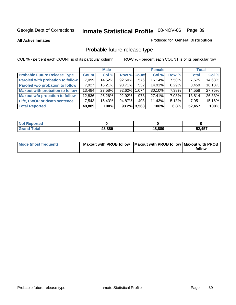**All Active Inmates**

## Produced for **General Distribution**

# Probable future release type

|                                         |              | <b>Male</b> |                    |                  | <b>Female</b> |          | <b>Total</b> |        |
|-----------------------------------------|--------------|-------------|--------------------|------------------|---------------|----------|--------------|--------|
| <b>Probable Future Release Type</b>     | <b>Count</b> | Col%        | <b>Row % Count</b> |                  | Col %         | Row %    | <b>Total</b> | Col %  |
| <b>Paroled with probation to follow</b> | 7,099        | 14.52%      | 92.50%             | $\overline{576}$ | 16.14%        | 7.50%    | 7,675        | 14.63% |
| Paroled w/o probation to follow         | 7.927        | $16.21\%$   | 93.71%             | 532              | $14.91\%$     | $6.29\%$ | 8,459        | 16.13% |
| <b>Maxout with probation to follow</b>  | 13,484       | 27.58%      | 92.62% 1.074       |                  | 30.10%        | 7.38%    | 14,558       | 27.75% |
| <b>Maxout w/o probation to follow</b>   | 12,836       | 26.26%      | 92.92%             | 978              | 27.41%        | 7.08%    | 13,814       | 26.33% |
| Life, LWOP or death sentence            | 7,543        | 15.43%      | 94.87%             | 408              | $11.43\%$     | $5.13\%$ | 7,951        | 15.16% |
| <b>Total Reported</b>                   | 48,889       | 100%        |                    | $93.2\%$ 3,568   | 100%          | 6.8%     | 52,457       | 100%   |

| <b>Not</b><br>Reported       |        |        |        |
|------------------------------|--------|--------|--------|
| <b>Total</b><br><b>Grand</b> | 48,889 | 48,889 | 52,457 |

| Mode (most frequent) | Maxout with PROB follow   Maxout with PROB follow   Maxout with PROB |        |
|----------------------|----------------------------------------------------------------------|--------|
|                      |                                                                      | follow |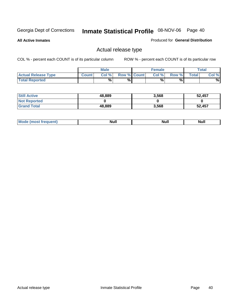**All Active Inmates**

### Produced for **General Distribution**

## Actual release type

|                            |              | <b>Male</b> |                    | <b>Female</b> |       |       | Total |
|----------------------------|--------------|-------------|--------------------|---------------|-------|-------|-------|
| <b>Actual Release Type</b> | <b>Count</b> | Col %       | <b>Row % Count</b> | Col %1        | Row % | Total | Col % |
| <b>Total Reported</b>      |              | %           | %                  | %             | %     |       | %     |

| <b>Still Active</b> | 48,889 | 3,568 | 52,457 |
|---------------------|--------|-------|--------|
| <b>Not Reported</b> |        |       |        |
| <b>Grand Total</b>  | 48,889 | 3,568 | 52,457 |

| M<br>____<br>_____ | NI | Null | $\cdots$ |
|--------------------|----|------|----------|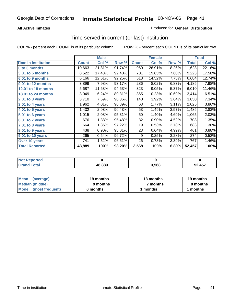## **All Active Inmates**

## Produced for **General Distribution**

## Time served in current (or last) institution

|                            |              | <b>Male</b> |        |              | <b>Female</b> |        |              | <b>Total</b> |
|----------------------------|--------------|-------------|--------|--------------|---------------|--------|--------------|--------------|
| <b>Time In Institution</b> | <b>Count</b> | Col %       | Row %  | <b>Count</b> | Col %         | Row %  | <b>Total</b> | Col %        |
| 0 to 3 months              | 10,663       | 21.81%      | 91.74% | 960          | 26.91%        | 8.26%  | 11,623       | 22.16%       |
| 3.01 to 6 months           | 8,522        | 17.43%      | 92.40% | 701          | 19.65%        | 7.60%  | 9,223        | 17.58%       |
| 6.01 to 9 months           | 6,166        | 12.61%      | 92.25% | 518          | 14.52%        | 7.75%  | 6,684        | 12.74%       |
| 9.01 to 12 months          | 3,899        | 7.98%       | 93.17% | 286          | 8.02%         | 6.83%  | 4,185        | 7.98%        |
| 12.01 to 18 months         | 5,687        | 11.63%      | 94.63% | 323          | 9.05%         | 5.37%  | 6,010        | 11.46%       |
| <b>18.01 to 24 months</b>  | 3,049        | 6.24%       | 89.31% | 365          | 10.23%        | 10.69% | 3,414        | 6.51%        |
| $2.01$ to 3 years          | 3,710        | 7.59%       | 96.36% | 140          | 3.92%         | 3.64%  | 3,850        | 7.34%        |
| 3.01 to 4 years            | 1,962        | 4.01%       | 96.89% | 63           | 1.77%         | 3.11%  | 2,025        | 3.86%        |
| 4.01 to 5 years            | 1,432        | 2.93%       | 96.43% | 53           | 1.49%         | 3.57%  | 1,485        | 2.83%        |
| 5.01 to 6 years            | 1,015        | 2.08%       | 95.31% | 50           | 1.40%         | 4.69%  | 1,065        | 2.03%        |
| 6.01 to 7 years            | 676          | 1.38%       | 95.48% | 32           | 0.90%         | 4.52%  | 708          | 1.35%        |
| 7.01 to 8 years            | 664          | 1.36%       | 97.22% | 19           | 0.53%         | 2.78%  | 683          | 1.30%        |
| 8.01 to 9 years            | 438          | 0.90%       | 95.01% | 23           | 0.64%         | 4.99%  | 461          | 0.88%        |
| 9.01 to 10 years           | 265          | 0.54%       | 96.72% | 9            | 0.25%         | 3.28%  | 274          | 0.52%        |
| Over 10 years              | 741          | 1.52%       | 96.61% | 26           | 0.73%         | 3.39%  | 767          | 1.46%        |
| <b>Total Reported</b>      | 48,889       | 100%        | 93.20% | 3,568        | 100%          | 6.80%  | 52,457       | 100%         |

| <u>orteo</u><br>N |        |      |            |
|-------------------|--------|------|------------|
|                   | 48.889 | ,568 | <b>A57</b> |

| <b>Mean</b><br>(average) | 19 months | 13 months | 19 months |
|--------------------------|-----------|-----------|-----------|
| Median (middle)          | 9 months  | 7 months  | 8 months  |
| Mode<br>(most frequent)  | 0 months  | months    | months    |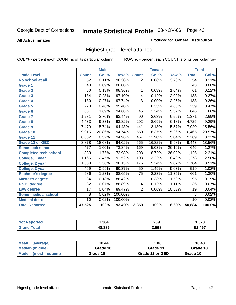**All Active Inmates**

### Produced for **General Distribution**

## Highest grade level attained

|                              |                 | <b>Male</b> |         |                 | <b>Female</b> |        |                 | <b>Total</b> |
|------------------------------|-----------------|-------------|---------|-----------------|---------------|--------|-----------------|--------------|
| <b>Grade Level</b>           | <b>Count</b>    | Col %       | Row %   | <b>Count</b>    | Col %         | Row %  | <b>Total</b>    | Col %        |
| No school at all             | 52              | 0.11%       | 96.30%  | $\overline{2}$  | 0.06%         | 3.70%  | 54              | 0.11%        |
| <b>Grade 1</b>               | $\overline{43}$ | 0.09%       | 100.00% |                 |               |        | $\overline{43}$ | 0.08%        |
| <b>Grade 2</b>               | 60              | 0.13%       | 98.36%  | 1               | 0.03%         | 1.64%  | 61              | 0.12%        |
| <b>Grade 3</b>               | 134             | 0.28%       | 97.10%  | 4               | 0.12%         | 2.90%  | 138             | 0.27%        |
| <b>Grade 4</b>               | 130             | 0.27%       | 97.74%  | $\overline{3}$  | 0.09%         | 2.26%  | 133             | 0.26%        |
| Grade 5                      | 228             | 0.48%       | 95.40%  | $\overline{11}$ | 0.33%         | 4.60%  | 239             | 0.47%        |
| Grade 6                      | 801             | 1.69%       | 94.68%  | 45              | 1.34%         | 5.32%  | 846             | 1.66%        |
| <b>Grade 7</b>               | 1,281           | 2.70%       | 93.44%  | $\overline{90}$ | 2.68%         | 6.56%  | 1,371           | 2.69%        |
| <b>Grade 8</b>               | 4,433           | 9.33%       | 93.82%  | 292             | 8.69%         | 6.18%  | 4,725           | 9.29%        |
| Grade 9                      | 7,479           | 15.74%      | 94.43%  | 441             | 13.13%        | 5.57%  | 7,920           | 15.56%       |
| Grade 10                     | 9,915           | 20.86%      | 94.74%  | 550             | 16.37%        | 5.26%  | 10,465          | 20.57%       |
| Grade 11                     | 8,802           | 18.52%      | 94.96%  | 467             | 13.90%        | 5.04%  | 9,269           | 18.22%       |
| <b>Grade 12 or GED</b>       | 8,878           | 18.68%      | 94.02%  | 565             | 16.82%        | 5.98%  | 9,443           | 18.56%       |
| <b>Some tech school</b>      | 477             | 1.00%       | 73.84%  | 169             | 5.03%         | 26.16% | 646             | 1.27%        |
| <b>Completed tech school</b> | 833             | 1.75%       | 73.98%  | 293             | 8.72%         | 26.02% | 1,126           | 2.21%        |
| College, 1 year              | 1,165           | 2.45%       | 91.52%  | 108             | 3.22%         | 8.48%  | 1,273           | 2.50%        |
| College, 2 year              | 1,608           | 3.38%       | 90.13%  | 176             | 5.24%         | 9.87%  | 1,784           | 3.51%        |
| College, 3 year              | 469             | 0.99%       | 90.37%  | $\overline{50}$ | 1.49%         | 9.63%  | 519             | 1.02%        |
| <b>Bachelor's degree</b>     | 586             | 1.23%       | 88.65%  | $\overline{75}$ | 2.23%         | 11.35% | 661             | 1.30%        |
| <b>Master's degree</b>       | 84              | 0.18%       | 88.42%  | 11              | 0.33%         | 11.58% | 95              | 0.19%        |
| Ph.D. degree                 | $\overline{32}$ | 0.07%       | 88.89%  | 4               | 0.12%         | 11.11% | 36              | 0.07%        |
| Law degree                   | $\overline{17}$ | 0.04%       | 89.47%  | $\overline{2}$  | 0.06%         | 10.53% | 19              | 0.04%        |
| <b>Some medical school</b>   | 8               | 0.02%       | 100.00% |                 |               |        | 8               | 0.02%        |
| <b>Medical degree</b>        | $\overline{10}$ | 0.02%       | 100.00% |                 |               |        | 10              | 0.02%        |
| <b>Total Reported</b>        | 47,525          | 100%        | 93.40%  | 3,359           | 100%          | 6.60%  | 50,884          | 100.0%       |

| 364 | 209   | ヒフヘ<br>70 |
|-----|-------|-----------|
| 000 | 3,568 | A57       |

| <b>Mean</b><br>(average)       | 10.44    | 11.06           | 10.48    |
|--------------------------------|----------|-----------------|----------|
| Median (middle)                | Grade 10 | Grade 11        | Grade 10 |
| <b>Mode</b><br>(most frequent) | Grade 10 | Grade 12 or GED | Grade 10 |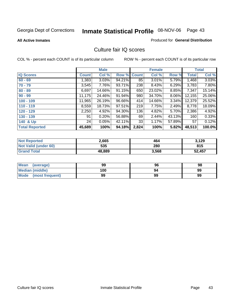**All Active Inmates**

### Produced for **General Distribution**

## Culture fair IQ scores

|                       |              | <b>Male</b> |        |              | <b>Female</b> |          |              | <b>Total</b> |
|-----------------------|--------------|-------------|--------|--------------|---------------|----------|--------------|--------------|
| <b>IQ Scores</b>      | <b>Count</b> | Col %       | Row %  | <b>Count</b> | Col %         | Row %    | <b>Total</b> | Col %        |
| $60 - 69$             | 1,383        | 3.03%       | 94.21% | 85           | 3.01%         | 5.79%    | 1,468        | 3.03%        |
| $70 - 79$             | 3,545        | 7.76%       | 93.71% | 238          | 8.43%         | 6.29%    | 3,783        | 7.80%        |
| $80 - 89$             | 6,697        | 14.66%      | 91.15% | 650          | 23.02%        | 8.85%    | 7,347        | 15.14%       |
| $90 - 99$             | 11,175       | 24.46%      | 91.94% | 980          | 34.70%        | 8.06%    | 12,155       | 25.06%       |
| $100 - 109$           | 11,965       | 26.19%      | 96.66% | 414          | 14.66%        | $3.34\%$ | 12,379       | 25.52%       |
| $110 - 119$           | 8,559        | 18.73%      | 97.51% | 219          | 7.75%         | 2.49%    | 8,778        | 18.09%       |
| $120 - 129$           | 2,250        | 4.92%       | 94.30% | 136          | 4.82%         | 5.70%    | 2,386        | 4.92%        |
| $130 - 139$           | 91           | 0.20%       | 56.88% | 69           | 2.44%         | 43.13%   | 160          | 0.33%        |
| 140 & Up              | 24           | 0.05%       | 42.11% | 33           | 1.17%         | 57.89%   | 57           | 0.12%        |
| <b>Total Reported</b> | 45,689       | 100%        | 94.18% | 2,824        | 100%          | 5.82%    | 48,513       | 100.0%       |

| <b>Not Reported</b>  | 2,665  | 464   | 3,129  |
|----------------------|--------|-------|--------|
| Not Valid (under 60) | 535    | 280   | 815    |
| <b>Grand Total</b>   | 48,889 | 3,568 | 52,457 |

| <b>Mean</b><br>(average)       | 99  | 96 | 98 |
|--------------------------------|-----|----|----|
| <b>Median (middle)</b>         | 100 | 94 | 99 |
| <b>Mode</b><br>(most frequent) | 99  | 99 | 99 |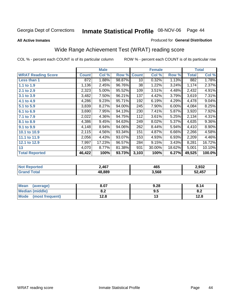### **All Active Inmates**

### Produced for **General Distribution**

# Wide Range Achievement Test (WRAT) reading score

|                           |              | <b>Male</b> |        |              | <b>Female</b> |        |              | <b>Total</b> |
|---------------------------|--------------|-------------|--------|--------------|---------------|--------|--------------|--------------|
| <b>WRAT Reading Score</b> | <b>Count</b> | Col %       | Row %  | <b>Count</b> | Col %         | Row %  | <b>Total</b> | Col %        |
| Less than 1               | 872          | 1.88%       | 98.87% | 10           | 0.32%         | 1.13%  | 882          | 1.78%        |
| 1.1 to 1.9                | 1,136        | 2.45%       | 96.76% | 38           | 1.22%         | 3.24%  | 1,174        | 2.37%        |
| 2.1 to 2.9                | 2,323        | $5.00\%$    | 95.52% | 109          | $3.51\%$      | 4.48%  | 2,432        | 4.91%        |
| 3.1 to 3.9                | 3,482        | 7.50%       | 96.21% | 137          | 4.42%         | 3.79%  | 3,619        | 7.31%        |
| 4.1 to 4.9                | 4,286        | 9.23%       | 95.71% | 192          | 6.19%         | 4.29%  | 4,478        | 9.04%        |
| 5.1 to 5.9                | 3,839        | 8.27%       | 94.00% | 245          | 7.90%         | 6.00%  | 4,084        | 8.25%        |
| 6.1 to 6.9                | 3,690        | 7.95%       | 94.13% | 230          | 7.41%         | 5.87%  | 3,920        | 7.92%        |
| 7.1 to 7.9                | 2,022        | 4.36%       | 94.75% | 112          | 3.61%         | 5.25%  | 2,134        | 4.31%        |
| 8.1 to 8.9                | 4,386        | 9.45%       | 94.63% | 249          | 8.02%         | 5.37%  | 4,635        | $9.36\%$     |
| 9.1 to 9.9                | 4,148        | 8.94%       | 94.06% | 262          | 8.44%         | 5.94%  | 4,410        | 8.90%        |
| 10.1 to 10.9              | 2,115        | 4.56%       | 93.34% | 151          | 4.87%         | 6.66%  | 2,266        | 4.58%        |
| 11.1 to 11.9              | 2,056        | 4.43%       | 93.07% | 153          | 4.93%         | 6.93%  | 2,209        | 4.46%        |
| 12.1 to 12.9              | 7,997        | 17.23%      | 96.57% | 284          | 9.15%         | 3.43%  | 8,281        | 16.72%       |
| 13                        | 4,070        | 8.77%       | 81.38% | 931          | 30.00%        | 18.62% | 5,001        | 10.10%       |
| <b>Total Reported</b>     | 46,422       | 100%        | 93.73% | 3,103        | 100%          | 6.27%  | 49,525       | 100.0%       |

| 2,467  | 465   | 2,932  |
|--------|-------|--------|
| 18.889 | 3,568 | 52,457 |

| <b>Mean</b><br>(average) | 8.07          | 9.28 | 8.14       |
|--------------------------|---------------|------|------------|
| <b>Median (middle)</b>   | י ה<br>o.z    | ນ.ວ  | о о<br>v.z |
| Mode<br>(most frequent)  | 1 ລ Q<br>⊦∠.o | טו   | 12.8       |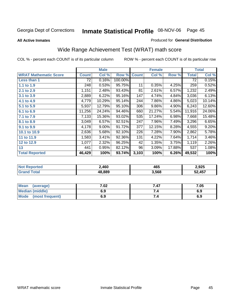### **All Active Inmates**

### Produced for **General Distribution**

# Wide Range Achievement Test (WRAT) math score

|                              |              | <b>Male</b> |         |              | <b>Female</b> |        |              | <b>Total</b> |
|------------------------------|--------------|-------------|---------|--------------|---------------|--------|--------------|--------------|
| <b>WRAT Mathematic Score</b> | <b>Count</b> | Col %       | Row %   | <b>Count</b> | Col %         | Row %  | <b>Total</b> | Col %        |
| Less than 1                  | 72           | 0.16%       | 100.00% |              |               |        | 72           | 0.15%        |
| 1.1 to 1.9                   | 248          | 0.53%       | 95.75%  | 11           | 0.35%         | 4.25%  | 259          | 0.52%        |
| 2.1 to 2.9                   | 1,151        | 2.48%       | 93.43%  | 81           | 2.61%         | 6.57%  | 1,232        | 2.49%        |
| 3.1 to 3.9                   | 2,889        | 6.22%       | 95.16%  | 147          | 4.74%         | 4.84%  | 3,036        | 6.13%        |
| 4.1 to 4.9                   | 4,779        | 10.29%      | 95.14%  | 244          | 7.86%         | 4.86%  | 5,023        | 10.14%       |
| 5.1 to 5.9                   | 5,937        | 12.79%      | 95.10%  | 306          | 9.86%         | 4.90%  | 6,243        | 12.60%       |
| 6.1 to 6.9                   | 11,256       | 24.24%      | 94.46%  | 660          | 21.27%        | 5.54%  | 11,916       | 24.06%       |
| 7.1 to 7.9                   | 7,133        | 15.36%      | 93.02%  | 535          | 17.24%        | 6.98%  | 7,668        | 15.48%       |
| 8.1 to 8.9                   | 3,049        | 6.57%       | 92.51%  | 247          | 7.96%         | 7.49%  | 3,296        | 6.65%        |
| 9.1 to 9.9                   | 4,178        | 9.00%       | 91.72%  | 377          | 12.15%        | 8.28%  | 4,555        | 9.20%        |
| 10.1 to 10.9                 | 2,636        | 5.68%       | 92.10%  | 226          | 7.28%         | 7.90%  | 2,862        | 5.78%        |
| 11 to 11.9                   | 1,583        | 3.41%       | 92.36%  | 131          | 4.22%         | 7.64%  | 1,714        | 3.46%        |
| 12 to 12.9                   | 1,077        | 2.32%       | 96.25%  | 42           | 1.35%         | 3.75%  | 1,119        | 2.26%        |
| 13                           | 441          | 0.95%       | 82.12%  | 96           | 3.09%         | 17.88% | 537          | 1.08%        |
| <b>Total Reported</b>        | 46,429       | 100%        | 93.74%  | 3,103        | 100%          | 6.26%  | 49,532       | 100%         |

| orted<br>NO1 | 460ء   | 465   | 2.925  |
|--------------|--------|-------|--------|
| <b>ota</b>   | 18.889 | 3,568 | 52,457 |

| Mean<br>(average)              | 7.02 | 7.47 | 7.05 |
|--------------------------------|------|------|------|
| Median (middle)                | 6.9  |      | 6.9  |
| <b>Mode</b><br>(most frequent) | 6.9  | 7.4  | 6.9  |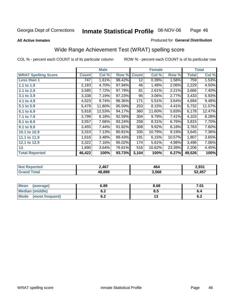### **All Active Inmates**

### Produced for **General Distribution**

## Wide Range Achievement Test (WRAT) spelling score

|                            |              | <b>Male</b> |        |                 | <b>Female</b> |        |        | <b>Total</b> |
|----------------------------|--------------|-------------|--------|-----------------|---------------|--------|--------|--------------|
| <b>WRAT Spelling Score</b> | <b>Count</b> | Col %       | Row %  | <b>Count</b>    | Col %         | Row %  | Total  | Col %        |
| Less than 1                | 747          | 1.61%       | 98.42% | 12 <sup>2</sup> | 0.39%         | 1.58%  | 759    | 1.53%        |
| 1.1 to 1.9                 | 2,183        | 4.70%       | 97.94% | 46              | 1.48%         | 2.06%  | 2,229  | 4.50%        |
| 2.1 to 2.9                 | 3,585        | 7.72%       | 97.79% | 81              | 2.61%         | 2.21%  | 3,666  | 7.40%        |
| 3.1 to 3.9                 | 3,338        | 7.19%       | 97.23% | 95              | 3.06%         | 2.77%  | 3,433  | 6.93%        |
| 4.1 to 4.9                 | 4,523        | 9.74%       | 96.36% | 171             | 5.51%         | 3.64%  | 4,694  | 9.48%        |
| 5.1 to 5.9                 | 5,479        | 11.80%      | 95.59% | 253             | 8.15%         | 4.41%  | 5,732  | 11.57%       |
| 6.1 to 6.9                 | 5,818        | 12.53%      | 94.17% | 360             | 11.60%        | 5.83%  | 6,178  | 12.47%       |
| 7.1 to 7.9                 | 3,799        | 8.18%       | 92.59% | 304             | 9.79%         | 7.41%  | 4,103  | 8.28%        |
| 8.1 to 8.9                 | 3,557        | 7.66%       | 93.24% | 258             | 8.31%         | 6.76%  | 3,815  | 7.70%        |
| 9.1 to 9.9                 | 3,455        | 7.44%       | 91.82% | 308             | 9.92%         | 8.18%  | 3,763  | 7.60%        |
| 10.1 to 10.9               | 3,310        | 7.13%       | 90.81% | 335             | 10.79%        | 9.19%  | 3,645  | 7.36%        |
| 11.1 to 11.9               | 1,616        | 3.48%       | 89.43% | 191             | 6.15%         | 10.57% | 1,807  | 3.65%        |
| 12.1 to 12.9               | 3,322        | 7.16%       | 95.02% | 174             | 5.61%         | 4.98%  | 3,496  | 7.06%        |
| 13                         | 1,690        | 3.64%       | 76.61% | 516             | 16.62%        | 23.39% | 2,206  | 4.45%        |
| <b>Total Reported</b>      | 46,422       | 100%        | 93.73% | 3,104           | 100%          | 6.27%  | 49,526 | 100%         |

| <b>TTAL.</b> | .467          | 46<br>$\sim$ $\sim$ $\sim$ $\sim$ $\sim$ $\sim$ | 2,931        |
|--------------|---------------|-------------------------------------------------|--------------|
|              | $^{\circ}889$ | 3,568                                           | $\angle 457$ |

| <b>Mean</b><br>(average) | 6.89       | 8.68 | 7.01 |
|--------------------------|------------|------|------|
| <b>Median (middle)</b>   | ^ ^<br>0.Z | 8.5  |      |
| Mode<br>(most frequent)  | ^ ^<br>0.Z | IJ   | ν.Ζ  |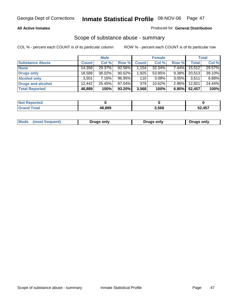### **All Active Inmates**

## Produced for **General Distribution**

## Scope of substance abuse - summary

|                        |              | <b>Male</b> |           |               | <b>Female</b> |          |              | <b>Total</b> |
|------------------------|--------------|-------------|-----------|---------------|---------------|----------|--------------|--------------|
| <b>Substance Abuse</b> | <b>Count</b> | Col %       | Row %     | <b>Count</b>  | Col %         | Row %    | <b>Total</b> | Col %        |
| <b>None</b>            | 14,358       | 29.37%      | 92.56%    | $\sqrt{.154}$ | 32.34%        | $7.44\%$ | 15,512       | 29.57%       |
| <b>Drugs only</b>      | 18,588       | 38.02%      | $90.62\%$ | 1,925         | 53.95%        | $9.38\%$ | 20,513       | 39.10%       |
| <b>Alcohol only</b>    | 3.501        | $7.16\%$    | 96.95%    | 110           | $3.08\%$      | $3.05\%$ | 3,611        | 6.88%        |
| Drugs and alcohol      | 12,442       | 25.45%      | $97.04\%$ | 379           | $10.62\%$     | $2.96\%$ | 12,821       | 24.44%       |
| <b>Total Reported</b>  | 48,889       | 100%        | 93.20%    | 3,568         | 100%          | 6.80%    | 52,457       | 100%         |

| Not i<br>Reported     |        |       |      |
|-----------------------|--------|-------|------|
| <b>Grand</b><br>`otal | 18.889 | 3,568 | ,457 |

| Drugs only | Mode<br>(most frequent) | Drugs only | Drugs only |
|------------|-------------------------|------------|------------|
|------------|-------------------------|------------|------------|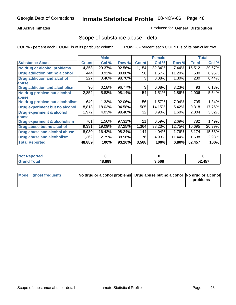## **All Active Inmates**

## Produced for **General Distribution**

## Scope of substance abuse - detail

|                                      |              | <b>Male</b> |        |              | <b>Female</b> |        |              | Total  |
|--------------------------------------|--------------|-------------|--------|--------------|---------------|--------|--------------|--------|
| <b>Substance Abuse</b>               | <b>Count</b> | Col %       | Row %  | <b>Count</b> | Col %         | Row %  | <b>Total</b> | Col %  |
| No drug or alcohol problems          | 14,358       | 29.37%      | 92.56% | 1,154        | 32.34%        | 7.44%  | 15,512       | 29.57% |
| Drug addiction but no alcohol        | 444          | 0.91%       | 88.80% | 56           | 1.57%         | 11.20% | 500          | 0.95%  |
| <b>Drug addiction and alcohol</b>    | 227          | 0.46%       | 98.70% | 3            | 0.08%         | 1.30%  | 230          | 0.44%  |
| <b>labuse</b>                        |              |             |        |              |               |        |              |        |
| <b>Drug addiction and alcoholism</b> | 90           | 0.18%       | 96.77% | 3            | 0.08%         | 3.23%  | 93           | 0.18%  |
| No drug problem but alcohol          | 2,852        | 5.83%       | 98.14% | 54           | 1.51%         | 1.86%  | 2,906        | 5.54%  |
| <b>labuse</b>                        |              |             |        |              |               |        |              |        |
| No drug problem but alcoholism       | 649          | 1.33%       | 92.06% | 56           | 1.57%         | 7.94%  | 705          | 1.34%  |
| Drug experiment but no alcohol       | 8,813        | 18.03%      | 94.58% | 505          | 14.15%        | 5.42%  | 9,318        | 17.76% |
| <b>Drug experiment &amp; alcohol</b> | 1,972        | 4.03%       | 98.40% | 32           | 0.90%         | 1.60%  | 2,004        | 3.82%  |
| <b>labuse</b>                        |              |             |        |              |               |        |              |        |
| Drug experiment & alcoholism         | 761          | 1.56%       | 97.31% | 21           | 0.59%         | 2.69%  | 782          | 1.49%  |
| Drug abuse but no alcohol            | 9,331        | 19.09%      | 87.25% | 1,364        | 38.23%        | 12.75% | 10,695       | 20.39% |
| Drug abuse and alcohol abuse         | 8,030        | 16.42%      | 98.24% | 144          | 4.04%         | 1.76%  | 8,174        | 15.58% |
| <b>Drug abuse and alcoholism</b>     | 1,362        | 2.79%       | 88.56% | 176          | 4.93%         | 11.44% | 1,538        | 2.93%  |
| <b>Total Reported</b>                | 48,889       | 100%        | 93.20% | 3,568        | 100%          | 6.80%  | 52,457       | 100%   |

| : Reported<br><b>NOT</b> |        |       |        |
|--------------------------|--------|-------|--------|
| 'otal                    | 18.889 | 3.568 | 52,457 |

| Mode (most frequent) | No drug or alcohol problems Drug abuse but no alcohol No drug or alcohol |          |
|----------------------|--------------------------------------------------------------------------|----------|
|                      |                                                                          | problems |
|                      |                                                                          |          |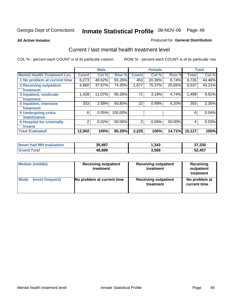### **All Active Inmates**

## Produced for **General Distribution**

## Current / last mental health treatment level

|                                    |              | <b>Male</b> |         |                | <b>Female</b> |        |              | <b>Total</b> |
|------------------------------------|--------------|-------------|---------|----------------|---------------|--------|--------------|--------------|
| <b>Mental Health Treatment Lev</b> | <b>Count</b> | Col %       | Row %   | <b>Count</b>   | Col %         | Row %  | <b>Total</b> | Col %        |
| 1 No problem at current time       | 6,273        | 48.62%      | 93.26%  | 453            | 20.36%        | 6.74%  | 6,726        | 44.46%       |
| 2 Receiving outpatient             | 4,860        | 37.67%      | 74.35%  | 1,677          | 75.37%        | 25.65% | 6,537        | 43.21%       |
| treatment                          |              |             |         |                |               |        |              |              |
| 3 Inpatient, moderate              | 1,428        | 11.07%      | 95.26%  | 71             | 3.19%         | 4.74%  | 1,499        | 9.91%        |
| treatment                          |              |             |         |                |               |        |              |              |
| 4 Inpatient, intensive             | 333          | 2.58%       | 93.80%  | 22             | 0.99%         | 6.20%  | 355          | 2.35%        |
| treatment                          |              |             |         |                |               |        |              |              |
| <b>5 Undergoing crisis</b>         | 6            | 0.05%       | 100.00% |                |               |        | 6            | 0.04%        |
| stabilization                      |              |             |         |                |               |        |              |              |
| <b>6 Hospital for criminally</b>   | 2            | 0.02%       | 50.00%  | $\overline{2}$ | 0.09%         | 50.00% | 4            | 0.03%        |
| insane                             |              |             |         |                |               |        |              |              |
| <b>Total Evaluated</b>             | 12,902       | 100%        | 85.29%  | 2,225          | 100%          | 14.71% | 15,127       | 100%         |

| Never had MH evaluation     | 35,987 | 343, ا | 37,330 |
|-----------------------------|--------|--------|--------|
| $\tau$ otal $\tau$<br>Grand | 48,889 | 3,568  | 52,457 |

| <b>Median (middle)</b> | <b>Receiving outpatient</b><br>treatment | <b>Receiving outpatient</b><br>treatment | <b>Receiving</b><br>outpatient<br>treatment |
|------------------------|------------------------------------------|------------------------------------------|---------------------------------------------|
| Mode                   | No problem at current time               | <b>Receiving outpatient</b>              | No problem at                               |
| (most frequent)        |                                          | treatment                                | current time                                |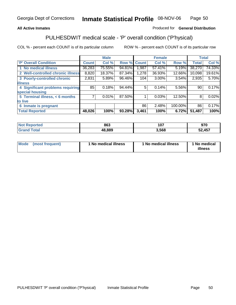## **All Active Inmates**

## Produced for **General Distribution**

## PULHESDWIT medical scale - 'P' overall condition ('P'hysical)

|                                   |        | <b>Male</b> |        |              | <b>Female</b> |         |              | <b>Total</b> |
|-----------------------------------|--------|-------------|--------|--------------|---------------|---------|--------------|--------------|
| 'P' Overall Condition             | Count  | Col %       | Row %  | <b>Count</b> | Col %         | Row %   | <b>Total</b> | Col %        |
| 1 No medical illness              | 36,283 | 75.55%      | 94.81% | l.987        | 57.41%        | 5.19%   | 38,270       | 74.33%       |
| 2 Well-controlled chronic illness | 8,820  | 18.37%      | 87.34% | 1,278        | 36.93%        | 12.66%  | 10,098       | 19.61%       |
| 3 Poorly-controlled chronic       | 2,831  | 5.89%       | 96.46% | 104          | 3.00%         | 3.54%   | 2,935        | 5.70%        |
| <b>illness</b>                    |        |             |        |              |               |         |              |              |
| 4 Significant problems requiring  | 85     | 0.18%       | 94.44% | 5            | 0.14%         | 5.56%   | 90           | 0.17%        |
| special housing                   |        |             |        |              |               |         |              |              |
| 5 Terminal illness, < 6 months    | 7      | 0.01%       | 87.50% |              | 0.03%         | 12.50%  | 8            | 0.02%        |
| to live                           |        |             |        |              |               |         |              |              |
| Inmate is pregnant<br>6           |        |             |        | 86           | 2.48%         | 100.00% | 86           | 0.17%        |
| <b>Total Reported</b>             | 48,026 | 100%        | 93.28% | 3,461        | 100%          | 6.72%   | 51,487       | 100%         |

| <b>Not</b><br>Reported       | 863    | 1 N 7<br>וטו | 970    |
|------------------------------|--------|--------------|--------|
| <b>Total</b><br><b>Grand</b> | 48,889 | 568.د        | 52,457 |

| Mode (most frequent) | 1 No medical illness | 1 No medical illness | 1 No medical |
|----------------------|----------------------|----------------------|--------------|
|                      |                      |                      | illness      |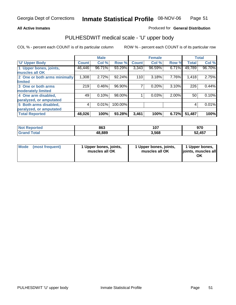## **All Active Inmates**

## Produced for **General Distribution**

## PULHESDWIT medical scale - 'U' upper body

|                              |              | <b>Male</b> |         |              | <b>Female</b> |       |              | <b>Total</b> |
|------------------------------|--------------|-------------|---------|--------------|---------------|-------|--------------|--------------|
| <b>U' Upper Body</b>         | <b>Count</b> | Col %       | Row %   | <b>Count</b> | Col %         | Row % | <b>Total</b> | Col %        |
| 1 Upper bones, joints,       | 46,446       | 96.71%      | 93.29%  | 3,343        | 96.59%        | 6.71% | 49,789       | 96.70%       |
| muscles all OK               |              |             |         |              |               |       |              |              |
| 2 One or both arms minimally | 1,308        | 2.72%       | 92.24%  | 110          | 3.18%         | 7.76% | 1,418        | 2.75%        |
| limited                      |              |             |         |              |               |       |              |              |
| 3 One or both arms           | 219          | 0.46%       | 96.90%  |              | 0.20%         | 3.10% | 226          | 0.44%        |
| moderately limited           |              |             |         |              |               |       |              |              |
| 4 One arm disabled,          | 49           | 0.10%       | 98.00%  |              | 0.03%         | 2.00% | 50           | 0.10%        |
| paralyzed, or amputated      |              |             |         |              |               |       |              |              |
| 5 Both arms disabled,        | 4            | 0.01%       | 100.00% |              |               |       | 4            | 0.01%        |
| paralyzed, or amputated      |              |             |         |              |               |       |              |              |
| <b>Total Reported</b>        | 48,026       | 100%        | 93.28%  | 3,461        | 100%          | 6.72% | 51,487       | 100%         |

| rtea     | 863    | 1 N 7 | הדה    |
|----------|--------|-------|--------|
| NG       |        | וטו   | 97 U   |
| $T0$ tal | 48.889 | 3.568 | 52,457 |

| <b>Mode</b> | (most frequent) | 1 Upper bones, joints,<br>muscles all OK | 1 Upper bones, joints,<br>muscles all OK | 1 Upper bones,<br>joints, muscles all<br>ΟK |
|-------------|-----------------|------------------------------------------|------------------------------------------|---------------------------------------------|
|-------------|-----------------|------------------------------------------|------------------------------------------|---------------------------------------------|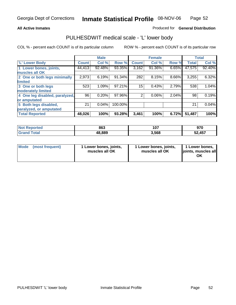### **All Active Inmates**

## Produced for **General Distribution**

## PULHESDWIT medical scale - 'L' lower body

|                                |              | <b>Male</b> |         |              | <b>Female</b> |       |              | <b>Total</b> |
|--------------------------------|--------------|-------------|---------|--------------|---------------|-------|--------------|--------------|
| 'L' Lower Body                 | <b>Count</b> | Col %       | Row %   | <b>Count</b> | Col %         | Row % | <b>Total</b> | Col %        |
| 1 Lower bones, joints,         | 44,413       | 92.48%      | 93.35%  | 3,162        | 91.36%        | 6.65% | 47,575       | 92.40%       |
| muscles all OK                 |              |             |         |              |               |       |              |              |
| 2 One or both legs minimally   | 2,973        | 6.19%       | 91.34%  | 282          | 8.15%         | 8.66% | 3,255        | 6.32%        |
| limited                        |              |             |         |              |               |       |              |              |
| 3 One or both legs             | 523          | 1.09%       | 97.21%  | 15           | 0.43%         | 2.79% | 538          | 1.04%        |
| moderately limited             |              |             |         |              |               |       |              |              |
| 4 One leg disabled, paralyzed, | 96           | 0.20%       | 97.96%  | 2            | 0.06%         | 2.04% | 98           | 0.19%        |
| or amputated                   |              |             |         |              |               |       |              |              |
| 5 Both legs disabled,          | 21           | 0.04%       | 100.00% |              |               |       | 21           | 0.04%        |
| paralyzed, or amputated        |              |             |         |              |               |       |              |              |
| <b>Total Reported</b>          | 48,026       | 100%        | 93.28%  | 3,461        | 100%          | 6.72% | 51,487       | 100%         |

| <b>Not Reported</b>  | 863    | 107   | 970    |
|----------------------|--------|-------|--------|
| $\tau$ otal<br>Grand | 48,889 | 3,568 | 52,457 |

|  | Mode (most frequent) | 1 Lower bones, joints,<br>muscles all OK | 1 Lower bones, joints,<br>muscles all OK | 1 Lower bones,<br>joints, muscles all<br>OK |
|--|----------------------|------------------------------------------|------------------------------------------|---------------------------------------------|
|--|----------------------|------------------------------------------|------------------------------------------|---------------------------------------------|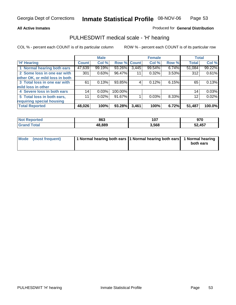### **All Active Inmates**

## Produced for **General Distribution**

## PULHESDWIT medical scale - 'H' hearing

|                                |              | <b>Male</b> |             |       | <b>Female</b> |       | <b>Total</b> |        |
|--------------------------------|--------------|-------------|-------------|-------|---------------|-------|--------------|--------|
| <b>H'</b> Hearing              | <b>Count</b> | Col %       | Row % Count |       | Col %         | Row % | <b>Total</b> | Col %  |
| 1 Normal hearing both ears     | 47,639       | 99.19%      | 93.26%      | 3,445 | 99.54%        | 6.74% | 51,084       | 99.22% |
| 2 Some loss in one ear with    | 301          | 0.63%       | 96.47%      | 11    | 0.32%         | 3.53% | 312          | 0.61%  |
| other OK, or mild loss in both |              |             |             |       |               |       |              |        |
| 3 Total loss in one ear with   | 61           | 0.13%       | 93.85%      | 4     | 0.12%         | 6.15% | 65           | 0.13%  |
| mild loss in other             |              |             |             |       |               |       |              |        |
| 4 Severe loss in both ears     | 14           | 0.03%       | 100.00%     |       |               |       | 14           | 0.03%  |
| 5 Total loss in both ears,     | 11           | 0.02%       | 91.67%      |       | 0.03%         | 8.33% | 12           | 0.02%  |
| requiring special housing      |              |             |             |       |               |       |              |        |
| <b>Total Reported</b>          | 48,026       | 100%        | 93.28%      | 3,461 | 100%          | 6.72% | 51,487       | 100.0% |

| rteo   | 863    | 1 A 7<br>וטו | ۵7٨<br>JIL        |
|--------|--------|--------------|-------------------|
| $\sim$ | 48.889 | 3,568        | ,457<br>-0<br>JZ. |

| Mode (most frequent) | 1 Normal hearing both ears 11 Normal hearing both ears 1 Normal hearing |           |
|----------------------|-------------------------------------------------------------------------|-----------|
|                      |                                                                         | both ears |
|                      |                                                                         |           |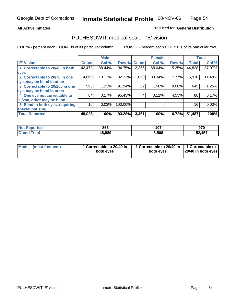### **All Active Inmates**

## Produced for **General Distribution**

## PULHESDWIT medical scale - 'E' vision

|                                 |              | <b>Male</b> |             |       | <b>Female</b> |        |              | <b>Total</b> |
|---------------------------------|--------------|-------------|-------------|-------|---------------|--------|--------------|--------------|
| 'E' Vision                      | <b>Count</b> | Col %       | Row % Count |       | Col %         | Row %  | <b>Total</b> | Col %        |
| 1 Correctable to 20/40 in both  | 42,473       | 88.44%      | 94.75%      | 2,355 | 68.04%        | 5.25%  | 44,828       | 87.07%       |
| eyes                            |              |             |             |       |               |        |              |              |
| 2 Correctable to 20/70 in one   | 4,860        | 10.12%      | 82.23%      | 1,050 | 30.34%        | 17.77% | 5,910        | 11.48%       |
| eye, may be blind in other      |              |             |             |       |               |        |              |              |
| 3 Correctable to 20/200 in one  | 593          | 1.23%       | 91.94%      | 52    | 1.50%         | 8.06%  | 645          | 1.25%        |
| eye, may be blind in other      |              |             |             |       |               |        |              |              |
| 4 One eye not correctable to    | 84           | 0.17%       | 95.45%      | 4     | 0.12%         | 4.55%  | 88           | 0.17%        |
| 20/200, other may be blind      |              |             |             |       |               |        |              |              |
| 5 Blind in both eyes, requiring | 16           | 0.03%       | 100.00%     |       |               |        | 16           | 0.03%        |
| special housing                 |              |             |             |       |               |        |              |              |
| <b>Total Reported</b>           | 48,026       | 100%        | 93.28%      | 3,461 | 100%          | 6.72%  | 51,487       | 100%         |

| <b>Not</b><br><b>Reported</b><br>$\sim$ | 863    | 107   | 970    |
|-----------------------------------------|--------|-------|--------|
| <b>Total</b>                            | 48,889 | 3,568 | 52,457 |

|  | Mode (most frequent) | 1 Correctable to 20/40 in<br>both eves | 1 Correctable to 20/40 in   1 Correctable to<br>both eves | 20/40 in both eyes |
|--|----------------------|----------------------------------------|-----------------------------------------------------------|--------------------|
|--|----------------------|----------------------------------------|-----------------------------------------------------------|--------------------|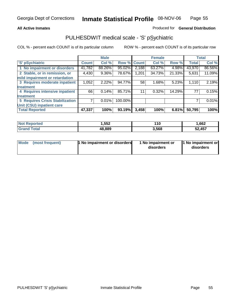### **All Active Inmates**

## Produced for **General Distribution**

## PULHESDWIT medical scale - 'S' pSychiatric

|                                        |              | <b>Male</b> |         |              | <b>Female</b> |        |              | <b>Total</b> |
|----------------------------------------|--------------|-------------|---------|--------------|---------------|--------|--------------|--------------|
| 'S' pSychiatric                        | <b>Count</b> | Col %       | Row %   | <b>Count</b> | Col %         | Row %  | <b>Total</b> | Col %        |
| 1 No impairment or disorders           | 41,782       | 88.26%      | 95.02%  | 2,188        | 63.27%        | 4.98%  | 43,970       | 86.56%       |
| 2 Stable, or in remission, or          | 4,430        | $9.36\%$    | 78.67%  | 1,201        | 34.73%        | 21.33% | 5,631        | 11.09%       |
| mild impairment or retardation         |              |             |         |              |               |        |              |              |
| 3 Requires moderate inpatient          | 1,052        | 2.22%       | 94.77%  | 58           | 1.68%         | 5.23%  | 1,110        | 2.19%        |
| treatment                              |              |             |         |              |               |        |              |              |
| 4 Requires intensive inpatient         | 66           | 0.14%       | 85.71%  | 11           | 0.32%         | 14.29% | 77           | 0.15%        |
| treatment                              |              |             |         |              |               |        |              |              |
| <b>5 Requires Crisis Stabilization</b> |              | 0.01%       | 100.00% |              |               |        |              | 0.01%        |
| Unit (CSU) inpatient care              |              |             |         |              |               |        |              |              |
| <b>Total Reported</b>                  | 47,337       | 100%        | 93.19%  | 3,458        | 100%          | 6.81%  | 50,795       | 100%         |

| <b>Not Reported</b> | 1.552  | 110   | ,662   |
|---------------------|--------|-------|--------|
| Total<br>' Grand    | 48,889 | 3,568 | 52,457 |

| Mode (most frequent) | <b>1</b> No impairment or disorders | 1 No impairment or<br>disorders | 1 No impairment or<br>disorders |
|----------------------|-------------------------------------|---------------------------------|---------------------------------|
|                      |                                     |                                 |                                 |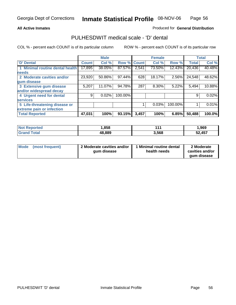### **All Active Inmates**

## Produced for **General Distribution**

## PULHESDWIT medical scale - 'D' dental

|                                 |              | <b>Male</b> |             |       | <b>Female</b> |         |              | <b>Total</b> |
|---------------------------------|--------------|-------------|-------------|-------|---------------|---------|--------------|--------------|
| 'D' Dental                      | <b>Count</b> | Col %       | Row % Count |       | Col %         | Row %   | <b>Total</b> | Col %        |
| 1 Minimal routine dental health | 17,895       | 38.05%      | 87.57%      | 2,541 | 73.50%        | 12.43%  | 20,436       | 40.48%       |
| <b>needs</b>                    |              |             |             |       |               |         |              |              |
| 2 Moderate cavities and/or      | 23,920       | 50.86%      | 97.44%      | 628   | 18.17%        | 2.56%   | 24,548       | 48.62%       |
| gum disease                     |              |             |             |       |               |         |              |              |
| 3 Extensive gum disease         | 5,207        | 11.07%      | 94.78%      | 287   | 8.30%         | 5.22%   | 5,494        | 10.88%       |
| and/or widespread decay         |              |             |             |       |               |         |              |              |
| 4 Urgent need for dental        | 9            | 0.02%       | 100.00%     |       |               |         | 9            | 0.02%        |
| <b>services</b>                 |              |             |             |       |               |         |              |              |
| 5 Life-threatening disease or   |              |             |             |       | 0.03%         | 100.00% |              | 0.01%        |
| extreme pain or infection       |              |             |             |       |               |         |              |              |
| <b>Total Reported</b>           | 47,031       | 100%        | 93.15%      | 3,457 | 100%          | 6.85%   | 50,488       | 100.0%       |

| ' Not<br><b>Reported</b> | .858   | 14    | 969, ا |
|--------------------------|--------|-------|--------|
| Total<br>'Grand          | 48,889 | 3,568 | 52,457 |

| <b>Mode</b> | (most frequent) | 2 Moderate cavities and/or<br>qum disease | 1 Minimal routine dental<br>health needs | 2 Moderate<br>cavities and/or |
|-------------|-----------------|-------------------------------------------|------------------------------------------|-------------------------------|
|             |                 |                                           |                                          | qum disease                   |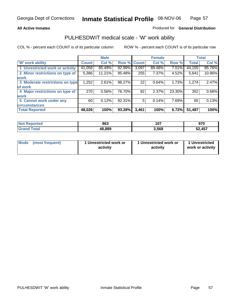## **All Active Inmates**

## Produced for **General Distribution**

## PULHESDWIT medical scale - 'W' work ability

|                                 |              | <b>Male</b> |        |              | <b>Female</b> |        |              | <b>Total</b> |
|---------------------------------|--------------|-------------|--------|--------------|---------------|--------|--------------|--------------|
| W' work ability                 | <b>Count</b> | Col %       | Row %  | <b>Count</b> | Col %         | Row %  | <b>Total</b> | Col %        |
| 1 Unrestricted work or activity | 41,058       | 85.49%      | 92.99% | 3,097        | 89.48%        | 7.01%  | 44,155       | 85.76%       |
| 2 Minor restrictions on type of | 5,386        | 11.21%      | 95.48% | 255          | 7.37%         | 4.52%  | 5,641        | 10.96%       |
| <b>work</b>                     |              |             |        |              |               |        |              |              |
| 3 Moderate restrictions on type | 1,252        | 2.61%       | 98.27% | 22           | 0.64%         | 1.73%  | 1,274        | 2.47%        |
| of work                         |              |             |        |              |               |        |              |              |
| 4 Major restrictions on type of | 270          | 0.56%       | 76.70% | 82           | 2.37%         | 23.30% | 352          | 0.68%        |
| <b>work</b>                     |              |             |        |              |               |        |              |              |
| 5 Cannot work under any         | 60           | 0.12%       | 92.31% | 5            | 0.14%         | 7.69%  | 65           | 0.13%        |
| <b>circumstances</b>            |              |             |        |              |               |        |              |              |
| <b>Total Reported</b>           | 48,026       | 100%        | 93.28% | 3,461        | 100%          | 6.72%  | 51,487       | 100%         |

| <b>Not Reported</b>         | 863    | 107   | 970    |
|-----------------------------|--------|-------|--------|
| $\tau$ otal<br><b>Grand</b> | 48,889 | 3,568 | 52,457 |

| <b>Mode</b>     | 1 Unrestricted work or | 1 Unrestricted work or | 1 Unrestricted   |
|-----------------|------------------------|------------------------|------------------|
| (most frequent) | activity               | activity               | work or activity |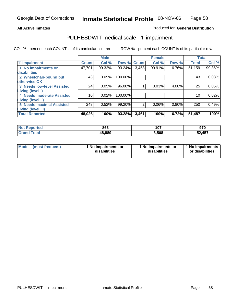### **All Active Inmates**

## Produced for **General Distribution**

## PULHESDWIT medical scale - 'I' impairment

|                                   |              | <b>Male</b> |             |                | <b>Female</b> |       | <b>Total</b> |        |
|-----------------------------------|--------------|-------------|-------------|----------------|---------------|-------|--------------|--------|
| <b>T' Impairment</b>              | <b>Count</b> | Col %       | Row % Count |                | Col %         | Row % | <b>Total</b> | Col %  |
| 1 No impairments or               | 47,701       | 99.32%      | 93.24%      | 3,458          | 99.91%        | 6.76% | 51,159       | 99.36% |
| disabilities                      |              |             |             |                |               |       |              |        |
| 2 Wheelchair-bound but            | 43           | 0.09%       | 100.00%     |                |               |       | 43           | 0.08%  |
| otherwise OK                      |              |             |             |                |               |       |              |        |
| <b>3 Needs low-level Assisted</b> | 24           | 0.05%       | 96.00%      |                | 0.03%         | 4.00% | 25           | 0.05%  |
| Living (level I)                  |              |             |             |                |               |       |              |        |
| 4 Needs moderate Assisted         | 10           | 0.02%       | 100.00%     |                |               |       | 10           | 0.02%  |
| <b>Living (level II)</b>          |              |             |             |                |               |       |              |        |
| <b>5 Needs maximal Assisted</b>   | 248          | 0.52%       | 99.20%      | $\overline{2}$ | 0.06%         | 0.80% | 250          | 0.49%  |
| <b>Living (level III)</b>         |              |             |             |                |               |       |              |        |
| <b>Total Reported</b>             | 48,026       | 100%        | 93.28%      | 3,461          | 100%          | 6.72% | 51,487       | 100%   |

| <b>Not Reported</b>   | 863    | 107   | <b>070</b><br>JIV |
|-----------------------|--------|-------|-------------------|
| Total<br><b>Grano</b> | 48,889 | 3,568 | 52,457            |

| <b>Mode</b> | (most frequent) | 1 No impairments or<br>disabilities | 1 No impairments or<br>disabilities | 1 No impairments<br>or disabilities |
|-------------|-----------------|-------------------------------------|-------------------------------------|-------------------------------------|
|-------------|-----------------|-------------------------------------|-------------------------------------|-------------------------------------|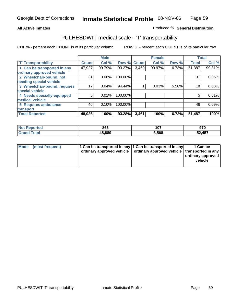#### **Inmate Statistical Profile** 08-NOV-06 Page Page 59

## **All Active Inmates Allowski** Produced fo **General Distribution**

## PULHESDWIT medical scale - 'T' transportability

|                              |              | <b>Male</b> |             |       | <b>Female</b> |       |              | <b>Total</b> |
|------------------------------|--------------|-------------|-------------|-------|---------------|-------|--------------|--------------|
| <b>'T' Transportability</b>  | <b>Count</b> | Col %       | Row % Count |       | Col %         | Row % | <b>Total</b> | Col %        |
| 1 Can be transported in any  | 47,927       | 99.79%      | 93.27%      | 3,460 | 99.97%        | 6.73% | 51,387       | 99.81%       |
| ordinary approved vehicle    |              |             |             |       |               |       |              |              |
| 2 Wheelchair-bound, not      | 31           | 0.06%       | 100.00%     |       |               |       | 31           | $0.06\%$     |
| needing special vehicle      |              |             |             |       |               |       |              |              |
| 3 Wheelchair-bound, requires | 17           | 0.04%       | 94.44%      |       | 0.03%         | 5.56% | 18           | 0.03%        |
| special vehicle              |              |             |             |       |               |       |              |              |
| 4 Needs specially-equipped   | 5            | 0.01%       | 100.00%     |       |               |       | 5            | 0.01%        |
| medical vehicle              |              |             |             |       |               |       |              |              |
| <b>5 Requires ambulance</b>  | 46           | 0.10%       | 100.00%     |       |               |       | 46           | 0.09%        |
| transport                    |              |             |             |       |               |       |              |              |
| <b>Total Reported</b>        | 48,026       | 100%        | 93.28%      | 3,461 | 100%          | 6.72% | 51,487       | 100%         |

| <b>Not</b><br>Reported | 863    | 107   | 070<br>J I U |
|------------------------|--------|-------|--------------|
| Total<br><b>Grand</b>  | 48,889 | 3,568 | 52,457       |

| Mode (most frequent) | 1 Can be transported in any 1 Can be transported in any | ordinary approved vehicle   ordinary approved vehicle   transported in any | 1 Can be<br>ordinary approved<br>vehicle |
|----------------------|---------------------------------------------------------|----------------------------------------------------------------------------|------------------------------------------|
|                      |                                                         |                                                                            |                                          |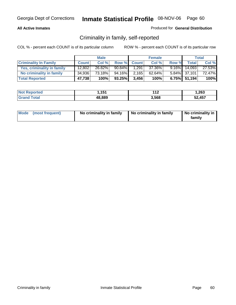## **All Active Inmates**

## Produced for **General Distribution**

## Criminality in family, self-reported

|                              |              | <b>Male</b> |         |              | <b>Female</b> |          |                 | <b>Total</b> |
|------------------------------|--------------|-------------|---------|--------------|---------------|----------|-----------------|--------------|
| <b>Criminality In Family</b> | <b>Count</b> | Col %       | Row %   | <b>Count</b> | Col %         | Row %    | <b>Total</b>    | Col %        |
| Yes, criminality in family   | 12,802       | 26.82%      | 90.84%  | 1,291        | 37.36%        | $9.16\%$ | 14,093          | 27.53%       |
| No criminality in family     | 34,936       | 73.18%      | 94.16%I | 2,165        | 62.64%        |          | 5.84% 37,101    | 72.47%       |
| <b>Total Reported</b>        | 47,738       | 100%        | 93.25%  | 3,456        | 100%          |          | $6.75\%$ 51,194 | 100%         |

| <b>Not Reported</b>   | 1,151  | 14 O<br>- 14 | 1,263  |
|-----------------------|--------|--------------|--------|
| Total<br><b>Grand</b> | 48,889 | 3,568        | 52,457 |

|  | Mode (most frequent) | No criminality in family | No criminality in family | No criminality in<br>family |
|--|----------------------|--------------------------|--------------------------|-----------------------------|
|--|----------------------|--------------------------|--------------------------|-----------------------------|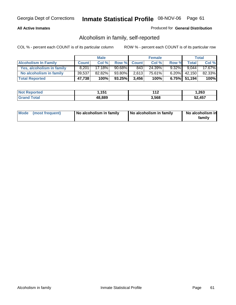## **All Active Inmates**

## Produced for **General Distribution**

## Alcoholism in family, self-reported

|                             |              | <b>Male</b> |           |              | <b>Female</b> |          |                 | <b>Total</b> |
|-----------------------------|--------------|-------------|-----------|--------------|---------------|----------|-----------------|--------------|
| <b>Alcoholism In Family</b> | <b>Count</b> | Col %       | Row %     | <b>Count</b> | Col %         | Row %    | <b>Total</b>    | Col %        |
| Yes, alcoholism in family   | 8.201        | 17.18%      | $90.68\%$ | 843          | 24.39%        | $9.32\%$ | 9.044           | 17.67%       |
| No alcoholism in family     | 39,537       | 82.82%      | 93.80%    | 2,613        | 75.61%।       |          | $6.20\%$ 42,150 | 82.33%       |
| <b>Total Reported</b>       | 47,738       | 100%        | 93.25%    | 3.456        | 100%          |          | $6.75\%$ 51,194 | 100%         |

| <b>Not Reported</b>   | 1,151  | 14 O<br>- 14 | 1,263  |
|-----------------------|--------|--------------|--------|
| Total<br><b>Grand</b> | 48,889 | 3,568        | 52,457 |

|  | Mode (most frequent) | No alcoholism in family | No alcoholism in family | No alcoholism in<br>family |
|--|----------------------|-------------------------|-------------------------|----------------------------|
|--|----------------------|-------------------------|-------------------------|----------------------------|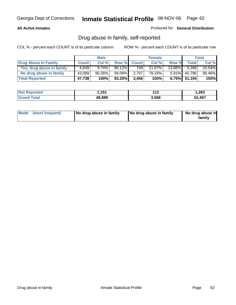## **All Active Inmates**

Produced for **General Distribution**

## Drug abuse in family, self-reported

|                           |              | <b>Male</b> |        |              | <b>Female</b> |           |              | <b>Total</b> |
|---------------------------|--------------|-------------|--------|--------------|---------------|-----------|--------------|--------------|
| Drug Abuse In Family      | <b>Count</b> | Col %       | Row %  | <b>Count</b> | Col %         | Row %     | <b>Total</b> | Col %        |
| Yes, drug abuse in family | 4.649        | $9.74\%$    | 86.12% | 749          | 21.67%        | $13.88\%$ | 5.398        | 10.54%       |
| No drug abuse in family   | 43,089       | $90.26\%$   | 94.09% | 2,707        | 78.33%        | $5.91\%$  | 45,796       | 89.46%       |
| <b>Total Reported</b>     | 47,738       | 100%        | 93.25% | 3.456        | 100%          |           | 6.75% 51,194 | 100%         |

| <b>Not Reported</b>   | 1,151  | 14 O<br>- 14 | 1,263  |
|-----------------------|--------|--------------|--------|
| Total<br><b>Grand</b> | 48,889 | 3,568        | 52,457 |

|  | Mode (most frequent) | No drug abuse in family | No drug abuse in family | No drug abuse in<br>family |
|--|----------------------|-------------------------|-------------------------|----------------------------|
|--|----------------------|-------------------------|-------------------------|----------------------------|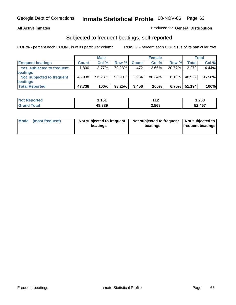## **All Active Inmates**

## Produced for **General Distribution**

## Subjected to frequent beatings, self-reported

|                                   |              | <b>Male</b> |        |              | <b>Female</b> |          |        | Total    |
|-----------------------------------|--------------|-------------|--------|--------------|---------------|----------|--------|----------|
| <b>Frequent beatings</b>          | <b>Count</b> | Col %       | Row %  | <b>Count</b> | Col %         | Row %    | Total  | Col %    |
| <b>Yes, subjected to frequent</b> | ا 800.1      | $3.77\%$    | 79.23% | 472          | 13.66%        | 20.77%   | 2.272  | $4.44\%$ |
| beatings                          |              |             |        |              |               |          |        |          |
| Not subjected to frequent         | 45,938       | 96.23%      | 93.90% | 2,984        | 86.34%        | $6.10\%$ | 48,922 | 95.56%   |
| beatings                          |              |             |        |              |               |          |        |          |
| <b>Total Reported</b>             | 47,738       | 100%        | 93.25% | 3,456        | 100%          | 6.75%    | 51,194 | 100%     |

| <b>Not Reported</b> | 151<br>. וטו | $\sim$<br>- 14 | 1,263  |
|---------------------|--------------|----------------|--------|
| <b>Total</b>        | 48,889       | 3,568          | 52,457 |

| Mode (most frequent) | Not subjected to frequent<br>beatings | Not subjected to frequent<br>beatings | Not subjected to<br>frequent beatings |  |
|----------------------|---------------------------------------|---------------------------------------|---------------------------------------|--|
|                      |                                       |                                       |                                       |  |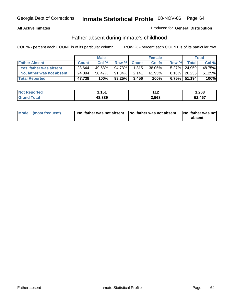## **All Active Inmates**

## Produced for **General Distribution**

## Father absent during inmate's childhood

|                           |              | <b>Male</b> |        |             | <b>Female</b> |       |                 | Total  |
|---------------------------|--------------|-------------|--------|-------------|---------------|-------|-----------------|--------|
| <b>Father Absent</b>      | <b>Count</b> | Col %       |        | Row % Count | Col %         | Row % | <b>Total</b>    | Col %  |
| Yes, father was absent    | 23,644       | 49.53%      | 94.73% | 1,315       | 38.05%        |       | 5.27% 24,959    | 48.75% |
| No, father was not absent | 24,094       | $50.47\%$   | 91.84% | 2.141       | 61.95%        |       | 8.16% 26,235    | 51.25% |
| <b>Total Reported</b>     | 47,738       | 100%        | 93.25% | 3,456       | 100%          |       | $6.75\%$ 51,194 | 100%   |

| <b>Not Reported</b> | 151.،  | $\overline{A}$<br>- 14 | 263. ا |
|---------------------|--------|------------------------|--------|
| <b>Grand Total</b>  | 48,889 | 3,568                  | 52,457 |

| Mode (most frequent) |  | 「No, father was not absent ┃No, father was not absent ┃No, father was not | absent |
|----------------------|--|---------------------------------------------------------------------------|--------|
|----------------------|--|---------------------------------------------------------------------------|--------|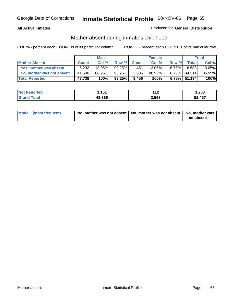## **All Active Inmates**

## Produced for **General Distribution**

## Mother absent during inmate's childhood

|                           | <b>Male</b>  |        |        | <b>Female</b> |        |          | <b>Total</b> |        |
|---------------------------|--------------|--------|--------|---------------|--------|----------|--------------|--------|
| <b>Mother Absent</b>      | <b>Count</b> | Col %  | Row %  | <b>Count</b>  | Col %  | Row %    | <b>Total</b> | Col %  |
| Yes, mother was absent    | 6.232        | 13.05% | 93.25% | 451           | 13.05% | $6.75\%$ | 6,683        | 13.05% |
| No, mother was not absent | 41,506       | 86.95% | 93.25% | 3,005         | 86.95% | $6.75\%$ | 44.511       | 86.95% |
| <b>Total Reported</b>     | 47,738       | 100%   | 93.25% | 3.456         | 100%   |          | 6.75% 51,194 | 100%   |

| <b>Not Reported</b> | 151<br>I . I J I | 149<br>-14 | 263, ا |
|---------------------|------------------|------------|--------|
| Tota                | 48,889           | 3,568      | 52.457 |

| Mode (most frequent) | No, mother was not absent   No, mother was not absent   No, mother was | not absent |
|----------------------|------------------------------------------------------------------------|------------|
|----------------------|------------------------------------------------------------------------|------------|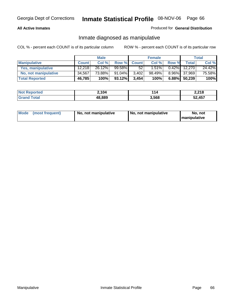## **All Active Inmates**

## Produced for **General Distribution**

## Inmate diagnosed as manipulative

|                       | <b>Male</b>  |        |           | <b>Female</b> |          |          | Total  |        |
|-----------------------|--------------|--------|-----------|---------------|----------|----------|--------|--------|
| <b>Manipulative</b>   | <b>Count</b> | Col %  | Row %     | <b>Count</b>  | Col %    | Row %    | Total, | Col %  |
| Yes, manipulative     | 12.218       | 26.12% | 99.58%    | 52            | $1.51\%$ | $0.42\%$ | 12,270 | 24.42% |
| No, not manipulative  | 34,567       | 73.88% | $91.04\%$ | 3,402         | 98.49%   | $8.96\%$ | 37,969 | 75.58% |
| <b>Total Reported</b> | 46,785       | 100%   | 93.12%    | 3,454         | 100%     | 6.88%    | 50,239 | 100%   |

| <b>Not Reported</b> | 2,104  | 114   | 2,218  |
|---------------------|--------|-------|--------|
| <b>Srand Total</b>  | 48,889 | 3,568 | 52,457 |

| <b>Mode</b><br>No, not manipulative<br>(most frequent) | No. not manipulative | No. not<br>I manipulative |
|--------------------------------------------------------|----------------------|---------------------------|
|--------------------------------------------------------|----------------------|---------------------------|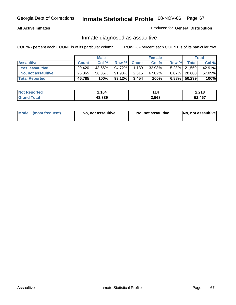## **All Active Inmates**

## Produced for **General Distribution**

## Inmate diagnosed as assaultive

|                       | <b>Male</b>  |        |           | <b>Female</b> |           |       | <b>Total</b>    |        |
|-----------------------|--------------|--------|-----------|---------------|-----------|-------|-----------------|--------|
| <b>Assaultive</b>     | <b>Count</b> | Col %  | Row %     | <b>Count</b>  | Col %     | Row % | Total           | Col %  |
| Yes, assaultive       | 20.420       | 43.65% | $94.72\%$ | 1,139         | 32.98%    |       | 5.28% 21,559    | 42.91% |
| No, not assaultive    | 26,365       | 56.35% | $91.93\%$ | 2,315         | $67.02\%$ |       | 8.07% 28,680    | 57.09% |
| <b>Total Reported</b> | 46,785       | 100%   | 93.12%    | 3,454         | 100%      |       | $6.88\%$ 50,239 | 100%   |

| <b>Not Reported</b> | 2,104  | '14   | 2,218  |
|---------------------|--------|-------|--------|
| <b>Grand Total</b>  | 48,889 | 3,568 | 52,457 |

| Mode | ↑ (most frequent) | No, not assaultive | No, not assaultive | No, not assaultive |
|------|-------------------|--------------------|--------------------|--------------------|
|------|-------------------|--------------------|--------------------|--------------------|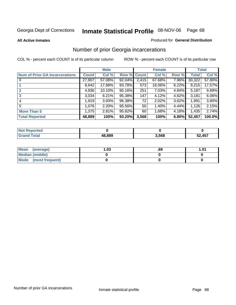### **All Active Inmates**

### Produced for **General Distribution**

## Number of prior Georgia incarcerations

|                                       |              | <b>Male</b> |                    |       | <b>Female</b> |       |        | <b>Total</b> |
|---------------------------------------|--------------|-------------|--------------------|-------|---------------|-------|--------|--------------|
| <b>Num of Prior GA Incarcerations</b> | <b>Count</b> | Col %       | <b>Row % Count</b> |       | Col %         | Row % | Total  | Col %        |
| $\bf{0}$                              | 27,907       | 57.08%      | 92.04%             | 2,415 | 67.68%        | 7.96% | 30,322 | 57.80%       |
|                                       | 8,642        | 17.68%      | 93.78%             | 573   | 16.06%        | 6.22% | 9,215  | 17.57%       |
|                                       | 4,936        | 10.10%      | 95.16%             | 251   | 7.03%         | 4.84% | 5,187  | 9.89%        |
|                                       | 3,034        | 6.21%       | 95.38%             | 147   | 4.12%         | 4.62% | 3,181  | 6.06%        |
|                                       | 1,919        | 3.93%       | 96.38%             | 72    | 2.02%         | 3.62% | 1,991  | 3.80%        |
| 5                                     | 1,076        | 2.20%       | 95.56%             | 50    | 1.40%         | 4.44% | 1,126  | 2.15%        |
| <b>More Than 5</b>                    | 1,375        | 2.81%       | 95.82%             | 60    | 1.68%         | 4.18% | 1.435  | 2.74%        |
| <b>Total Reported</b>                 | 48,889       | 100%        | 93.20%             | 3,568 | 100%          | 6.80% | 52,457 | 100.0%       |

| ______ | 48.889 | .568 | 52.457<br>$ -$ |
|--------|--------|------|----------------|

| Mean (average)       | l.O3 | .69 | 1.01 |
|----------------------|------|-----|------|
| Median (middle)      |      |     |      |
| Mode (most frequent) |      |     |      |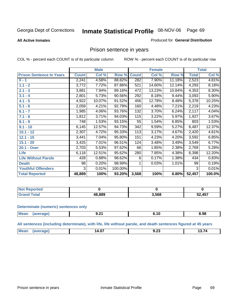**All Active Inmates**

## Produced for **General Distribution**

# Prison sentence in years

COL % - percent each COUNT is of its particular column ROW % - percent each COUNT is of its particular row

|                                 | <b>Male</b>  |        |         | <b>Female</b> |        |        | <b>Total</b>       |        |
|---------------------------------|--------------|--------|---------|---------------|--------|--------|--------------------|--------|
| <b>Prison Sentence In Years</b> | <b>Count</b> | Col %  | Row %   | <b>Count</b>  | Col %  | Row %  | <b>Total</b>       | Col %  |
| $0 - 1$                         | 2,241        | 4.58%  | 88.82%  | 282           | 7.90%  | 11.18% | 2,523              | 4.81%  |
| $1.1 - 2$                       | 3,772        | 7.72%  | 87.86%  | 521           | 14.60% | 12.14% | 4,293              | 8.18%  |
| $2.1 - 3$                       | 3,881        | 7.94%  | 89.16%  | 472           | 13.23% | 10.84% | 4,353              | 8.30%  |
| $3.1 - 4$                       | 2,801        | 5.73%  | 90.56%  | 292           | 8.18%  | 9.44%  | $\overline{3,093}$ | 5.90%  |
| $4.1 - 5$                       | 4,922        | 10.07% | 91.52%  | 456           | 12.78% | 8.48%  | 5,378              | 10.25% |
| $5.1 - 6$                       | 2,059        | 4.21%  | 92.79%  | 160           | 4.48%  | 7.21%  | 2,219              | 4.23%  |
| $6.1 - 7$                       | 1,985        | 4.06%  | 93.76%  | 132           | 3.70%  | 6.24%  | 2,117              | 4.04%  |
| $7.1 - 8$                       | 1,812        | 3.71%  | 94.03%  | 115           | 3.22%  | 5.97%  | 1,927              | 3.67%  |
| $8.1 - 9$                       | 748          | 1.53%  | 93.15%  | 55            | 1.54%  | 6.85%  | 803                | 1.53%  |
| $9.1 - 10$                      | 6,145        | 12.57% | 94.73%  | 342           | 9.59%  | 5.27%  | 6,487              | 12.37% |
| $10.1 - 12$                     | 2,307        | 4.72%  | 95.33%  | 113           | 3.17%  | 4.67%  | 2,420              | 4.61%  |
| $12.1 - 15$                     | 3,441        | 7.04%  | 95.80%  | 151           | 4.23%  | 4.20%  | 3,592              | 6.85%  |
| $15.1 - 20$                     | 3,425        | 7.01%  | 96.51%  | 124           | 3.48%  | 3.49%  | 3,549              | 6.77%  |
| 20.1 - Over                     | 2,703        | 5.53%  | 97.62%  | 66            | 1.85%  | 2.38%  | 2,769              | 5.28%  |
| <b>Life</b>                     | 6,118        | 12.51% | 95.62%  | 280           | 7.85%  | 4.38%  | 6,398              | 12.20% |
| <b>Life Without Parole</b>      | 428          | 0.88%  | 98.62%  | 6             | 0.17%  | 1.38%  | 434                | 0.83%  |
| <b>Death</b>                    | 98           | 0.20%  | 98.99%  |               | 0.03%  | 1.01%  | 99                 | 0.19%  |
| <b>Youthful Offenders</b>       | 3            | 0.01%  | 100.00% |               |        |        | 3                  | 0.01%  |
| <b>Total Reported</b>           | 48,889       | 100%   | 93.20%  | 3,568         | 100%   | 6.80%  | 52,457             | 100.0% |

| Reported<br><b>NOT</b> |        |       |        |
|------------------------|--------|-------|--------|
| otal<br>. Gro          | 48.889 | 3,568 | 52,457 |

### **Determinate (numeric) sentences only**

| Mean<br>$\cdots$ | апе | $J - I$ | . .<br>___ | 8.98<br>- - - |
|------------------|-----|---------|------------|---------------|
|                  |     |         |            |               |

**All sentences (including determinate), with life, life without parole, and death sentences figured at 45 years**

| 14.U.<br>J.ZJ<br>--------<br>______<br>___<br>______ | $^{\dagger}$ Me: | $\sim$ | $\sim$ $\sim$ |
|------------------------------------------------------|------------------|--------|---------------|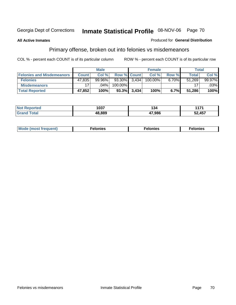### **All Active Inmates**

### Produced for **General Distribution**

# Primary offense, broken out into felonies vs misdemeanors

|                                  | <b>Male</b>  |           |                 | <b>Female</b>  |            |          | Total  |         |
|----------------------------------|--------------|-----------|-----------------|----------------|------------|----------|--------|---------|
| <b>Felonies and Misdemeanors</b> | <b>Count</b> | Col %     | Row % Count     |                | Col %      | Row %    | Total  | Col%    |
| <b>Felonies</b>                  | 47,835       | $99.96\%$ | $93.30\%$ 3,434 |                | $100.00\%$ | $6.70\%$ | 51.269 | 99.97%  |
| <b>Misdemeanors</b>              |              | $.04\%$   | 100.00%         |                |            |          |        | $.03\%$ |
| <b>Total Reported</b>            | 47,852       | 100%      |                 | $93.3\%$ 3,434 | 100%       | 6.7%     | 51.286 | 100%    |

| N <sub>of</sub><br>*ted:<br>⋯ | 1037   | l 34   | 1474<br>л л |
|-------------------------------|--------|--------|-------------|
|                               | IR RR9 | 17.986 | 457<br>ΞΩ.  |

| Mode (most frequent) | elonies | elonies | onies |
|----------------------|---------|---------|-------|
|                      |         |         |       |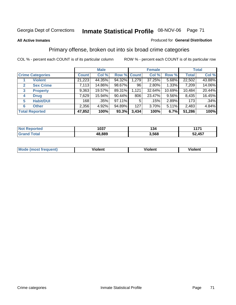### **All Active Inmates**

### Produced for **General Distribution**

## Primary offense, broken out into six broad crime categories

|                         |                  | <b>Male</b>  |        |             | <b>Female</b> |        |        | <b>Total</b> |        |
|-------------------------|------------------|--------------|--------|-------------|---------------|--------|--------|--------------|--------|
| <b>Crime Categories</b> |                  | <b>Count</b> | Col %  | Row % Count |               | Col %  | Row %  | <b>Total</b> | Col %  |
|                         | <b>Violent</b>   | 21,223       | 44.35% | 94.32%      | 1,279         | 37.25% | 5.68%  | 22,502       | 43.88% |
| 2                       | <b>Sex Crime</b> | 7,113        | 14.86% | 98.67%      | 96            | 2.80%  | 1.33%  | 7,209        | 14.06% |
| $\mathbf{3}$            | <b>Property</b>  | 9,363        | 19.57% | 89.31%      | 1,121         | 32.64% | 10.69% | 10,484       | 20.44% |
| 4                       | <b>Drug</b>      | 7,629        | 15.94% | 90.44%      | 806           | 23.47% | 9.56%  | 8,435        | 16.45% |
| 5                       | <b>Habit/DUI</b> | 168          | .35%   | 97.11%      | 5             | .15%   | 2.89%  | 173          | .34%   |
| 6                       | <b>Other</b>     | 2,356        | 4.92%  | 94.89%      | 127           | 3.70%  | 5.11%  | 2,483        | 4.84%  |
| <b>Total Reported</b>   |                  | 47,852       | 100%   | 93.3%       | 3,434         | 100%   | 6.7%   | 51,286       | 100%   |

| 1037       | 34 ا  | 4.477  |
|------------|-------|--------|
| .889<br>48 | 3,568 | 52,457 |

| <b>Mou</b> | .<br>วient | วlent | ent |
|------------|------------|-------|-----|
|            |            |       |     |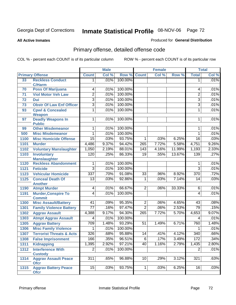**All Active Inmates**

### Produced for **General Distribution**

# Primary offense, detailed offense code

|      |                                              |                 | <b>Male</b> |         |                  | <b>Female</b> |        |                  | <b>Total</b> |
|------|----------------------------------------------|-----------------|-------------|---------|------------------|---------------|--------|------------------|--------------|
|      | <b>Primary Offense</b>                       | <b>Count</b>    | Col %       | Row %   | <b>Count</b>     | Col %         | Row %  | <b>Total</b>     | Col %        |
| 33   | <b>Reckless Conduct</b><br><b>C/Harm</b>     | 1.              | .01%        | 100.00% |                  |               |        | 1                | .01%         |
| 70   | <b>Poss Of Marijuana</b>                     | 4               | .01%        | 100.00% |                  |               |        | 4                | .01%         |
| 71   | <b>Viol Motor Veh Law</b>                    | $\overline{2}$  | .01%        | 100.00% |                  |               |        | $\overline{2}$   | .01%         |
| 72   | <b>Dui</b>                                   | 3               | .01%        | 100.00% |                  |               |        | $\overline{3}$   | .01%         |
| 73   | <b>Obstr Of Law Enf Officer</b>              | $\overline{3}$  | .01%        | 100.00% |                  |               |        | $\overline{3}$   | .01%         |
| 93   | <b>Cpwl &amp; Concealed</b><br><b>Weapon</b> | 1               | .01%        | 100.00% |                  |               |        | 1                | .01%         |
| 97   | <b>Deadly Weapons In</b><br><b>Public</b>    | $\mathbf{1}$    | .01%        | 100.00% |                  |               |        | 1                | .01%         |
| 99   | <b>Other Misdemeanor</b>                     | 1               | .01%        | 100.00% |                  |               |        | 1                | .01%         |
| 500  | <b>Misc Misdemeanor</b>                      | 1               | .01%        | 100.00% |                  |               |        | 1                | .01%         |
| 1100 | <b>Misc Homicide Offense</b>                 | $\overline{15}$ | .03%        | 93.75%  | 1                | .03%          | 6.25%  | $\overline{16}$  | .03%         |
| 1101 | <b>Murder</b>                                | 4,486           | 9.37%       | 94.42%  | $\overline{265}$ | 7.72%         | 5.58%  | 4,751            | 9.26%        |
| 1102 | <b>Voluntary Manslaughter</b>                | 1,050           | 2.19%       | 88.01%  | 143              | 4.16%         | 11.99% | 1,193            | 2.33%        |
| 1103 | <b>Involuntary</b><br><b>Manslaughter</b>    | 120             | .25%        | 86.33%  | $\overline{19}$  | .55%          | 13.67% | 139              | .27%         |
| 1120 | <b>Reckless Abandonment</b>                  | 1               | .01%        | 100.00% |                  |               |        | 1                | .01%         |
| 1121 | <b>Feticide</b>                              | $\overline{3}$  | .01%        | 100.00% |                  |               |        | $\overline{3}$   | .01%         |
| 1123 | <b>Vehicular Homicide</b>                    | 337             | .70%        | 91.08%  | $\overline{33}$  | .96%          | 8.92%  | 370              | .72%         |
| 1125 | <b>Conceal Death Of</b>                      | $\overline{13}$ | .03%        | 92.86%  | 1                | .03%          | 7.14%  | 14               | .03%         |
|      | <b>Another</b>                               |                 |             |         |                  |               |        |                  |              |
| 1190 | <b>Atmpt Murder</b>                          | 4               | .01%        | 66.67%  | $\overline{2}$   | .06%          | 33.33% | 6                | .01%         |
| 1191 | <b>Murder, Conspire To</b><br><b>Commit</b>  | 4               | .01%        | 100.00% |                  |               |        | 4                | .01%         |
| 1300 | <b>Misc Assault/Battery</b>                  | $\overline{41}$ | .09%        | 95.35%  | $\overline{2}$   | .06%          | 4.65%  | 43               | .08%         |
| 1301 | <b>Family Violence Battery</b>               | $\overline{77}$ | .16%        | 97.47%  | $\overline{2}$   | .06%          | 2.53%  | $\overline{79}$  | .15%         |
| 1302 | <b>Aggrav Assault</b>                        | 4,388           | 9.17%       | 94.30%  | 265              | 7.72%         | 5.70%  | 4,653            | 9.07%        |
| 1303 | <b>Atmpt Aggrav Assault</b>                  | 4               | .01%        | 100.00% |                  |               |        | 4                | .01%         |
| 1305 | <b>Aggrav Battery</b>                        | 709             | 1.48%       | 93.29%  | $\overline{51}$  | 1.49%         | 6.71%  | 760              | 1.48%        |
| 1306 | <b>Misc Family Violence</b>                  | 1               | .01%        | 100.00% |                  |               |        | 1                | .01%         |
| 1307 | <b>Terrorist Threats &amp; Acts</b>          | 326             | .68%        | 95.88%  | 14               | .41%          | 4.12%  | $\overline{340}$ | .66%         |
| 1308 | <b>False Imprisonment</b>                    | 166             | 35%         | 96.51%  | $\overline{6}$   | .17%          | 3.49%  | 172              | 34%          |
| 1311 | <b>Kidnapping</b>                            | 1,395           | 2.92%       | 97.21%  | 40               | 1.16%         | 2.79%  | 1,435            | 2.80%        |
| 1312 | <b>Interference With</b><br><b>Custody</b>   | $\overline{2}$  | .01%        | 100.00% |                  |               |        | $\overline{2}$   | .01%         |
| 1314 | <b>Aggrav Assault Peace</b><br><b>Ofcr</b>   | 311             | .65%        | 96.88%  | 10               | .29%          | 3.12%  | 321              | .63%         |
| 1315 | <b>Aggrav Battery Peace</b><br><b>Ofcr</b>   | 15              | .03%        | 93.75%  | $\mathbf 1$      | .03%          | 6.25%  | 16               | .03%         |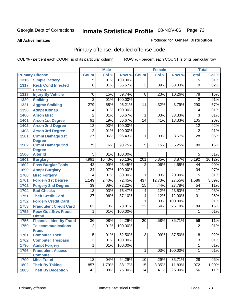**All Active Inmates**

#### Produced for **General Distribution**

# Primary offense, detailed offense code

|      |                                             |                 | <b>Male</b> |         |                 | <b>Female</b> |         |                  | <b>Total</b> |
|------|---------------------------------------------|-----------------|-------------|---------|-----------------|---------------|---------|------------------|--------------|
|      | <b>Primary Offense</b>                      | <b>Count</b>    | Col %       | Row %   | <b>Count</b>    | Col %         | Row %   | <b>Total</b>     | Col %        |
| 1316 | <b>Simple Battery</b>                       | $\overline{5}$  | .01%        | 100.00% |                 |               |         | $\overline{5}$   | .01%         |
| 1317 | <b>Reck Cond Infected</b><br><b>Person</b>  | $\overline{6}$  | .01%        | 66.67%  | $\overline{3}$  | .09%          | 33.33%  | $\overline{9}$   | .02%         |
| 1318 | <b>Injury By Vehicle</b>                    | 70              | .15%        | 89.74%  | 8               | .23%          | 10.26%  | 78               | .15%         |
| 1320 | <b>Stalking</b>                             | $\overline{c}$  | .01%        | 100.00% |                 |               |         | $\overline{2}$   | .01%         |
| 1321 | <b>Aggrav Stalking</b>                      | 279             | .58%        | 96.21%  | 11              | .32%          | 3.79%   | 290              | .57%         |
| 1390 | <b>Atmpt Kidnap</b>                         | 4               | .01%        | 100.00% |                 |               |         | 4                | .01%         |
| 1400 | <b>Arson Misc</b>                           | $\overline{2}$  | .01%        | 66.67%  | $\overline{1}$  | .03%          | 33.33%  | $\overline{3}$   | .01%         |
| 1401 | <b>Arson 1st Degree</b>                     | 91              | .19%        | 86.67%  | 14              | .41%          | 13.33%  | 105              | .20%         |
| 1402 | <b>Arson 2nd Degree</b>                     | $\overline{12}$ | .03%        | 100.00% |                 |               |         | 12               | .02%         |
| 1403 | <b>Arson 3rd Degree</b>                     | $\overline{2}$  | .01%        | 100.00% |                 |               |         | $\overline{2}$   | .01%         |
| 1501 | <b>Crmnl Damage 1st</b><br><b>Degree</b>    | $\overline{27}$ | .06%        | 96.43%  | $\overline{1}$  | .03%          | 3.57%   | $\overline{28}$  | .05%         |
| 1502 | <b>Crmnl Damage 2nd</b><br><b>Degree</b>    | 75              | .16%        | 93.75%  | $\overline{5}$  | .15%          | 6.25%   | 80               | .16%         |
| 1506 | <b>Alter Id</b>                             | $\overline{5}$  | .01%        | 100.00% |                 |               |         | $\overline{5}$   | .01%         |
| 1601 | <b>Burglary</b>                             | 4,991           | 10.43%      | 96.13%  | 201             | 5.85%         | 3.87%   | 5,192            | 10.12%       |
| 1602 | <b>Poss Burglar Tools</b>                   | 42              | .09%        | 95.45%  | $\overline{2}$  | .06%          | 4.55%   | 44               | .09%         |
| 1690 | <b>Atmpt Burglary</b>                       | $\overline{34}$ | .07%        | 100.00% |                 |               |         | $\overline{34}$  | .07%         |
| 1700 | <b>Misc Forgery</b>                         | 4               | .01%        | 80.00%  | $\overline{1}$  | .03%          | 20.00%  | $\overline{5}$   | .01%         |
| 1701 | <b>Forgery 1st Degree</b>                   | 1,149           | 2.40%       | 72.45%  | 437             | 12.73%        | 27.55%  | 1,586            | 3.09%        |
| 1702 | <b>Forgery 2nd Degree</b>                   | $\overline{39}$ | .08%        | 72.22%  | 15              | .44%          | 27.78%  | 54               | .11%         |
| 1704 | <b>Bad Checks</b>                           | $\overline{13}$ | .03%        | 76.47%  | $\overline{4}$  | .12%          | 23.53%  | $\overline{17}$  | .03%         |
| 1751 | <b>Theft Credit Card</b>                    | $\overline{27}$ | .06%        | 87.10%  | 4               | .12%          | 12.90%  | $\overline{31}$  | .06%         |
| 1752 | <b>Forgery Credit Card</b>                  |                 |             |         | 1               | .03%          | 100.00% | 1                | .01%         |
| 1753 | <b>Fraudulent Credit Card</b>               | 62              | .13%        | 73.81%  | $\overline{22}$ | .64%          | 26.19%  | 84               | .16%         |
| 1755 | <b>Recv Gds, Srvs Fraud</b><br><b>Obtnd</b> | 1               | .01%        | 100.00% |                 |               |         | 1                | .01%         |
| 1756 | <b>Financial Identity Fraud</b>             | $\overline{36}$ | .08%        | 64.29%  | $\overline{20}$ | .58%          | 35.71%  | 56               | .11%         |
| 1759 | <b>Telecommunications</b><br><b>Fraud</b>   | $\overline{2}$  | .01%        | 100.00% |                 |               |         | $\overline{2}$   | .01%         |
| 1761 | <b>Computer Theft</b>                       | $\overline{5}$  | .01%        | 62.50%  | $\overline{3}$  | .09%          | 37.50%  | $\overline{8}$   | .02%         |
| 1762 | <b>Computer Trespass</b>                    | $\overline{3}$  | .01%        | 100.00% |                 |               |         | $\overline{3}$   | .01%         |
| 1790 | <b>Atmpt Forgery</b>                        | $\overline{1}$  | .01%        | 100.00% |                 |               |         | 1                | .01%         |
| 1796 | <b>Fraudulent Access</b>                    |                 |             |         | $\mathbf 1$     | .03%          | 100.00% | $\mathbf{1}$     | .01%         |
|      | <b>Compute</b>                              |                 |             |         |                 |               |         |                  |              |
| 1799 | <b>Misc Fraud</b>                           | 18              | .04%        | 64.29%  | 10              | .29%          | 35.71%  | $\overline{28}$  | .05%         |
| 1802 | <b>Theft By Taking</b>                      | 857             | 1.79%       | 88.17%  | 115             | 3.35%         | 11.83%  | $\overline{972}$ | 1.90%        |
| 1803 | <b>Theft By Deception</b>                   | 42              | .09%        | 75.00%  | 14              | .41%          | 25.00%  | 56               | .11%         |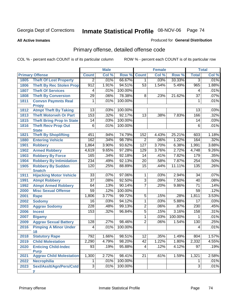#### **All Active Inmates**

#### Produced for **General Distribution**

# Primary offense, detailed offense code

|      |                                    | <b>Male</b>                        |       | <b>Female</b> |                 |       | <b>Total</b> |                 |       |
|------|------------------------------------|------------------------------------|-------|---------------|-----------------|-------|--------------|-----------------|-------|
|      | <b>Primary Offense</b>             | <b>Count</b>                       | Col % | Row %         | <b>Count</b>    | Col % | Row %        | <b>Total</b>    | Col % |
| 1805 | <b>Theft Of Lost Property</b>      | $\overline{2}$                     | .01%  | 66.67%        | $\overline{1}$  | .03%  | 33.33%       | $\overline{3}$  | .01%  |
| 1806 | <b>Theft By Rec Stolen Prop</b>    | 912                                | 1.91% | 94.51%        | 53              | 1.54% | 5.49%        | 965             | 1.88% |
| 1807 | <b>Theft Of Services</b>           | 4                                  | .01%  | 100.00%       |                 |       |              | 4               | .01%  |
| 1808 | <b>Theft By Conversion</b>         | $\overline{29}$                    | .06%  | 78.38%        | $\overline{8}$  | .23%  | 21.62%       | $\overline{37}$ | .07%  |
| 1811 | <b>Convsn Paymnts Real</b>         | 1                                  | .01%  | 100.00%       |                 |       |              | 1               | .01%  |
|      | <b>Propy</b>                       |                                    |       |               |                 |       |              |                 |       |
| 1812 | <b>Atmpt Theft By Taking</b>       | $\overline{13}$                    | .03%  | 100.00%       |                 |       |              | $\overline{13}$ | .03%  |
| 1813 | <b>Theft Motorveh Or Part</b>      | 153                                | .32%  | 92.17%        | $\overline{13}$ | .38%  | 7.83%        | 166             | .32%  |
| 1815 | <b>Theft Bring Prop In State</b>   | $\overline{14}$                    | .03%  | 100.00%       |                 |       |              | 14              | .03%  |
| 1816 | <b>Theft Recv Prop Out</b>         | $\overline{6}$                     | .01%  | 100.00%       |                 |       |              | $\overline{6}$  | .01%  |
|      | <b>State</b>                       |                                    |       |               |                 |       |              |                 |       |
| 1821 | <b>Theft By Shoplifting</b>        | 451                                | .94%  | 74.79%        | 152             | 4.43% | 25.21%       | 603             | 1.18% |
| 1880 | <b>Entering Vehicle</b>            | 162                                | .34%  | 98.78%        | $\overline{2}$  | .06%  | 1.22%        | 164             | .32%  |
| 1901 | <b>Robbery</b>                     | 1,864                              | 3.90% | 93.62%        | 127             | 3.70% | 6.38%        | 1,991           | 3.88% |
| 1902 | <b>Armed Robbery</b>               | 4,619                              | 9.65% | 97.28%        | 129             | 3.76% | 2.72%        | 4,748           | 9.26% |
| 1903 | <b>Robbery By Force</b>            | 165                                | .34%  | 92.18%        | 14              | .41%  | 7.82%        | 179             | .35%  |
| 1904 | <b>Robbery By Intimidation</b>     | 234                                | .49%  | 92.13%        | $\overline{20}$ | .58%  | 7.87%        | 254             | .50%  |
| 1905 | <b>Robbery By Sudden</b>           | 120                                | .25%  | 88.89%        | $\overline{15}$ | .44%  | 11.11%       | 135             | .26%  |
|      | <b>Snatch</b>                      |                                    |       |               |                 |       | 2.94%        |                 |       |
| 1911 | <b>Hijacking Motor Vehicle</b>     | $\overline{33}$<br>$\overline{37}$ | .07%  | 97.06%        | 1               | .03%  |              | $\overline{34}$ | .07%  |
| 1991 | <b>Atmpt Robbery</b>               |                                    | .08%  | 92.50%        | $\overline{3}$  | .09%  | 7.50%        | 40              | .08%  |
| 1992 | <b>Atmpt Armed Robbery</b>         | 64                                 | .13%  | 90.14%        | $\overline{7}$  | .20%  | 9.86%        | $\overline{71}$ | .14%  |
| 2000 | <b>Misc Sexual Offense</b>         | 59                                 | .12%  | 100.00%       |                 |       |              | $\overline{59}$ | .12%  |
| 2001 | <b>Rape</b>                        | 1,806                              | 3.77% | 99.72%        | $\overline{5}$  | .15%  | .28%         | 1,811           | 3.53% |
| 2002 | <b>Sodomy</b>                      | 16                                 | .03%  | 94.12%        | $\overline{1}$  | .03%  | 5.88%        | $\overline{17}$ | .03%  |
| 2003 | <b>Aggrav Sodomy</b>               | $\overline{228}$                   | .48%  | 99.13%        | $\overline{2}$  | .06%  | .87%         | 230             | .45%  |
| 2006 | <b>Incest</b>                      | 153                                | .32%  | 96.84%        | $\overline{5}$  | .15%  | 3.16%        | 158             | .31%  |
| 2007 | <b>Bigamy</b>                      |                                    |       |               | 1               | .03%  | 100.00%      | 1               | .01%  |
| 2009 | <b>Aggrav Sexual Battery</b>       | 128                                | .27%  | 98.46%        | $\overline{2}$  | .06%  | 1.54%        | 130             | .25%  |
| 2016 | <b>Pimping A Minor Under</b><br>18 | $\overline{4}$                     | .01%  | 100.00%       |                 |       |              | 4               | .01%  |
| 2018 | <b>Statutory Rape</b>              | 792                                | 1.66% | 98.51%        | $\overline{12}$ | .35%  | 1.49%        | 804             | 1.57% |
| 2019 | <b>Child Molestation</b>           | 2,290                              | 4.79% | 98.20%        | 42              | 1.22% | 1.80%        | 2,332           | 4.55% |
| 2020 | <b>Enticing Child-Indec</b>        | 93                                 | .19%  | 95.88%        | 4               | .12%  | 4.12%        | 97              | .19%  |
|      | <b>Purp</b>                        |                                    |       |               |                 |       |              |                 |       |
| 2021 | <b>Aggrav Child Molestation</b>    | 1,300                              | 2.72% | 98.41%        | $\overline{21}$ | .61%  | 1.59%        | 1,321           | 2.58% |
| 2022 | <b>Necrophilia</b>                 | $\mathbf 1$                        | .01%  | 100.00%       |                 |       |              | 1               | .01%  |
| 2023 | Sexl/Asslt/Agn/Pers/Cstd           | $\overline{3}$                     | .01%  | 100.00%       |                 |       |              | 3               | .01%  |
|      | v                                  |                                    |       |               |                 |       |              |                 |       |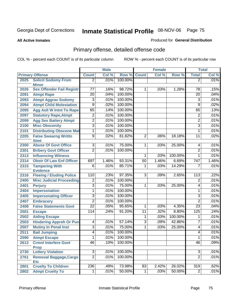**All Active Inmates**

#### Produced for **General Distribution**

# Primary offense, detailed offense code

|      |                                                    |                                  | <b>Male</b> |         |                      | Female |         |                  | <b>Total</b> |
|------|----------------------------------------------------|----------------------------------|-------------|---------|----------------------|--------|---------|------------------|--------------|
|      | <b>Primary Offense</b>                             | <b>Count</b>                     | Col %       | Row %   | <b>Count</b>         | Col %  | Row %   | <b>Total</b>     | Col %        |
| 2025 | <b>Solicit Sodomy From</b>                         | $\overline{2}$                   | .01%        | 100.00% |                      |        |         | $\overline{2}$   | .01%         |
|      | <b>Minor</b>                                       |                                  |             |         |                      |        |         |                  |              |
| 2026 | <b>Sex Offender Fail Registr</b>                   | 77                               | .16%        | 98.72%  | 1                    | .03%   | 1.28%   | 78               | .15%         |
| 2091 | <b>Atmpt Rape</b>                                  | $\overline{20}$                  | .04%        | 100.00% |                      |        |         | 20               | .04%         |
| 2093 | <b>Atmpt Aggrav Sodomy</b>                         | 3                                | .01%        | 100.00% |                      |        |         | $\overline{3}$   | .01%         |
| 2094 | <b>Atmpt Child Molestation</b>                     | $\overline{9}$                   | .02%        | 100.00% |                      |        |         | 9                | .02%         |
| 2095 | <b>Agg Aslt W Intnt To Rape</b>                    | 65                               | .14%        | 100.00% |                      |        |         | 65               | .13%         |
| 2097 | <b>Statutory Rape, Atmpt</b>                       | 2                                | .01%        | 100.00% |                      |        |         | $\overline{2}$   | .01%         |
| 2099 | <b>Agg Sex Battery Atmpt</b>                       | $\overline{2}$                   | .01%        | 100.00% |                      |        |         | $\overline{2}$   | .01%         |
| 2100 | <b>Misc Obscenity</b>                              | $\overline{3}$                   | .01%        | 100.00% |                      |        |         | $\overline{3}$   | .01%         |
| 2101 | <b>Distributing Obscene Mat</b>                    | 1                                | .01%        | 100.00% |                      |        |         | 1                | .01%         |
| 2205 | <b>False Swearng Writtn</b>                        | $\overline{9}$                   | .02%        | 81.82%  | $\overline{2}$       | .06%   | 18.18%  | 11               | .02%         |
|      | <b>Stmt</b>                                        |                                  |             |         |                      |        |         |                  |              |
| 2300 | <b>Abuse Of Govt Office</b>                        | $\overline{3}$<br>$\overline{2}$ | .01%        | 75.00%  | 1                    | .03%   | 25.00%  | 4                | .01%         |
| 2301 | <b>Bribery Govt Officer</b>                        |                                  | .01%        | 100.00% |                      |        |         | $\overline{2}$   | .01%         |
| 2313 | <b>Influencing Witness</b>                         |                                  |             |         | 1                    | .03%   | 100.00% | 1                | .01%         |
| 2314 | <b>Obstr Of Law Enf Officer</b>                    | 697                              | 1.46%       | 93.31%  | 50                   | 1.46%  | 6.69%   | $\overline{747}$ | 1.46%        |
| 2315 | <b>Tampering With</b>                              | $\overline{6}$                   | .01%        | 85.71%  | 1                    | .03%   | 14.29%  | 7                | .01%         |
| 2316 | <b>Evidence</b><br><b>Fleeing / Eluding Police</b> | 110                              | .23%        | 97.35%  | $\overline{3}$       | .09%   | 2.65%   | 113              | .22%         |
| 2400 | <b>Misc Judicial Proceeding</b>                    | $\overline{2}$                   | .01%        | 100.00% |                      |        |         | $\overline{2}$   | .01%         |
| 2401 | <b>Perjury</b>                                     | $\overline{3}$                   | .01%        | 75.00%  | 1                    | .03%   | 25.00%  | 4                | .01%         |
| 2404 | <b>Impersonation</b>                               | $\overline{1}$                   | .01%        | 100.00% |                      |        |         | 1                | .01%         |
| 2405 |                                                    | $\overline{3}$                   | .01%        | 100.00% |                      |        |         | 3                | .01%         |
|      | <b>Impersonating Officer</b>                       | $\overline{2}$                   | .01%        | 100.00% |                      |        |         | $\overline{2}$   | .01%         |
| 2407 | <b>Embracery</b>                                   | $\overline{22}$                  | .05%        | 95.65%  |                      | .03%   | 4.35%   | $\overline{23}$  | .04%         |
| 2408 | <b>False Statements Govt</b>                       | 114                              | .24%        | 91.20%  | 1<br>$\overline{11}$ | .32%   | 8.80%   | 125              | .24%         |
| 2501 | <b>Escape</b>                                      |                                  |             |         |                      |        |         |                  | .01%         |
| 2502 | <b>Aiding Escape</b>                               |                                  |             | 57.14%  | $\mathbf{1}$         | .03%   | 100.00% | 1<br>7           |              |
| 2503 | <b>Hindering Appreh Or Pun</b>                     | $\overline{4}$                   | .01%        |         | $\overline{3}$       | .09%   | 42.86%  |                  | .01%         |
| 2507 | <b>Mutiny In Penal Inst</b>                        | $\overline{3}$                   | .01%        | 75.00%  | 1                    | .03%   | 25.00%  | 4                | .01%         |
| 2511 | <b>Bail Jumping</b>                                | $\overline{4}$                   | .01%        | 100.00% |                      |        |         | 4                | .01%         |
| 2590 | <b>Atmpt Escape</b>                                | 1                                | .01%        | 100.00% |                      |        |         | 1                | .01%         |
| 2613 | <b>Crmnl Interfere Govt</b><br><b>Prop</b>         | 46                               | .10%        | 100.00% |                      |        |         | 46               | .09%         |
| 2730 | <b>Lottery Violation</b>                           | $\overline{3}$                   | .01%        | 100.00% |                      |        |         | $\overline{3}$   | .01%         |
| 2761 | <b>Removal Baggage, Cargo</b>                      | $\overline{2}$                   | .01%        | 100.00% |                      |        |         | $\overline{2}$   | .01%         |
|      | <b>Etc</b>                                         |                                  |             |         |                      |        |         |                  |              |
| 2801 | <b>Cruelty To Children</b>                         | 236                              | .49%        | 73.98%  | 83                   | 2.42%  | 26.02%  | $\overline{319}$ | .62%         |
| 2802 | <b>Atmpt Cruelty To</b>                            | $\mathbf 1$                      | .01%        | 50.00%  | $\mathbf 1$          | .03%   | 50.00%  | $\overline{c}$   | .01%         |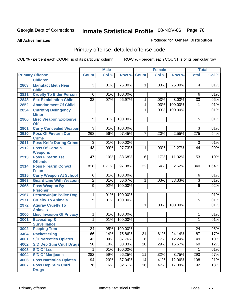**All Active Inmates**

#### Produced for **General Distribution**

# Primary offense, detailed offense code

|      |                                            |                 | <b>Male</b> |         |                 | <b>Female</b> |         |                  | <b>Total</b> |
|------|--------------------------------------------|-----------------|-------------|---------|-----------------|---------------|---------|------------------|--------------|
|      | <b>Primary Offense</b>                     | <b>Count</b>    | Col %       | Row %   | <b>Count</b>    | Col %         | Row %   | <b>Total</b>     | Col %        |
|      | <b>Children</b>                            |                 |             |         |                 |               |         |                  |              |
| 2803 | <b>Manufact Meth Near</b><br><b>Child</b>  | $\overline{3}$  | .01%        | 75.00%  | $\mathbf{1}$    | .03%          | 25.00%  | 4                | .01%         |
| 2811 | <b>Cruelty To Elder Person</b>             | 6               | .01%        | 100.00% |                 |               |         | 6                | .01%         |
| 2843 | <b>Sex Exploitation Child</b>              | $\overline{32}$ | .07%        | 96.97%  | $\mathbf{1}$    | .03%          | 3.03%   | $\overline{33}$  | .06%         |
| 2852 | <b>Abandonment Of Child</b>                |                 |             |         | 1               | .03%          | 100.00% | 1                | .01%         |
| 2854 | <b>Cntrbtng Delingency</b><br><b>Minor</b> |                 |             |         | 1               | .03%          | 100.00% | $\mathbf{1}$     | .01%         |
| 2900 | <b>Misc Weapon/Explosive</b><br><b>Off</b> | $\overline{5}$  | .01%        | 100.00% |                 |               |         | $\overline{5}$   | .01%         |
| 2901 | <b>Carry Concealed Weapon</b>              | $\overline{3}$  | .01%        | 100.00% |                 |               |         | $\overline{3}$   | .01%         |
| 2910 | <b>Poss Of Firearm Dur</b><br><b>Crime</b> | 268             | .56%        | 97.45%  | $\overline{7}$  | .20%          | 2.55%   | $\overline{275}$ | .54%         |
| 2911 | <b>Poss Knife During Crime</b>             | $\overline{3}$  | .01%        | 100.00% |                 |               |         | $\overline{3}$   | .01%         |
| 2912 | <b>Poss Of Certain</b>                     | 43              | .09%        | 97.73%  | 1               | .03%          | 2.27%   | 44               | .09%         |
|      | <b>Weapons</b>                             |                 |             |         |                 |               |         |                  |              |
| 2913 | <b>Poss Firearm 1st</b><br><b>Offender</b> | 47              | .10%        | 88.68%  | 6               | .17%          | 11.32%  | 53               | .10%         |
| 2914 | <b>Poss Firearm Convct</b><br><b>Felon</b> | 818             | 1.71%       | 97.38%  | $\overline{22}$ | .64%          | 2.62%   | 840              | 1.64%        |
| 2915 | <b>Carry Weapon At School</b>              | $\overline{6}$  | .01%        | 100.00% |                 |               |         | 6                | .01%         |
| 2963 | <b>Guard Line With Weapon</b>              | $\overline{2}$  | .01%        | 66.67%  | 1               | .03%          | 33.33%  | $\overline{3}$   | .01%         |
| 2965 | <b>Poss Weapon By</b>                      | $\overline{9}$  | .02%        | 100.00% |                 |               |         | 9                | .02%         |
|      | <b>Prisoner</b>                            |                 |             |         |                 |               |         |                  |              |
| 2967 | <b>Destroy/Injur Police Dog</b>            | 1               | .01%        | 100.00% |                 |               |         | 1                | .01%         |
| 2971 | <b>Cruelty To Animals</b>                  | $\overline{5}$  | .01%        | 100.00% |                 |               |         | $\overline{5}$   | .01%         |
| 2972 | <b>Aggrav Cruelty To</b><br><b>Animals</b> |                 |             |         | 1               | .03%          | 100.00% | $\mathbf{1}$     | .01%         |
| 3000 | <b>Misc Invasion Of Privacy</b>            | $\overline{1}$  | .01%        | 100.00% |                 |               |         | 1                | .01%         |
| 3001 | Eavesdrop &                                | 1               | .01%        | 100.00% |                 |               |         | 1                | .01%         |
|      | <b>Surveillance</b>                        |                 |             |         |                 |               |         |                  |              |
| 3002 | <b>Peeping Tom</b>                         | $\overline{24}$ | .05%        | 100.00% |                 |               |         | 24               | .05%         |
| 3404 | <b>Racketeering</b>                        | 66              | .14%        | 75.86%  | $\overline{21}$ | .61%          | 24.14%  | $\overline{87}$  | .17%         |
| 4001 | <b>S/D Narcotics Opiates</b>               | 43              | .09%        | 87.76%  | $\overline{6}$  | .17%          | 12.24%  | 49               | .10%         |
| 4002 | <b>S/D Dep Stim Cntrf Drugs</b>            | $\overline{50}$ | .10%        | 83.33%  | 10              | .29%          | 16.67%  | 60               | .12%         |
| 4003 | <b>S/D Of Lsd</b>                          | 1               | .01%        | 100.00% |                 |               |         |                  | .01%         |
| 4004 | <b>S/D Of Marijuana</b>                    | 282             | .59%        | 96.25%  | 11              | .32%          | 3.75%   | 293              | .57%         |
| 4006 | <b>Poss Narcotics Opiates</b>              | $\overline{94}$ | .20%        | 87.04%  | $\overline{14}$ | .41%          | 12.96%  | 108              | .21%         |
| 4007 | <b>Poss Dep Stim Cntrf</b><br><b>Drugs</b> | $\overline{76}$ | .16%        | 82.61%  | 16              | .47%          | 17.39%  | 92               | .18%         |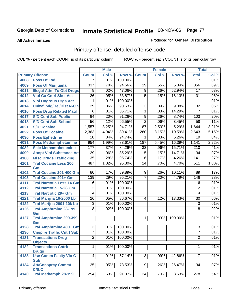**All Active Inmates**

#### Produced for **General Distribution**

# Primary offense, detailed offense code

|      |                                         | <b>Male</b>     |       |         | <b>Female</b>   |       | <b>Total</b> |                  |       |
|------|-----------------------------------------|-----------------|-------|---------|-----------------|-------|--------------|------------------|-------|
|      | <b>Primary Offense</b>                  | <b>Count</b>    | Col % | Row %   | <b>Count</b>    | Col % | Row %        | <b>Total</b>     | Col % |
| 4008 | <b>Poss Of Lsd</b>                      | 7               | .01%  | 100.00% |                 |       |              | 7                | .01%  |
| 4009 | <b>Poss Of Marijuana</b>                | 337             | .70%  | 94.66%  | 19              | .55%  | 5.34%        | 356              | .69%  |
| 4011 | <b>Illegal Attm To Obt Drugs</b>        | 8               | .02%  | 47.06%  | 9               | .26%  | 52.94%       | 17               | .03%  |
| 4012 | <b>Viol Ga Cntrl Sbst Act</b>           | $\overline{26}$ | .05%  | 83.87%  | $\overline{5}$  | .15%  | 16.13%       | $\overline{31}$  | .06%  |
| 4013 | <b>Viol Dngrous Drgs Act</b>            | 1               | .01%  | 100.00% |                 |       |              | 1                | .01%  |
| 4014 | <b>Uniwfl Mfg/Del/Dist N-C S</b>        | 29              | .06%  | 90.63%  | $\overline{3}$  | .09%  | 9.38%        | $\overline{32}$  | .06%  |
| 4016 | <b>Poss Drug Related Matri</b>          | 6               | .01%  | 85.71%  | 1               | .03%  | 14.29%       | $\overline{7}$   | .01%  |
| 4017 | <b>S/D Cont Sub Public</b>              | 94              | .20%  | 91.26%  | $\overline{9}$  | .26%  | 8.74%        | 103              | .20%  |
| 4018 | <b>S/D Cont Sub School</b>              | $\overline{56}$ | .12%  | 96.55%  | $\overline{2}$  | .06%  | 3.45%        | 58               | .11%  |
| 4021 | <b>S/D Cocaine</b>                      | 1,557           | 3.25% | 94.71%  | $\overline{87}$ | 2.53% | 5.29%        | 1,644            | 3.21% |
| 4022 | <b>Poss Of Cocaine</b>                  | 2,363           | 4.94% | 89.41%  | 280             | 8.15% | 10.59%       | 2,643            | 5.15% |
| 4030 | <b>Poss Ephedrine</b>                   | $\overline{18}$ | .04%  | 94.74%  | $\mathbf{1}$    | .03%  | 5.26%        | $\overline{19}$  | .04%  |
| 4031 | <b>Poss Methamphetamine</b>             | 954             | 1.99% | 83.61%  | 187             | 5.45% | 16.39%       | 1,141            | 2.22% |
| 4032 | <b>Sale Methamphetamine</b>             | 177             | .37%  | 84.29%  | 33              | .96%  | 15.71%       | $\overline{210}$ | .41%  |
| 4090 | <b>Atmpt Viol Substance Act</b>         | 29              | .06%  | 85.29%  | $\overline{5}$  | .15%  | 14.71%       | 34               | .07%  |
| 4100 | <b>Misc Drugs Trafficking</b>           | 135             | .28%  | 95.74%  | $\overline{6}$  | .17%  | 4.26%        | 141              | .27%  |
| 4101 | <b>Traf Cocaine Less 200</b>            | 487             | 1.02% | 95.30%  | $\overline{24}$ | .70%  | 4.70%        | 511              | 1.00% |
|      | Gm                                      |                 |       |         |                 |       |              |                  |       |
| 4102 | Traf Cocaine 201-400 Gm                 | 80              | .17%  | 89.89%  | 9               | .26%  | 10.11%       | 89               | .17%  |
| 4103 | <b>Traf Cocaine 401+ Gm</b>             | 139             | .29%  | 95.21%  | $\overline{7}$  | .20%  | 4.79%        | 146              | .28%  |
| 4111 | <b>Traf Narcotic Less 14 Gm</b>         | 6               | .01%  | 100.00% |                 |       |              | 6                | .01%  |
| 4112 | <b>Traf Narcotic 15-28 Gm</b>           | $\overline{2}$  | .01%  | 100.00% |                 |       |              | 2                | .01%  |
| 4113 | <b>Traf Narcotic 29+ Gm</b>             | $\overline{4}$  | .01%  | 100.00% |                 |       |              | 4                | .01%  |
| 4121 | Traf Marijna 10-2000 Lb                 | $\overline{26}$ | .05%  | 86.67%  | 4               | .12%  | 13.33%       | $\overline{30}$  | .06%  |
| 4122 | Traf Marijna 2001-10k Lb                | 3               | .01%  | 100.00% |                 |       |              | 3                | .01%  |
| 4126 | <b>Traf Amphtmine 28-199</b>            | $\overline{8}$  | .02%  | 100.00% |                 |       |              | $\overline{8}$   | .02%  |
| 4127 | Gm<br><b>Traf Amphtmine 200-399</b>     |                 |       |         | $\mathbf 1$     | .03%  | 100.00%      | 1                | .01%  |
|      | Gm                                      |                 |       |         |                 |       |              |                  |       |
| 4128 | <b>Traf Amphtmine 400+ Gm</b>           | $\overline{3}$  | .01%  | 100.00% |                 |       |              | 3                | .01%  |
| 4130 | <b>Cnspire Traffic Cntrl Sub</b>        | $\overline{7}$  | .01%  | 100.00% |                 |       |              | 7                | .01%  |
| 4131 | <b>Transactions Drug</b>                | $\overline{2}$  | .01%  | 100.00% |                 |       |              | $\overline{2}$   | .01%  |
|      | <b>Objects</b>                          |                 |       |         |                 |       |              |                  |       |
| 4132 | <b>Transactions Cntrft</b>              | 1               | .01%  | 100.00% |                 |       |              | 1                | .01%  |
|      | <b>Drugs</b>                            |                 |       |         |                 |       |              |                  |       |
| 4133 | <b>Use Comm Facity Vio C</b>            | $\overline{4}$  | .01%  | 57.14%  | $\overline{3}$  | .09%  | 42.86%       | $\overline{7}$   | .01%  |
|      | <b>Sub</b><br><b>Att/Consprcy Commt</b> | $\overline{25}$ | .05%  | 73.53%  | 9               | .26%  | 26.47%       | $\overline{34}$  | .07%  |
| 4134 | C/S/Of                                  |                 |       |         |                 |       |              |                  |       |
| 4140 | <b>Traf Methamph 28-199</b>             | 254             | .53%  | 91.37%  | $\overline{24}$ | .70%  | 8.63%        | $\overline{278}$ | .54%  |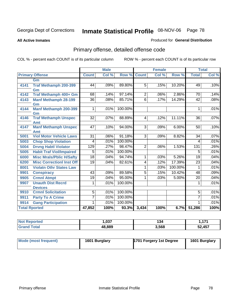#### **All Active Inmates**

#### Produced for **General Distribution**

# Primary offense, detailed offense code

|                      |                                  | <b>Male</b>     |       | <b>Female</b> |                |       | <b>Total</b> |                 |       |
|----------------------|----------------------------------|-----------------|-------|---------------|----------------|-------|--------------|-----------------|-------|
|                      | <b>Primary Offense</b>           | <b>Count</b>    | Col % | Row %         | <b>Count</b>   | Col % | Row %        | <b>Total</b>    | Col % |
|                      | Gm                               |                 |       |               |                |       |              |                 |       |
| 4141                 | Traf Methamph 200-399            | 44              | .09%  | 89.80%        | $\overline{5}$ | .15%  | 10.20%       | 49              | .10%  |
|                      | Gm                               |                 |       |               |                |       |              |                 |       |
| 4142                 | Traf Methamph 400+ Gm            | 68              | .14%  | 97.14%        | $\overline{2}$ | .06%  | 2.86%        | 70              | .14%  |
| 4143                 | <b>Manf Methamph 28-199</b>      | $\overline{36}$ | .08%  | 85.71%        | $\overline{6}$ | .17%  | 14.29%       | $\overline{42}$ | .08%  |
|                      | Gm                               |                 |       |               |                |       |              |                 |       |
| 4144                 | Manf Methamph 200-399            | 1               | .01%  | 100.00%       |                |       |              | 1               | .01%  |
|                      | Gm                               |                 |       |               |                |       |              |                 |       |
| 4146                 | <b>Traf Methamph Unspec</b>      | $\overline{32}$ | .07%  | 88.89%        | 4              | .12%  | 11.11%       | $\overline{36}$ | .07%  |
|                      | Amt                              |                 |       |               |                |       |              |                 |       |
| 4147                 | <b>Manf Methamph Unspec</b>      | 47              | .10%  | 94.00%        | $\overline{3}$ | .09%  | 6.00%        | 50              | .10%  |
|                      | Amt                              |                 |       |               |                |       |              |                 |       |
| 5001                 | <b>Viol Motor Vehicle Laws</b>   | $\overline{31}$ | .06%  | 91.18%        | $\overline{3}$ | .09%  | 8.82%        | $\overline{34}$ | .07%  |
| 5003                 | <b>Chop Shop Violation</b>       | 4               | .01%  | 100.00%       |                |       |              | 4               | .01%  |
| 5004                 | <b>Drvng Habtl Violator</b>      | 129             | .27%  | 98.47%        | $\overline{2}$ | .06%  | 1.53%        | 131             | .26%  |
| 5005                 | <b>Habit Traf Viol/Impaired</b>  | 5               | .01%  | 100.00%       |                |       |              | 5               | .01%  |
| 6000                 | <b>Misc Mrals/Pblic H/Safty</b>  | $\overline{18}$ | .04%  | 94.74%        | 1              | .03%  | 5.26%        | $\overline{19}$ | .04%  |
| 6200                 | <b>Misc CorrectionI Inst Off</b> | $\overline{19}$ | .04%  | 82.61%        | 4              | .12%  | 17.39%       | $\overline{23}$ | .04%  |
| 8001                 | <b>Violatn Othr States Law</b>   |                 |       |               | 1              | .03%  | 100.00%      | 1               | .01%  |
| 9901                 | <b>Conspiracy</b>                | $\overline{43}$ | .09%  | 89.58%        | 5              | .15%  | 10.42%       | $\overline{48}$ | .09%  |
| 9905                 | <b>Crmnl Atmpt</b>               | 19              | .04%  | 95.00%        | 1              | .03%  | 5.00%        | $\overline{20}$ | .04%  |
| 9907                 | <b>Unauth Dist Recrd</b>         | 1               | .01%  | 100.00%       |                |       |              | 1               | .01%  |
|                      | <b>Devices</b>                   |                 |       |               |                |       |              |                 |       |
| 9910                 | <b>Crmnl Solicitation</b>        | $\overline{5}$  | .01%  | 100.00%       |                |       |              | $\overline{5}$  | .01%  |
| 9911                 | <b>Party To A Crime</b>          | 7               | .01%  | 100.00%       |                |       |              | 7               | .01%  |
| 9914                 | <b>Gang Participation</b>        |                 | .01%  | 100.00%       |                |       |              | 1               | .01%  |
| <b>Total Rported</b> |                                  | 47,852          | 100%  | 93.3%         | 3,434          | 100%  | 6.7%         | 51,286          | 100%  |

| prted | ,037   | .     | 474<br>. |
|-------|--------|-------|----------|
|       | 48,889 | 3,568 | 52,457   |

| Mode (most frequent) | 1601 Burglary | 1701 Forgery 1st Degree | 1601 Burglary |
|----------------------|---------------|-------------------------|---------------|
|                      |               |                         |               |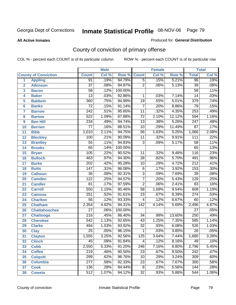#### **All Active Inmates**

#### Produced for **General Distribution**

# County of conviction of primary offense

|                         |                             |                  | <b>Male</b> |         |                 | <b>Female</b> |        |                  | <b>Total</b> |
|-------------------------|-----------------------------|------------------|-------------|---------|-----------------|---------------|--------|------------------|--------------|
|                         | <b>County of Conviction</b> | <b>Count</b>     | Col %       | Row %   | <b>Count</b>    | Col %         | Row %  | <b>Total</b>     | Col %        |
| 1                       | <b>Appling</b>              | 91               | .19%        | 94.79%  | $\overline{5}$  | .15%          | 5.21%  | 96               | .19%         |
| $\overline{2}$          | <b>Atkinson</b>             | $\overline{37}$  | .08%        | 94.87%  | $\overline{2}$  | .06%          | 5.13%  | $\overline{39}$  | .08%         |
| $\overline{\mathbf{3}}$ | <b>Bacon</b>                | $\overline{58}$  | .12%        | 100.00% |                 |               |        | $\overline{58}$  | .11%         |
| 4                       | <b>Baker</b>                | $\overline{13}$  | .03%        | 92.86%  | 1               | .03%          | 7.14%  | $\overline{14}$  | .03%         |
| 5                       | <b>Baldwin</b>              | 360              | .75%        | 94.99%  | $\overline{19}$ | .55%          | 5.01%  | $\overline{379}$ | .74%         |
| 6                       | <b>Banks</b>                | $\overline{72}$  | .15%        | 91.14%  | $\overline{7}$  | .20%          | 8.86%  | $\overline{79}$  | .15%         |
| $\overline{\mathbf{7}}$ | <b>Barrow</b>               | $\overline{242}$ | .51%        | 95.65%  | $\overline{11}$ | .32%          | 4.35%  | 253              | .49%         |
| 8                       | <b>Bartow</b>               | $\overline{522}$ | 1.09%       | 87.88%  | $\overline{72}$ | 2.10%         | 12.12% | 594              | 1.16%        |
| 9                       | <b>Ben Hill</b>             | 234              | .49%        | 94.74%  | $\overline{13}$ | .38%          | 5.26%  | $\overline{247}$ | .48%         |
| 10                      | <b>Berrien</b>              | $\overline{77}$  | .16%        | 88.51%  | $\overline{10}$ | .29%          | 11.49% | $\overline{87}$  | .17%         |
| 11                      | <b>Bibb</b>                 | 1,010            | 2.11%       | 94.75%  | $\overline{56}$ | 1.63%         | 5.25%  | 1,066            | 2.08%        |
| 12                      | <b>Bleckley</b>             | 100              | .21%        | 90.09%  | $\overline{11}$ | .32%          | 9.91%  | $\overline{111}$ | .22%         |
| $\overline{13}$         | <b>Brantley</b>             | $\overline{55}$  | .11%        | 94.83%  | $\overline{3}$  | .09%          | 5.17%  | $\overline{58}$  | .11%         |
| 14                      | <b>Brooks</b>               | $\overline{65}$  | .14%        | 100.00% |                 |               |        | 65               | .13%         |
| 15                      | <b>Bryan</b>                | 105              | .22%        | 90.52%  | $\overline{11}$ | .32%          | 9.48%  | 116              | .23%         |
| 16                      | <b>Bulloch</b>              | 463              | .97%        | 94.30%  | $\overline{28}$ | .82%          | 5.70%  | 491              | .96%         |
| $\overline{17}$         | <b>Burke</b>                | $\overline{202}$ | .42%        | 95.28%  | 10              | .29%          | 4.72%  | $\overline{212}$ | .41%         |
| 18                      | <b>Butts</b>                | $\overline{147}$ | .31%        | 96.08%  | $\overline{6}$  | .17%          | 3.92%  | 153              | .30%         |
| 19                      | <b>Calhoun</b>              | $\overline{36}$  | .08%        | 92.31%  | $\overline{3}$  | .09%          | 7.69%  | $\overline{39}$  | .08%         |
| 20                      | <b>Camden</b>               | $\overline{122}$ | .25%        | 94.57%  | $\overline{7}$  | .20%          | 5.43%  | 129              | .25%         |
| 21                      | <b>Candler</b>              | $\overline{81}$  | .17%        | 97.59%  | $\overline{2}$  | .06%          | 2.41%  | 83               | .16%         |
| $\overline{22}$         | <b>Carroll</b>              | 550              | 1.15%       | 90.46%  | $\overline{58}$ | 1.69%         | 9.54%  | 608              | 1.19%        |
| 23                      | <b>Catoosa</b>              | $\overline{251}$ | .52%        | 91.61%  | $\overline{23}$ | .67%          | 8.39%  | $\overline{274}$ | .53%         |
| 24                      | <b>Charlton</b>             | $\overline{56}$  | .12%        | 93.33%  | $\overline{4}$  | .12%          | 6.67%  | 60               | .12%         |
| 25                      | <b>Chatham</b>              | 2,354            | 4.92%       | 94.31%  | 142             | 4.14%         | 5.69%  | 2,496            | 4.87%        |
| 26                      | <b>Chattahoochee</b>        | $\overline{27}$  | .06%        | 100.00% |                 |               |        | $\overline{27}$  | .05%         |
| 27                      | <b>Chattooga</b>            | $\overline{216}$ | .45%        | 86.40%  | 34              | .99%          | 13.60% | 250              | .49%         |
| 28                      | <b>Cherokee</b>             | $\overline{542}$ | 1.13%       | 92.65%  | $\overline{43}$ | 1.25%         | 7.35%  | 585              | 1.14%        |
| 29                      | <b>Clarke</b>               | 494              | 1.03%       | 93.92%  | $\overline{32}$ | .93%          | 6.08%  | 526              | 1.03%        |
| 30                      | <b>Clay</b>                 | $\overline{25}$  | .05%        | 96.15%  | 1               | .03%          | 3.85%  | $\overline{26}$  | .05%         |
| $\overline{31}$         | <b>Clayton</b>              | 1,555            | 3.25%       | 92.56%  | 125             | 3.64%         | 7.44%  | 1,680            | 3.28%        |
| 32                      | <b>Clinch</b>               | 45               | .09%        | 91.84%  | 4               | .12%          | 8.16%  | 49               | .10%         |
| 33                      | <b>Cobb</b>                 | 2,550            | 5.33%       | 91.20%  | 246             | 7.16%         | 8.80%  | 2,796            | 5.45%        |
| 34                      | <b>Coffee</b>               | $\overline{219}$ | .46%        | 90.50%  | $\overline{23}$ | .67%          | 9.50%  | $\overline{242}$ | .47%         |
| 35                      | <b>Colquitt</b>             | 299              | .62%        | 96.76%  | 10              | .29%          | 3.24%  | 309              | .60%         |
| 36                      | <b>Columbia</b>             | $\overline{277}$ | .58%        | 92.33%  | $\overline{23}$ | .67%          | 7.67%  | 300              | .58%         |
| 37                      | <b>Cook</b>                 | 136              | .28%        | 94.44%  | 8               | .23%          | 5.56%  | 144              | .28%         |
| 38                      | <b>Coweta</b>               | $\overline{512}$ | 1.07%       | 94.12%  | $\overline{32}$ | .93%          | 5.88%  | 544              | 1.06%        |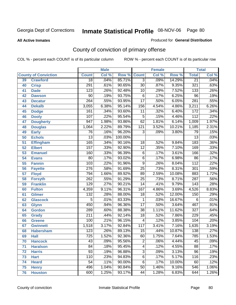#### **All Active Inmates**

#### Produced for **General Distribution**

# County of conviction of primary offense

|                 |                             |                  | <b>Male</b> |         | Female           |       |        | <b>Total</b>     |       |
|-----------------|-----------------------------|------------------|-------------|---------|------------------|-------|--------|------------------|-------|
|                 | <b>County of Conviction</b> | <b>Count</b>     | Col %       | Row %   | <b>Count</b>     | Col % | Row %  | <b>Total</b>     | Col % |
| 39              | <b>Crawford</b>             | $\overline{18}$  | .04%        | 85.71%  | $\overline{3}$   | .09%  | 14.29% | $\overline{21}$  | .04%  |
| 40              | <b>Crisp</b>                | 291              | .61%        | 90.65%  | $\overline{30}$  | .87%  | 9.35%  | $\overline{321}$ | .63%  |
| 41              | <b>Dade</b>                 | $\overline{123}$ | .26%        | 92.48%  | 10               | .29%  | 7.52%  | 133              | .26%  |
| 42              | <b>Dawson</b>               | $\overline{90}$  | .19%        | 93.75%  | $\overline{6}$   | .17%  | 6.25%  | $\overline{96}$  | .19%  |
| 43              | <b>Decatur</b>              | $\overline{264}$ | .55%        | 93.95%  | $\overline{17}$  | .50%  | 6.05%  | 281              | .55%  |
| 44              | <b>Dekalb</b>               | 3,055            | 6.38%       | 95.14%  | 156              | 4.54% | 4.86%  | 3,211            | 6.26% |
| 45              | <b>Dodge</b>                | 161              | .34%        | 93.60%  | $\overline{11}$  | .32%  | 6.40%  | $\overline{172}$ | .34%  |
| 46              | <b>Dooly</b>                | 107              | .22%        | 95.54%  | $\overline{5}$   | .15%  | 4.46%  | $\overline{112}$ | .22%  |
| 47              | <b>Dougherty</b>            | $\overline{947}$ | 1.98%       | 93.86%  | 62               | 1.81% | 6.14%  | 1,009            | 1.97% |
| 48              | <b>Douglas</b>              | 1,064            | 2.22%       | 89.79%  | $\overline{121}$ | 3.52% | 10.21% | 1,185            | 2.31% |
| 49              | <b>Early</b>                | 76               | .16%        | 96.20%  | 3                | .09%  | 3.80%  | 79               | .15%  |
| 50              | <b>Echols</b>               | $\overline{13}$  | .03%        | 100.00% |                  |       |        | $\overline{13}$  | .03%  |
| $\overline{51}$ | <b>Effingham</b>            | 165              | .34%        | 90.16%  | 18               | .52%  | 9.84%  | $\overline{183}$ | .36%  |
| 52              | <b>Elbert</b>               | 157              | .33%        | 92.90%  | $\overline{12}$  | .35%  | 7.10%  | 169              | .33%  |
| 53              | <b>Emanuel</b>              | 160              | .33%        | 96.39%  | $\overline{6}$   | .17%  | 3.61%  | 166              | .32%  |
| $\overline{54}$ | <b>Evans</b>                | $\overline{80}$  | .17%        | 93.02%  | $\overline{6}$   | .17%  | 6.98%  | 86               | .17%  |
| 55              | <b>Fannin</b>               | 103              | .22%        | 91.96%  | $\overline{9}$   | .26%  | 8.04%  | $\overline{112}$ | .22%  |
| 56              | <b>Fayette</b>              | $\overline{276}$ | .58%        | 91.69%  | $\overline{25}$  | .73%  | 8.31%  | 301              | .59%  |
| 57              | <b>Floyd</b>                | 794              | 1.66%       | 89.92%  | 89               | 2.59% | 10.08% | 883              | 1.72% |
| 58              | <b>Forsyth</b>              | $\overline{262}$ | .55%        | 91.29%  | $\overline{25}$  | .73%  | 8.71%  | 287              | .56%  |
| 59              | <b>Franklin</b>             | 129              | .27%        | 90.21%  | $\overline{14}$  | .41%  | 9.79%  | $\overline{143}$ | .28%  |
| 60              | <b>Fulton</b>               | 4,359            | 9.11%       | 96.31%  | 167              | 4.86% | 3.69%  | 4,526            | 8.83% |
| 61              | Gilmer                      | $\overline{132}$ | .28%        | 88.00%  | $\overline{18}$  | .52%  | 12.00% | 150              | .29%  |
| 62              | <b>Glascock</b>             | $\overline{5}$   | .01%        | 83.33%  | $\mathbf{1}$     | .03%  | 16.67% | $\,6$            | .01%  |
| 63              | <b>Glynn</b>                | 450              | .94%        | 96.36%  | $\overline{17}$  | .50%  | 3.64%  | 467              | .91%  |
| 64              | <b>Gordon</b>               | 289              | .60%        | 88.38%  | $\overline{38}$  | 1.11% | 11.62% | $\overline{327}$ | .64%  |
| 65              | <b>Grady</b>                | $\overline{211}$ | .44%        | 92.14%  | $\overline{18}$  | .52%  | 7.86%  | 229              | .45%  |
| 66              | <b>Greene</b>               | 100              | .21%        | 96.15%  | 4                | .12%  | 3.85%  | 104              | .20%  |
| 67              | <b>Gwinnett</b>             | 1,518            | 3.17%       | 92.84%  | 117              | 3.41% | 7.16%  | 1,635            | 3.19% |
| 68              | <b>Habersham</b>            | $\overline{123}$ | .26%        | 89.13%  | $\overline{15}$  | .44%  | 10.87% | 138              | .27%  |
| 69              | <b>Hall</b>                 | $\overline{725}$ | 1.52%       | 92.36%  | 60               | 1.75% | 7.64%  | 785              | 1.53% |
| 70              | <b>Hancock</b>              | 43               | .09%        | 95.56%  | 2                | .06%  | 4.44%  | $\overline{45}$  | .09%  |
| 71              | <b>Haralson</b>             | $\overline{84}$  | .18%        | 95.45%  | 4                | .12%  | 4.55%  | $\overline{88}$  | .17%  |
| 72              | <b>Harris</b>               | $\overline{93}$  | .19%        | 96.88%  | $\overline{3}$   | .09%  | 3.13%  | $\overline{96}$  | .19%  |
| 73              | <b>Hart</b>                 | 110              | .23%        | 94.83%  | $\overline{6}$   | .17%  | 5.17%  | 116              | .23%  |
| 74              | <b>Heard</b>                | 54               | .11%        | 90.00%  | 6                | .17%  | 10.00% | 60               | .12%  |
| 75              | <b>Henry</b>                | 496              | 1.04%       | 90.84%  | 50               | 1.46% | 9.16%  | 546              | 1.06% |
| 76              | <b>Houston</b>              | 600              | 1.25%       | 93.17%  | 44               | 1.28% | 6.83%  | 644              | 1.26% |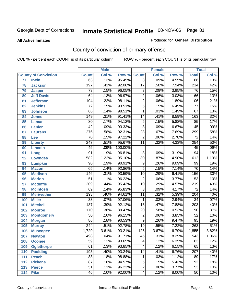**All Active Inmates**

#### Produced for **General Distribution**

# County of conviction of primary offense

|                 |                             |                  | <b>Male</b> |         |                 | <b>Female</b> |        |                  | <b>Total</b> |
|-----------------|-----------------------------|------------------|-------------|---------|-----------------|---------------|--------|------------------|--------------|
|                 | <b>County of Conviction</b> | <b>Count</b>     | Col %       | Row %   | <b>Count</b>    | Col %         | Row %  | <b>Total</b>     | Col %        |
| $\overline{77}$ | <b>Irwin</b>                | 63               | .13%        | 95.45%  | $\overline{3}$  | .09%          | 4.55%  | 66               | .13%         |
| 78              | <b>Jackson</b>              | 197              | .41%        | 92.06%  | $\overline{17}$ | .50%          | 7.94%  | $\overline{214}$ | .42%         |
| 79              | <b>Jasper</b>               | $\overline{73}$  | .15%        | 96.05%  | $\overline{3}$  | .09%          | 3.95%  | $\overline{76}$  | .15%         |
| 80              | <b>Jeff Davis</b>           | 64               | .13%        | 96.97%  | $\overline{2}$  | .06%          | 3.03%  | 66               | .13%         |
| 81              | <b>Jefferson</b>            | 104              | .22%        | 98.11%  | $\overline{2}$  | .06%          | 1.89%  | 106              | .21%         |
| 82              | <b>Jenkins</b>              | $\overline{72}$  | .15%        | 93.51%  | $\overline{5}$  | .15%          | 6.49%  | $\overline{77}$  | .15%         |
| 83              | <b>Johnson</b>              | 66               | .14%        | 98.51%  | 1               | .03%          | 1.49%  | $\overline{67}$  | .13%         |
| 84              | <b>Jones</b>                | 149              | .31%        | 91.41%  | 14              | .41%          | 8.59%  | 163              | .32%         |
| 85              | <b>Lamar</b>                | $\overline{80}$  | .17%        | 94.12%  | $\overline{5}$  | .15%          | 5.88%  | 85               | .17%         |
| 86              | <b>Lanier</b>               | $\overline{42}$  | .09%        | 93.33%  | $\overline{3}$  | .09%          | 6.67%  | 45               | .09%         |
| 87              | <b>Laurens</b>              | $\overline{276}$ | .58%        | 92.31%  | $\overline{23}$ | .67%          | 7.69%  | 299              | .58%         |
| 88              | Lee                         | 70               | .15%        | 97.22%  | $\overline{2}$  | .06%          | 2.78%  | $\overline{72}$  | .14%         |
| 89              | <b>Liberty</b>              | $\overline{243}$ | .51%        | 95.67%  | $\overline{11}$ | .32%          | 4.33%  | 254              | .50%         |
| 90              | <b>Lincoln</b>              | 45               | .09%        | 100.00% |                 |               |        | 45               | .09%         |
| 91              | Long                        | $\overline{91}$  | .19%        | 96.81%  | $\overline{3}$  | .09%          | 3.19%  | $\overline{94}$  | .18%         |
| 92              | <b>Lowndes</b>              | 582              | 1.22%       | 95.10%  | 30              | .87%          | 4.90%  | 612              | 1.19%        |
| 93              | <b>Lumpkin</b>              | $\overline{90}$  | .19%        | 90.91%  | $\overline{9}$  | .26%          | 9.09%  | 99               | .19%         |
| 94              | <b>Macon</b>                | 65               | .14%        | 92.86%  | $\overline{5}$  | .15%          | 7.14%  | $\overline{70}$  | .14%         |
| 95              | <b>Madison</b>              | 146              | .31%        | 93.59%  | 10              | .29%          | 6.41%  | 156              | .30%         |
| 96              | <b>Marion</b>               | $\overline{51}$  | .11%        | 96.23%  | $\overline{2}$  | .06%          | 3.77%  | $\overline{53}$  | .10%         |
| 97              | <b>Mcduffie</b>             | $\overline{209}$ | .44%        | 95.43%  | 10              | .29%          | 4.57%  | $\overline{219}$ | .43%         |
| 98              | <b>Mcintosh</b>             | 69               | .14%        | 95.83%  | $\overline{3}$  | .09%          | 4.17%  | $\overline{72}$  | .14%         |
| 99              | <b>Meriwether</b>           | 193              | .40%        | 94.61%  | $\overline{11}$ | .32%          | 5.39%  | $\overline{204}$ | .40%         |
| 100             | <b>Miller</b>               | $\overline{33}$  | .07%        | 97.06%  | 1               | .03%          | 2.94%  | $\overline{34}$  | .07%         |
| 101             | <b>Mitchell</b>             | 187              | .39%        | 92.12%  | $\overline{16}$ | .47%          | 7.88%  | $\overline{203}$ | .40%         |
| 102             | <b>Monroe</b>               | 170              | .36%        | 89.47%  | $\overline{20}$ | .58%          | 10.53% | 190              | .37%         |
| 103             | <b>Montgomery</b>           | $\overline{50}$  | .10%        | 96.15%  | $\overline{2}$  | .06%          | 3.85%  | $\overline{52}$  | .10%         |
| 104             | <b>Morgan</b>               | $\overline{86}$  | .18%        | 90.53%  | $\overline{9}$  | .26%          | 9.47%  | 95               | .19%         |
| 105             | <b>Murray</b>               | $\overline{244}$ | .51%        | 92.78%  | $\overline{19}$ | .55%          | 7.22%  | 263              | .51%         |
| 106             | <b>Muscogee</b>             | 1,729            | 3.61%       | 93.21%  | 126             | 3.67%         | 6.79%  | 1,855            | 3.62%        |
| 107             | <b>Newton</b>               | 498              | 1.04%       | 91.71%  | 45              | 1.31%         | 8.29%  | 543              | 1.06%        |
| 108             | <b>Oconee</b>               | 59               | .12%        | 93.65%  | 4               | .12%          | 6.35%  | 63               | .12%         |
| 109             | <b>Oglethorpe</b>           | 61               | .13%        | 93.85%  | $\overline{4}$  | .12%          | 6.15%  | 65               | .13%         |
| 110             | Paulding                    | 193              | .40%        | 93.24%  | 14              | .41%          | 6.76%  | $\overline{207}$ | .40%         |
| 111             | <b>Peach</b>                | 88               | .18%        | 98.88%  | 1               | .03%          | 1.12%  | 89               | .17%         |
| 112             | <b>Pickens</b>              | $\overline{87}$  | .18%        | 94.57%  | 5               | .15%          | 5.43%  | 92               | .18%         |
| 113             | <b>Pierce</b>               | $\overline{51}$  | .11%        | 96.23%  | $\overline{2}$  | .06%          | 3.77%  | $\overline{53}$  | .10%         |
| 114             | <b>Pike</b>                 | $\overline{46}$  | .10%        | 92.00%  | 4               | .12%          | 8.00%  | 50               | .10%         |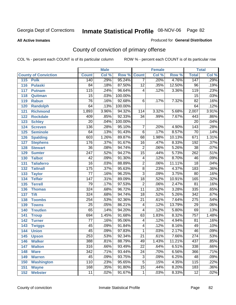#### **All Active Inmates**

#### Produced for **General Distribution**

# County of conviction of primary offense

|                             |                  | <b>Male</b> |                    |                 | <b>Female</b> |        |                  | <b>Total</b> |
|-----------------------------|------------------|-------------|--------------------|-----------------|---------------|--------|------------------|--------------|
| <b>County of Conviction</b> | <b>Count</b>     | Col %       | <b>Row % Count</b> |                 | Col %         | Row %  | <b>Total</b>     | Col %        |
| 115<br><b>Polk</b>          | 140              | .29%        | 95.24%             | $\overline{7}$  | .20%          | 4.76%  | 147              | .29%         |
| <b>Pulaski</b><br>116       | $\overline{84}$  | .18%        | 87.50%             | $\overline{12}$ | .35%          | 12.50% | $\overline{96}$  | .19%         |
| 117<br><b>Putnam</b>        | 115              | .24%        | 96.64%             | $\overline{4}$  | .12%          | 3.36%  | $\overline{119}$ | .23%         |
| 118<br>Quitman              | $\overline{15}$  | .03%        | 100.00%            |                 |               |        | $\overline{15}$  | .03%         |
| 119<br><b>Rabun</b>         | $\overline{76}$  | .16%        | 92.68%             | 6               | .17%          | 7.32%  | $\overline{82}$  | .16%         |
| 120<br><b>Randolph</b>      | 64               | .13%        | 100.00%            |                 |               |        | 64               | .12%         |
| 121<br><b>Richmond</b>      | 1,893            | 3.96%       | 94.32%             | 114             | 3.32%         | 5.68%  | 2,007            | 3.91%        |
| 122<br><b>Rockdale</b>      | 409              | .85%        | 92.33%             | $\overline{34}$ | .99%          | 7.67%  | 443              | .86%         |
| 123<br><b>Schley</b>        | $\overline{20}$  | .04%        | 100.00%            |                 |               |        | $\overline{20}$  | .04%         |
| 124<br><b>Screven</b>       | 136              | .28%        | 95.10%             | 7               | .20%          | 4.90%  | $\overline{143}$ | .28%         |
| <b>Seminole</b><br>125      | 64               | .13%        | 91.43%             | $\overline{6}$  | .17%          | 8.57%  | $\overline{70}$  | .14%         |
| <b>Spalding</b><br>126      | 603              | 1.26%       | 89.87%             | 68              | 1.98%         | 10.13% | 671              | 1.31%        |
| 127<br><b>Stephens</b>      | 176              | .37%        | 91.67%             | $\overline{16}$ | .47%          | 8.33%  | 192              | .37%         |
| 128<br><b>Stewart</b>       | $\overline{36}$  | .08%        | 94.74%             | $\overline{2}$  | .06%          | 5.26%  | $\overline{38}$  | .07%         |
| 129<br><b>Sumter</b>        | $\overline{247}$ | .52%        | 94.27%             | $\overline{15}$ | .44%          | 5.73%  | $\overline{262}$ | .51%         |
| <b>Talbot</b><br>130        | $\overline{42}$  | .09%        | 91.30%             | $\overline{4}$  | .12%          | 8.70%  | 46               | .09%         |
| 131<br><b>Taliaferro</b>    | $\overline{16}$  | .03%        | 88.89%             | $\overline{2}$  | .06%          | 11.11% | $\overline{18}$  | .04%         |
| 132<br><b>Tattnall</b>      | $\overline{175}$ | .37%        | 95.63%             | $\overline{8}$  | .23%          | 4.37%  | 183              | .36%         |
| 133<br><b>Taylor</b>        | $\overline{77}$  | .16%        | 96.25%             | $\overline{3}$  | .09%          | 3.75%  | 80               | .16%         |
| <b>Telfair</b><br>134       | $\overline{147}$ | .31%        | 89.09%             | $\overline{18}$ | .52%          | 10.91% | 165              | .32%         |
| 135<br><b>Terrell</b>       | $\overline{79}$  | .17%        | 97.53%             | $\overline{2}$  | .06%          | 2.47%  | $\overline{81}$  | .16%         |
| 136<br><b>Thomas</b>        | $\overline{324}$ | .68%        | 96.72%             | $\overline{11}$ | .32%          | 3.28%  | 335              | .65%         |
| 137<br><b>Tift</b>          | 324              | .68%        | 94.74%             | $\overline{18}$ | .52%          | 5.26%  | $\overline{342}$ | .67%         |
| <b>Toombs</b><br>138        | 254              | .53%        | 92.36%             | $\overline{21}$ | .61%          | 7.64%  | $\overline{275}$ | .54%         |
| 139<br><b>Towns</b>         | $\overline{25}$  | .05%        | 86.21%             | $\overline{4}$  | .12%          | 13.79% | $\overline{29}$  | .06%         |
| 140<br><b>Treutlen</b>      | $\overline{65}$  | .14%        | 94.20%             | $\overline{4}$  | .12%          | 5.80%  | 69               | .13%         |
| 141<br><b>Troup</b>         | 694              | 1.45%       | 91.68%             | 63              | 1.83%         | 8.32%  | 757              | 1.48%        |
| 142<br><b>Turner</b>        | $\overline{77}$  | .16%        | 95.06%             | $\overline{4}$  | .12%          | 4.94%  | 81               | .16%         |
| 143<br><b>Twiggs</b>        | $\overline{45}$  | .09%        | 91.84%             | 4               | .12%          | 8.16%  | 49               | .10%         |
| 144<br><b>Union</b>         | $\overline{45}$  | .09%        | 97.83%             | 1               | .03%          | 2.17%  | 46               | .09%         |
| 145<br><b>Upson</b>         | $\overline{253}$ | .53%        | 92.34%             | $\overline{21}$ | .61%          | 7.66%  | $\overline{274}$ | .53%         |
| 146<br><b>Walker</b>        | 388              | .81%        | 88.79%             | 49              | 1.43%         | 11.21% | 437              | .85%         |
| 147<br><b>Walton</b>        | 316              | .66%        | 93.49%             | $\overline{22}$ | .64%          | 6.51%  | 338              | .66%         |
| <b>Ware</b><br>148          | $\overline{342}$ | .71%        | 93.44%             | $\overline{24}$ | .70%          | 6.56%  | 366              | .71%         |
| <b>Warren</b><br>149        | 45               | .09%        | 93.75%             | $\overline{3}$  | .09%          | 6.25%  | 48               | .09%         |
| 150<br><b>Washington</b>    | 110              | .23%        | 95.65%             | $\overline{5}$  | .15%          | 4.35%  | 115              | .22%         |
| 151<br><b>Wayne</b>         | 168              | .35%        | 91.80%             | $\overline{15}$ | .44%          | 8.20%  | 183              | .36%         |
| 152<br><b>Webster</b>       | 11               | .02%        | 91.67%             | $\mathbf{1}$    | .03%          | 8.33%  | $\overline{12}$  | .02%         |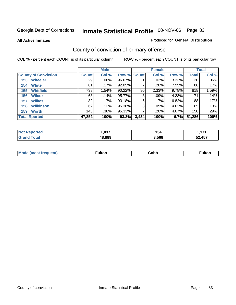**All Active Inmates**

#### Produced for **General Distribution**

# County of conviction of primary offense

|                             |              | <b>Male</b> |             |       | <b>Female</b> |       |              | <b>Total</b> |
|-----------------------------|--------------|-------------|-------------|-------|---------------|-------|--------------|--------------|
| <b>County of Conviction</b> | <b>Count</b> | Col %       | Row % Count |       | Col %         | Row % | <b>Total</b> | Col %        |
| <b>Wheeler</b><br>153       | 29           | $.06\%$     | 96.67%      |       | .03%          | 3.33% | 30           | $.06\%$      |
| <b>White</b><br>154         | 81           | .17%        | $92.05\%$   |       | .20%          | 7.95% | 88           | .17%         |
| <b>Whitfield</b><br>155     | 738          | 1.54%       | 90.22%      | 80    | 2.33%         | 9.78% | 818          | 1.59%        |
| 156<br><b>Wilcox</b>        | 68           | .14%        | 95.77%      | 3     | $.09\%$       | 4.23% | 71           | .14%         |
| <b>Wilkes</b><br>157        | 82           | .17%        | 93.18%      | 6     | .17%          | 6.82% | 88           | .17%         |
| <b>Wilkinson</b><br>158     | 62           | .13%        | 95.38%      | 3     | .09%          | 4.62% | 65           | $.13\%$      |
| <b>Worth</b><br>159         | 143          | $.30\%$     | 95.33%      |       | .20%          | 4.67% | 150          | .29%         |
| <b>Total Rported</b>        | 47,852       | 100%        | 93.3%       | 3,434 | 100%          | 6.7%  | 51,286       | 100%         |

| rted | ຸດາສ    | 34ء   | 171 |
|------|---------|-------|-----|
| . Nr | . .u. . |       | .   |
|      | 48.889  | 3.568 | 457 |

| Mc | ™ulton | Cobb |  |
|----|--------|------|--|
|    |        |      |  |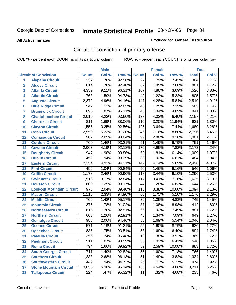**All Active Inmates**

#### Produced for **General Distribution**

# Circuit of conviction of primary offense

|                         |                                 |                  | <b>Male</b> |        |                  | <b>Female</b> |        |                  | <b>Total</b> |
|-------------------------|---------------------------------|------------------|-------------|--------|------------------|---------------|--------|------------------|--------------|
|                         | <b>Circuit of Conviction</b>    | <b>Count</b>     | Col %       | Row %  | <b>Count</b>     | Col %         | Row %  | <b>Total</b>     | Col %        |
| 1                       | <b>Alapaha Circuit</b>          | 337              | .70%        | 92.58% | $\overline{27}$  | .79%          | 7.42%  | 364              | .71%         |
| $\overline{2}$          | <b>Alcovy Circuit</b>           | 814              | 1.70%       | 92.40% | 67               | 1.95%         | 7.60%  | 881              | 1.72%        |
| $\overline{\mathbf{3}}$ | <b>Atlanta Circuit</b>          | 4,359            | 9.11%       | 96.31% | 167              | 4.86%         | 3.69%  | 4,526            | 8.83%        |
| 4                       | <b>Atlantic Circuit</b>         | 763              | 1.59%       | 94.78% | $\overline{42}$  | 1.22%         | 5.22%  | 805              | 1.57%        |
| 5                       | <b>Augusta Circuit</b>          | 2,372            | 4.96%       | 94.16% | $\overline{147}$ | 4.28%         | 5.84%  | 2,519            | 4.91%        |
| $6\phantom{a}$          | <b>Blue Ridge Circuit</b>       | $\overline{542}$ | 1.13%       | 92.65% | $\overline{43}$  | 1.25%         | 7.35%  | 585              | 1.14%        |
| $\overline{\mathbf{7}}$ | <b>Brunswick Circuit</b>        | 895              | 1.87%       | 95.11% | 46               | 1.34%         | 4.89%  | 941              | 1.83%        |
| 8                       | <b>Chattahoochee Circuit</b>    | 2,019            | 4.22%       | 93.60% | 138              | 4.02%         | 6.40%  | 2,157            | 4.21%        |
| 9                       | <b>Cherokee Circuit</b>         | 811              | 1.69%       | 88.06% | 110              | 3.20%         | 11.94% | $\overline{921}$ | 1.80%        |
| 10                      | <b>Clayton Circuit</b>          | 1,555            | 3.25%       | 92.56% | 125              | 3.64%         | 7.44%  | 1,680            | 3.28%        |
| 11                      | <b>Cobb Circuit</b>             | 2,550            | 5.33%       | 91.20% | $\frac{1}{246}$  | 7.16%         | 8.80%  | 2,796            | 5.45%        |
| 12                      | <b>Conasauga Circuit</b>        | 982              | 2.05%       | 90.84% | 99               | 2.88%         | 9.16%  | 1,081            | 2.11%        |
| 13                      | <b>Cordele Circuit</b>          | 700              | 1.46%       | 93.21% | $\overline{51}$  | 1.49%         | 6.79%  | $\overline{751}$ | 1.46%        |
| 14                      | <b>Coweta Circuit</b>           | 2,003            | 4.19%       | 92.18% | 170              | 4.95%         | 7.82%  | 2,173            | 4.24%        |
| 15                      | <b>Dougherty Circuit</b>        | 947              | 1.98%       | 93.86% | 62               | 1.81%         | 6.14%  | 1,009            | 1.97%        |
| 16                      | <b>Dublin Circuit</b>           | 452              | .94%        | 93.39% | $\overline{32}$  | .93%          | 6.61%  | 484              | .94%         |
| 17                      | <b>Eastern Circuit</b>          | 2,354            | 4.92%       | 94.31% | $\overline{142}$ | 4.14%         | 5.69%  | 2,496            | 4.87%        |
| 18                      | <b>Flint Circuit</b>            | 496              | 1.04%       | 90.84% | $\overline{50}$  | 1.46%         | 9.16%  | 546              | 1.06%        |
| 19                      | <b>Griffin Circuit</b>          | 1,178            | 2.46%       | 90.90% | 118              | 3.44%         | 9.10%  | 1,296            | 2.53%        |
| 20                      | <b>Gwinnett Circuit</b>         | 1,518            | 3.17%       | 92.84% | $\overline{117}$ | 3.41%         | 7.16%  | 1,635            | 3.19%        |
| 21                      | <b>Houston Circuit</b>          | 600              | 1.25%       | 93.17% | 44               | 1.28%         | 6.83%  | 644              | 1.26%        |
| 22                      | <b>Lookout Mountain Circuit</b> | $\overline{978}$ | 2.04%       | 89.40% | 116              | 3.38%         | 10.60% | 1,094            | 2.13%        |
| 23                      | <b>Macon Circuit</b>            | 1,116            | 2.33%       | 94.90% | 60               | 1.75%         | 5.10%  | 1,176            | 2.29%        |
| 24                      | <b>Middle Circuit</b>           | 709              | 1.48%       | 95.17% | 36               | 1.05%         | 4.83%  | $\overline{745}$ | 1.45%        |
| 25                      | <b>Mountain Circuit</b>         | $\overline{375}$ | .78%        | 91.02% | $\overline{37}$  | 1.08%         | 8.98%  | 412              | .80%         |
| 26                      | <b>Northeastern Circuit</b>     | 815              | 1.70%       | 92.51% | 66               | 1.92%         | 7.49%  | 881              | 1.72%        |
| 27                      | <b>Northern Circuit</b>         | 603              | 1.26%       | 92.91% | 46               | 1.34%         | 7.09%  | $\overline{649}$ | 1.27%        |
| 28                      | <b>Ocmulgee Circuit</b>         | 988              | 2.06%       | 94.46% | $\overline{58}$  | 1.69%         | 5.54%  | 1,046            | 2.04%        |
| 29                      | <b>Oconee Circuit</b>           | $\overline{571}$ | 1.19%       | 91.21% | $\overline{55}$  | 1.60%         | 8.79%  | 626              | 1.22%        |
| 30                      | <b>Ogeechee Circuit</b>         | 836              | 1.75%       | 93.51% | $\overline{58}$  | 1.69%         | 6.49%  | 894              | 1.74%        |
| $\overline{31}$         | <b>Pataula Circuit</b>          | 356              | .74%        | 96.48% | $\overline{13}$  | .38%          | 3.52%  | 369              | .72%         |
| 32                      | <b>Piedmont Circuit</b>         | 511              | 1.07%       | 93.59% | 35               | 1.02%         | 6.41%  | 546              | 1.06%        |
| 33                      | <b>Rome Circuit</b>             | 794              | 1.66%       | 89.92% | 89               | 2.59%         | 10.08% | 883              | 1.72%        |
| 34                      | <b>South Georgia Circuit</b>    | $\overline{711}$ | 1.49%       | 92.82% | $\overline{55}$  | 1.60%         | 7.18%  | 766              | 1.49%        |
| 35                      | <b>Southern Circuit</b>         | 1,283            | 2.68%       | 96.18% | 51               | 1.49%         | 3.82%  | 1,334            | 2.60%        |
| 36                      | <b>Southwestern Circuit</b>     | 449              | .94%        | 94.73% | 25               | .73%          | 5.27%  | 474              | .92%         |
| 37                      | <b>Stone Mountain Circuit</b>   | 3,055            | 6.38%       | 95.14% | 156              | 4.54%         | 4.86%  | 3,211            | 6.26%        |
| 38                      | <b>Tallapoosa Circuit</b>       | $\overline{224}$ | .47%        | 95.32% | 11               | .32%          | 4.68%  | 235              | .46%         |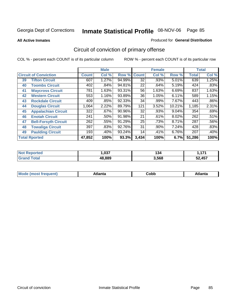**All Active Inmates**

#### Produced for **General Distribution**

# Circuit of conviction of primary offense

|    |                              |              | <b>Male</b> |        |              | <b>Female</b> |        |              | <b>Total</b> |
|----|------------------------------|--------------|-------------|--------|--------------|---------------|--------|--------------|--------------|
|    | <b>Circuit of Conviction</b> | <b>Count</b> | Col %       | Row %  | <b>Count</b> | Col %         | Row %  | <b>Total</b> | Col %        |
| 39 | <b>Tifton Circuit</b>        | 607          | 1.27%       | 94.99% | 32           | .93%          | 5.01%  | 639          | 1.25%        |
| 40 | <b>Toombs Circuit</b>        | 402          | .84%        | 94.81% | 22           | .64%          | 5.19%  | 424          | .83%         |
| 41 | <b>Waycross Circuit</b>      | 781          | 1.63%       | 93.31% | 56           | 1.63%         | 6.69%  | 837          | 1.63%        |
| 42 | <b>Western Circuit</b>       | 553          | 1.16%       | 93.89% | 36           | 1.05%         | 6.11%  | 589          | 1.15%        |
| 43 | <b>Rockdale Circuit</b>      | 409          | .85%        | 92.33% | 34           | .99%          | 7.67%  | 443          | $.86\%$      |
| 44 | <b>Douglas Circuit</b>       | 1,064        | 2.22%       | 89.79% | 121          | 3.52%         | 10.21% | 1,185        | 2.31%        |
| 45 | <b>Appalachian Circuit</b>   | 322          | .67%        | 90.96% | 32           | .93%          | 9.04%  | 354          | .69%         |
| 46 | <b>Enotah Circuit</b>        | 241          | .50%        | 91.98% | 21           | .61%          | 8.02%  | 262          | .51%         |
| 47 | <b>Bell-Forsyth Circuit</b>  | 262          | .55%        | 91.29% | 25           | .73%          | 8.71%  | 287          | .56%         |
| 48 | <b>Towaliga Circuit</b>      | 397          | .83%        | 92.76% | 31           | .90%          | 7.24%  | 428          | .83%         |
| 49 | <b>Paulding Circuit</b>      | 193          | .40%        | 93.24% | 14           | .41%          | 6.76%  | 207          | .40%         |
|    | <b>Total Rported</b>         | 47,852       | 100%        | 93.3%  | 3,434        | 100%          | 6.7%   | 51,286       | 100%         |

| τeα | 027<br>.u. | 134   | .<br>. .  |
|-----|------------|-------|-----------|
|     | 48.889     | 3,568 | 457<br>-- |

| M, | $+1 - - + -$<br>annu -<br>uu | ∶obb<br>- - - - - | .<br>чна<br>- --------- |
|----|------------------------------|-------------------|-------------------------|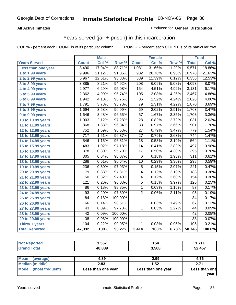#### **All Active Inmates**

#### Produced for **General Distribution**

### Years served (jail + prison) in this incarceration

COL % - percent each COUNT is of its particular column ROW % - percent each COUNT is of its particular row

|                              |                  | <b>Male</b> |         |                  | <b>Female</b> |        |                  | <b>Total</b> |
|------------------------------|------------------|-------------|---------|------------------|---------------|--------|------------------|--------------|
| <b>Years Served</b>          | <b>Count</b>     | Col %       | Row %   | <b>Count</b>     | Col %         | Row %  | <b>Total</b>     | CoI%         |
| Less than one year           | 8,490            | 17.94%      | 88.71%  | 1,081            | 31.66%        | 11.29% | 9,571            | 18.86%       |
| 1 to 1.99 years              | 9,996            | 21.12%      | 91.05%  | 982              | 28.76%        | 8.95%  | 10,978           | 21.63%       |
| 2 to 2.99 years              | 5,967            | 12.61%      | 93.88%  | 389              | 11.39%        | 6.12%  | 6,356            | 12.53%       |
| 3 to 3.99 years              | 3,885            | 8.21%       | 94.92%  | $\overline{208}$ | 6.09%         | 5.08%  | 4,093            | 8.07%        |
| 4 to 4.99 years              | 2,977            | 6.29%       | 95.08%  | 154              | 4.51%         | 4.92%  | 3,131            | 6.17%        |
| 5 to 5.99 years              | 2,362            | 4.99%       | 95.74%  | 105              | 3.08%         | 4.26%  | 2,467            | 4.86%        |
| 6 to 6.99 years              | 1,942            | 4.10%       | 95.76%  | 86               | 2.52%         | 4.24%  | 2,028            | 4.00%        |
| $\overline{7}$ to 7.99 years | 1,791            | 3.78%       | 95.78%  | 79               | 2.31%         | 4.22%  | 1,870            | 3.69%        |
| 8 to 8.99 years              | 1,694            | 3.58%       | 96.09%  | 69               | 2.02%         | 3.91%  | 1,763            | 3.47%        |
| 9 to 9.99 years              | 1,646            | 3.48%       | 96.65%  | $\overline{57}$  | 1.67%         | 3.35%  | 1,703            | 3.36%        |
| 10 to 10.99 years            | 1,003            | 2.12%       | 97.28%  | 28               | 0.82%         | 2.72%  | 1,031            | 2.03%        |
| 11 to 11.99 years            | 868              | 1.83%       | 96.34%  | $\overline{33}$  | 0.97%         | 3.66%  | 901              | 1.78%        |
| 12 to 12.99 years            | $\overline{752}$ | 1.59%       | 96.53%  | $\overline{27}$  | 0.79%         | 3.47%  | 779              | 1.54%        |
| 13 to 13.99 years            | 717              | 1.51%       | 96.37%  | 27               | 0.79%         | 3.63%  | 744              | 1.47%        |
| 14 to 14.99 years            | 546              | 1.15%       | 96.81%  | 18               | 0.53%         | 3.19%  | 564              | 1.11%        |
| 15 to 15.99 years            | 483              | 1.02%       | 97.18%  | $\overline{14}$  | 0.41%         | 2.82%  | 497              | 0.98%        |
| 16 to 16.99 years            | $\overline{378}$ | 0.80%       | 95.70%  | $\overline{17}$  | 0.50%         | 4.30%  | 395              | 0.78%        |
| 17 to 17.99 years            | $\overline{305}$ | 0.64%       | 98.07%  | $\overline{6}$   | 0.18%         | 1.93%  | 311              | 0.61%        |
| 18 to 18.99 years            | 288              | 0.61%       | 96.64%  | $\overline{10}$  | 0.29%         | 3.36%  | 298              | 0.59%        |
| 19 to 19.99 years            | 236              | 0.50%       | 97.93%  | $\overline{5}$   | 0.15%         | 2.07%  | $\overline{241}$ | 0.47%        |
| 20 to 20.99 years            | 179              | 0.38%       | 97.81%  | 4                | 0.12%         | 2.19%  | 183              | 0.36%        |
| 21 to 21.99 years            | 150              | 0.32%       | 97.40%  | 4                | 0.12%         | 2.60%  | 154              | 0.30%        |
| 22 to 22.99 years            | $\overline{121}$ | 0.26%       | 96.03%  | $\overline{5}$   | 0.15%         | 3.97%  | 126              | 0.25%        |
| 23 to 23.99 years            | $\overline{86}$  | 0.18%       | 98.85%  | $\mathbf{1}$     | 0.03%         | 1.15%  | $\overline{87}$  | 0.17%        |
| 24 to 24.99 years            | $\overline{93}$  | 0.20%       | 97.89%  | $\overline{2}$   | 0.06%         | 2.11%  | $\overline{95}$  | 0.19%        |
| 25 to 25.99 years            | $\overline{84}$  | 0.18%       | 100.00% |                  |               |        | $\overline{84}$  | 0.17%        |
| 26 to 26.99 years            | $\overline{66}$  | 0.14%       | 98.51%  | 1                | 0.03%         | 1.49%  | 67               | 0.13%        |
| 27 to 27.99 years            | 43               | 0.09%       | 97.73%  | 1                | 0.03%         | 2.27%  | 44               | 0.09%        |
| 28 to 28.99 years            | $\overline{42}$  | 0.09%       | 100.00% |                  |               |        | 42               | 0.08%        |
| 29 to 29.99 years            | $\overline{38}$  | 0.08%       | 100.00% |                  |               |        | $\overline{38}$  | 0.07%        |
| Thirty + years               | 104              | 0.22%       | 99.05%  | $\overline{1}$   | 0.03%         | 0.95%  | 105              | 0.21%        |
| <b>Total Reported</b>        | 47,332           | 100%        | 93.27%  | 3,414            | 100%          | 6.73%  | 50,746           | 100.0%       |

| <b>Not Reported</b>      | 1,557              | 154                | 1.711         |
|--------------------------|--------------------|--------------------|---------------|
| <b>Grand Total</b>       | 48.889             | 3,568              | 52,457        |
|                          |                    |                    |               |
| <b>Mean</b><br>(average) | 4.89               | 2.99               | 4.76          |
| <b>Median (middle)</b>   | 2.83               | 1.52               | 2.71          |
| Mode (most frequent)     | Less than one year | Less than one year | Less than one |

**year**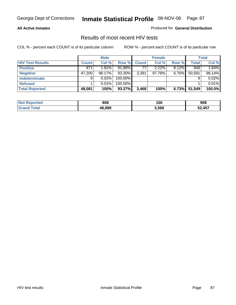#### **All Active Inmates**

Produced for **General Distribution**

### Results of most recent HIV tests

|                         |              | <b>Male</b> |           |              | <b>Female</b> |          |        | <b>Total</b> |
|-------------------------|--------------|-------------|-----------|--------------|---------------|----------|--------|--------------|
| <b>HIV Test Results</b> | <b>Count</b> | Col %       | Row %     | <b>Count</b> | Col %         | Row %    | Total  | Col %        |
| <b>Positive</b>         | 871          | 1.81%       | $91.88\%$ | 77           | 2.22%         | $8.12\%$ | 948    | 1.84%        |
| <b>Negative</b>         | 47.200       | 98.17%      | 93.30%    | 3,391        | 97.78%        | $6.70\%$ | 50,591 | 98.14%       |
| Indeterminate           | 9            | 0.02%       | 100.00%   |              |               |          |        | 0.02%        |
| <b>Refused</b>          |              | 0.01%       | 100.00%   |              |               |          |        | 0.01%        |
| <b>Total Reported</b>   | 48,081       | 100%        | 93.27%    | 3,468        | 100%          | 6.73%    | 51,549 | 100.0%       |

| <b>Not Reported</b> | 808    | 100   | 908    |
|---------------------|--------|-------|--------|
| <b>Grand Total</b>  | 48.889 | 3,568 | 52,457 |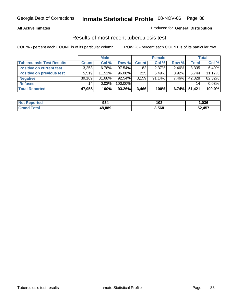#### **All Active Inmates**

#### Produced for **General Distribution**

### Results of most recent tuberculosis test

|                                  |              | <b>Male</b> |           |              | <b>Female</b> |          |              | <b>Total</b> |
|----------------------------------|--------------|-------------|-----------|--------------|---------------|----------|--------------|--------------|
| <b>Tuberculosis Test Results</b> | <b>Count</b> | Col %       | Row %     | <b>Count</b> | Col %         | Row %    | <b>Total</b> | Col %        |
| <b>Positive on current test</b>  | 3,253        | $6.78\%$    | $97.54\%$ | 82           | $2.37\%$      | 2.46%    | 3,335        | 6.49%        |
| <b>Positive on previous test</b> | 5.519        | 11.51%      | 96.08%    | 225          | 6.49%         | $3.92\%$ | 5.744        | 11.17%       |
| <b>Negative</b>                  | 39,169       | 81.68%      | 92.54%    | 3,159        | $91.14\%$     | 7.46%    | 42,328       | 82.32%       |
| <b>Refused</b>                   | 14           | 0.03%       | 100.00%   |              |               |          | 14           | 0.03%        |
| <b>Total Reported</b>            | 47,955       | 100%        | 93.26%    | 3,466        | 100%          | 6.74%    | 51,421       | 100.0%       |

| <b>Not Reported</b>     | 934    | 102   | ,036   |
|-------------------------|--------|-------|--------|
| <b>Total</b><br>l Grand | 48.889 | 3,568 | 52,457 |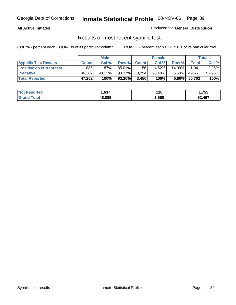#### **All Active Inmates**

Produced for **General Distribution**

### Results of most recent syphilis test

|                                 | <b>Male</b>  |          |         |              | <b>Female</b> |          | Total       |        |
|---------------------------------|--------------|----------|---------|--------------|---------------|----------|-------------|--------|
| <b>Syphilis Test Results</b>    | <b>Count</b> | Col %    | Row %   | <b>Count</b> | Col %         | Row %    | $\tau$ otal | Col %  |
| <b>Positive on current test</b> | 885          | $1.87\%$ | 85.01%  | 156          | 4.52%         | 14.99%   | 1.041       | 2.05%  |
| <b>Negative</b>                 | 46,367       | 98.13%   | 93.37%  | 3,294        | $95.48\%$     | $6.63\%$ | 49,661      | 97.95% |
| <b>Total Reported</b>           | 47,252       | 100%     | 93.20%I | 3,450        | 100%          | 6.80%    | 50,702      | 100%   |

| <b>Not Reported</b> | .637   | 118   | 1,755  |
|---------------------|--------|-------|--------|
| <b>Grand Total</b>  | 48.889 | 3,568 | 52,457 |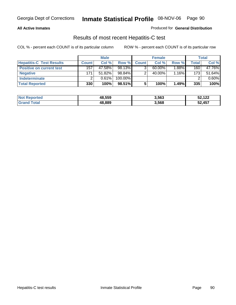#### **All Active Inmates**

#### Produced for **General Distribution**

### Results of most recent Hepatitis-C test

|                                 | <b>Male</b>  |           |         | <b>Female</b> |           |          | Total |        |
|---------------------------------|--------------|-----------|---------|---------------|-----------|----------|-------|--------|
| <b>Hepatitis-C Test Results</b> | <b>Count</b> | Col %     | Row %I  | <b>Count</b>  | Col %     | Row %    | Total | Col %  |
| <b>Positive on current test</b> | 157          | 47.58%    | 98.13%  |               | $60.00\%$ | $1.88\%$ | 160   | 47.76% |
| <b>Negative</b>                 | 171          | $51.82\%$ | 98.84%  |               | 40.00%    | 1.16%    | 173   | 51.64% |
| <b>Indeterminate</b>            |              | 0.61%     | 100.00% |               |           |          |       | 0.60%  |
| <b>Total Reported</b>           | 330          | 100%      | 98.51%  |               | 100%      | 1.49%    | 335   | 100%   |

| <b>Not Reported</b> | 48,559 | 3,563 | 52,122 |
|---------------------|--------|-------|--------|
| Total               | 48,889 | 3,568 | 52,457 |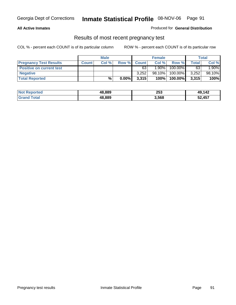#### **All Active Inmates**

Produced for **General Distribution**

### Results of most recent pregnancy test

|                                 | <b>Male</b>  |       | <b>Female</b> |              |           | Total   |       |        |
|---------------------------------|--------------|-------|---------------|--------------|-----------|---------|-------|--------|
| <b>Pregnancy Test Results</b>   | <b>Count</b> | Col % | Row %         | <b>Count</b> | Col %     | Row %   | Total | Col %  |
| <b>Positive on current test</b> |              |       |               | 63           | $1.90\%$  | 100.00% | 63    | 1.90%  |
| <b>Negative</b>                 |              |       |               | 3.252        | $98.10\%$ | 100.00% | 3,252 | 98.10% |
| <b>Total Reported</b>           |              | %     | $0.00\%$      | 3,315        | 100%      | 100.00% | 3,315 | 100%   |

| <b>Not</b><br><b>Reported</b> | 48.889 | 253   | 49,142 |
|-------------------------------|--------|-------|--------|
| <b>Total</b>                  | 48.889 | 3,568 | 52,457 |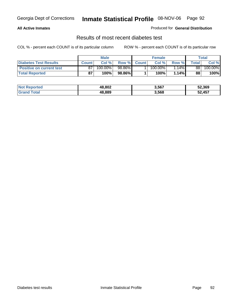#### **All Active Inmates**

#### Produced for **General Distribution**

### Results of most recent diabetes test

|                              | <b>Male</b> |         |        |              | <b>Female</b>         |        | Total |         |
|------------------------------|-------------|---------|--------|--------------|-----------------------|--------|-------|---------|
| <b>Diabetes Test Results</b> | Count       | Col %   | Row %  | <b>Count</b> | Col %                 | Row %I | Total | Col %   |
| Positive on current test     | 87          | 100.00% | 98.86% |              | $100.\overline{00\%}$ | 1.14%  | 88    | 100.00% |
| <b>Total Reported</b>        | 87          | 100%    | 98.86% |              | 100%                  | 1.14%  | 88    | 100%    |

| <b>Not Reported</b>   | 48,802 | 3,567 | 52,369 |
|-----------------------|--------|-------|--------|
| <b>Fotal</b><br>Grand | 48.889 | 3,568 | .,457  |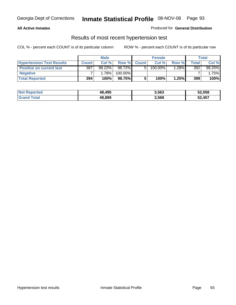#### **All Active Inmates**

#### Produced for **General Distribution**

### Results of most recent hypertension test

|                                  | <b>Male</b>  |           |         |              | <b>Female</b> |          | <b>Total</b> |          |
|----------------------------------|--------------|-----------|---------|--------------|---------------|----------|--------------|----------|
| <b>Hypertension Test Results</b> | <b>Count</b> | Col%      | Row %   | <b>Count</b> | Col%          | Row %    | Total        | Col %    |
| <b>Positive on current test</b>  | 387          | $98.22\%$ | 98.72%  |              | 100.00%       | $1.28\%$ | 392          | 98.25%   |
| <b>Negative</b>                  |              | 1.78%     | 100.00% |              |               |          |              | $1.75\%$ |
| <b>Total Reported</b>            | 394          | 100%      | 98.75%  |              | 100%          | 1.25%    | 399          | 100%     |

| <b>Not Reported</b> | 48,495 | 3,563 | 52,058 |
|---------------------|--------|-------|--------|
| <b>Grand Total</b>  | 48,889 | 3,568 | 52,457 |